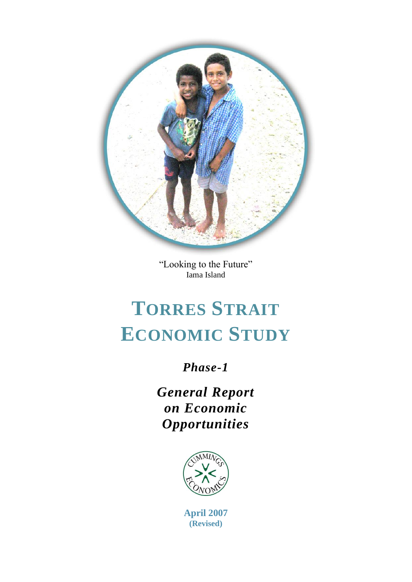

"Looking to the Future" Iama Island

# **TORRES STRAIT ECONOMIC STUDY**

### *Phase-1*

*General Report on Economic Opportunities*



**April 2007 (Revised)**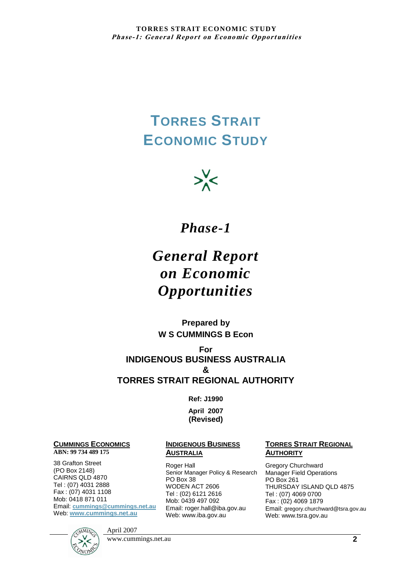## **TORRES STRAIT ECONOMIC STUDY**



### *Phase-1*

## *General Report on Economic Opportunities*

**Prepared by W S CUMMINGS B Econ**

**For INDIGENOUS BUSINESS AUSTRALIA & TORRES STRAIT REGIONAL AUTHORITY**

**Ref: J1990**

**April 2007 (Revised)**

#### **CUMMINGS ECONOMICS**

#### **ABN: 99 734 489 175**

38 Grafton Street (PO Box 2148) CAIRNS QLD 4870 Tel : (07) 4031 2888 Fax : (07) 4031 1108 Mob: 0418 871 011 Email: **[cummings@cummings.net.au](mailto:cummings@cummings.net.au)** Web: **[www.cummings.net.au](http://www.cummings.net.au/)**

#### **INDIGENOUS BUSINESS AUSTRALIA**

Roger Hall Senior Manager Policy & Research PO Box 38 WODEN ACT 2606 Tel : (02) 6121 2616 Mob: 0439 497 092 Email: roger.hall@iba.gov.au Web: www.iba.gov.au

#### **TORRES STRAIT REGIONAL AUTHORITY**

Gregory Churchward Manager Field Operations PO Box 261 THURSDAY ISLAND QLD 4875 Tel : (07) 4069 0700 Fax : (02) 4069 1879 Email: gregory.churchward@tsra.gov.au Web: www.tsra.gov.au



www.cummings.net.au **2**

April 2007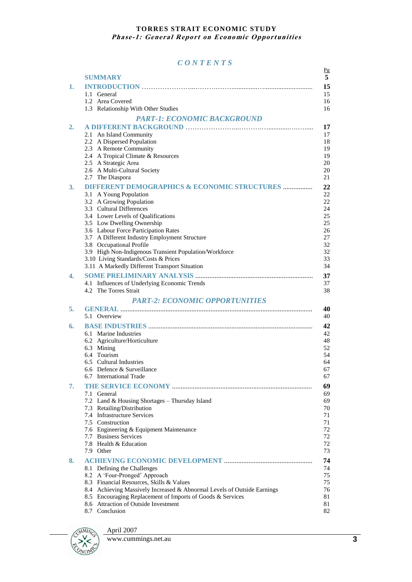#### *C O N T E N T S*

|    | <b>SUMMARY</b>                                                          | Pg<br>5  |
|----|-------------------------------------------------------------------------|----------|
| 1. |                                                                         | 15       |
|    | 1.1 General                                                             | 15       |
|    | 1.2 Area Covered                                                        | 16       |
|    | 1.3 Relationship With Other Studies                                     | 16       |
|    | <b>PART-1: ECONOMIC BACKGROUND</b>                                      |          |
| 2. |                                                                         | 17       |
|    | 2.1 An Island Community                                                 | 17       |
|    | 2.2 A Dispersed Population                                              | 18       |
|    | 2.3 A Remote Community<br>2.4 A Tropical Climate & Resources            | 19<br>19 |
|    | 2.5 A Strategic Area                                                    | 20       |
|    | 2.6 A Multi-Cultural Society                                            | 20       |
|    | 2.7 The Diaspora                                                        | 21       |
| 3. | <b>DIFFERENT DEMOGRAPHICS &amp; ECONOMIC STRUCTURES </b>                | 22       |
|    | 3.1 A Young Population                                                  | 22       |
|    | 3.2 A Growing Population                                                | 22       |
|    | 3.3 Cultural Differences                                                | 24       |
|    | 3.4 Lower Levels of Qualifications<br>3.5 Low Dwelling Ownership        | 25<br>25 |
|    | 3.6 Labour Force Participation Rates                                    | 26       |
|    | 3.7 A Different Industry Employment Structure                           | 27       |
|    | 3.8 Occupational Profile                                                | 32       |
|    | 3.9 High Non-Indigenous Transient Population/Workforce                  | 32       |
|    | 3.10 Living Standards/Costs & Prices                                    | 33       |
|    | 3.11 A Markedly Different Transport Situation                           | 34       |
| 4. |                                                                         | 37       |
|    | 4.1 Influences of Underlying Economic Trends<br>4.2 The Torres Strait   | 37       |
|    |                                                                         | 38       |
| 5. | <b>PART-2: ECONOMIC OPPORTUNITIES</b>                                   | 40       |
|    | 5.1 Overview                                                            | 40       |
| 6. |                                                                         | 42       |
|    | 6.1 Marine Industries                                                   | 42       |
|    | 6.2 Agriculture/Horticulture                                            | 48       |
|    | 6.3 Mining                                                              | 52       |
|    | 6.4 Tourism                                                             | 54       |
|    | 6.5 Cultural Industries                                                 | 64       |
|    | 6.6 Defence & Surveillance<br>6.7 International Trade                   | 67<br>67 |
| 7. |                                                                         |          |
|    | 7.1 General                                                             | 69<br>69 |
|    | 7.2 Land & Housing Shortages - Thursday Island                          | 69       |
|    | 7.3 Retailing/Distribution                                              | 70       |
|    | 7.4 Infrastructure Services                                             | 71       |
|    | 7.5 Construction                                                        | 71       |
|    | 7.6 Engineering & Equipment Maintenance                                 | 72       |
|    | 7.7 Business Services<br>7.8 Health & Education                         | 72<br>72 |
|    | 7.9 Other                                                               | 73       |
| 8. |                                                                         | 74       |
|    | 8.1 Defining the Challenges                                             | 74       |
|    | 8.2 A 'Four-Pronged' Approach                                           | 75       |
|    | 8.3 Financial Resources, Skills & Values                                | 75       |
|    | 8.4 Achieving Massively Increased & Abnormal Levels of Outside Earnings | 76       |
|    | 8.5 Encouraging Replacement of Imports of Goods & Services              | 81       |
|    | 8.6 Attraction of Outside Investment                                    | 81       |
|    | 8.7 Conclusion                                                          | 82       |



www.cummings.net.au **3** 

April 2007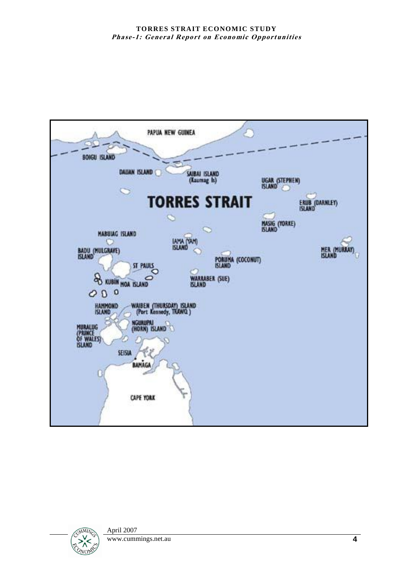

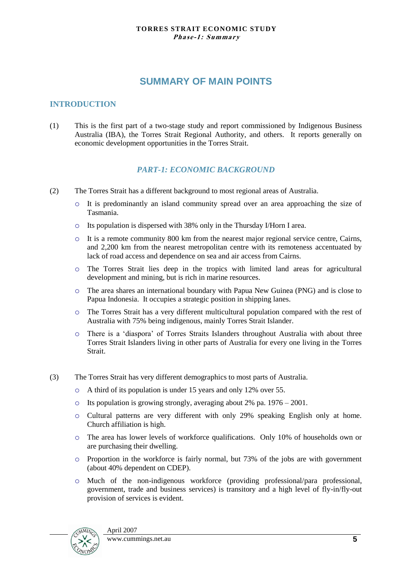#### **SUMMARY OF MAIN POINTS**

#### **INTRODUCTION**

(1) This is the first part of a two-stage study and report commissioned by Indigenous Business Australia (IBA), the Torres Strait Regional Authority, and others. It reports generally on economic development opportunities in the Torres Strait.

#### *PART-1: ECONOMIC BACKGROUND*

- (2) The Torres Strait has a different background to most regional areas of Australia.
	- o It is predominantly an island community spread over an area approaching the size of Tasmania.
	- o Its population is dispersed with 38% only in the Thursday I/Horn I area.
	- $\circ$  It is a remote community 800 km from the nearest major regional service centre, Cairns, and 2,200 km from the nearest metropolitan centre with its remoteness accentuated by lack of road access and dependence on sea and air access from Cairns.
	- o The Torres Strait lies deep in the tropics with limited land areas for agricultural development and mining, but is rich in marine resources.
	- o The area shares an international boundary with Papua New Guinea (PNG) and is close to Papua Indonesia. It occupies a strategic position in shipping lanes.
	- o The Torres Strait has a very different multicultural population compared with the rest of Australia with 75% being indigenous, mainly Torres Strait Islander.
	- o There is a "diaspora" of Torres Straits Islanders throughout Australia with about three Torres Strait Islanders living in other parts of Australia for every one living in the Torres Strait.
- (3) The Torres Strait has very different demographics to most parts of Australia.
	- o A third of its population is under 15 years and only 12% over 55.
	- o Its population is growing strongly, averaging about 2% pa. 1976 2001.
	- o Cultural patterns are very different with only 29% speaking English only at home. Church affiliation is high.
	- o The area has lower levels of workforce qualifications. Only 10% of households own or are purchasing their dwelling.
	- o Proportion in the workforce is fairly normal, but 73% of the jobs are with government (about 40% dependent on CDEP).
	- o Much of the non-indigenous workforce (providing professional/para professional, government, trade and business services) is transitory and a high level of fly-in/fly-out provision of services is evident.

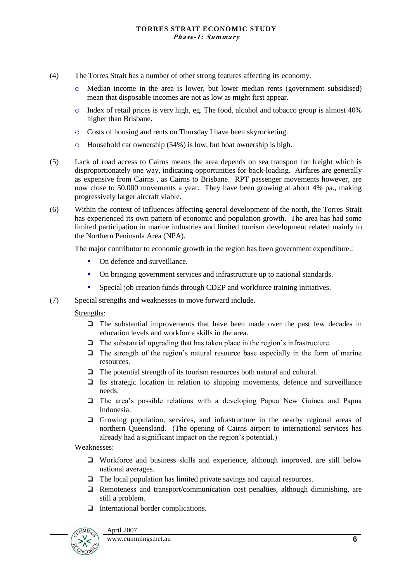- (4) The Torres Strait has a number of other strong features affecting its economy.
	- o Median income in the area is lower, but lower median rents (government subsidised) mean that disposable incomes are not as low as might first appear.
	- $\circ$  Index of retail prices is very high, eg. The food, alcohol and tobacco group is almost 40% higher than Brisbane.
	- o Costs of housing and rents on Thursday I have been skyrocketing.
	- o Household car ownership (54%) is low, but boat ownership is high.
- (5) Lack of road access to Cairns means the area depends on sea transport for freight which is disproportionately one way, indicating opportunities for back-loading. Airfares are generally as expensive from Cairns , as Cairns to Brisbane. RPT passenger movements however, are now close to 50,000 movements a year. They have been growing at about 4% pa., making progressively larger aircraft viable.
- (6) Within the context of influences affecting general development of the north, the Torres Strait has experienced its own pattern of economic and population growth. The area has had some limited participation in marine industries and limited tourism development related mainly to the Northern Peninsula Area (NPA).

The major contributor to economic growth in the region has been government expenditure.:

- On defence and surveillance.
- On bringing government services and infrastructure up to national standards.
- Special job creation funds through CDEP and workforce training initiatives.
- (7) Special strengths and weaknesses to move forward include.

Strengths:

- $\Box$  The substantial improvements that have been made over the past few decades in education levels and workforce skills in the area.
- $\Box$  The substantial upgrading that has taken place in the region's infrastructure.
- $\Box$  The strength of the region's natural resource base especially in the form of marine resources.
- $\Box$  The potential strength of its tourism resources both natural and cultural.
- $\Box$  Its strategic location in relation to shipping movements, defence and surveillance needs.
- $\Box$  The area's possible relations with a developing Papua New Guinea and Papua Indonesia.
- Growing population, services, and infrastructure in the nearby regional areas of northern Queensland. (The opening of Cairns airport to international services has already had a significant impact on the region"s potential.)

Weaknesses:

- Workforce and business skills and experience, although improved, are still below national averages.
- The local population has limited private savings and capital resources.
- $\Box$  Remoteness and transport/communication cost penalties, although diminishing, are still a problem.
- $\Box$  International border complications.

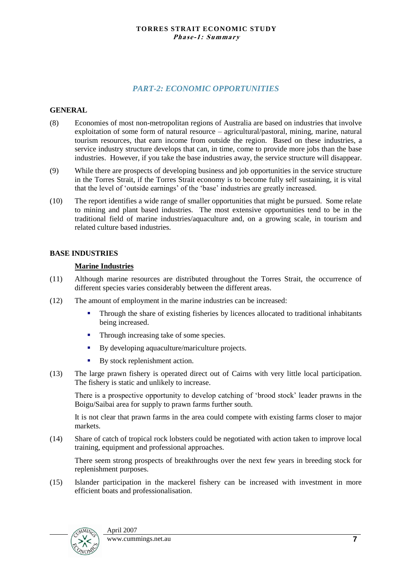#### *PART-2: ECONOMIC OPPORTUNITIES*

#### **GENERAL**

- (8) Economies of most non-metropolitan regions of Australia are based on industries that involve exploitation of some form of natural resource – agricultural/pastoral, mining, marine, natural tourism resources, that earn income from outside the region. Based on these industries, a service industry structure develops that can, in time, come to provide more jobs than the base industries. However, if you take the base industries away, the service structure will disappear.
- (9) While there are prospects of developing business and job opportunities in the service structure in the Torres Strait, if the Torres Strait economy is to become fully self sustaining, it is vital that the level of "outside earnings" of the "base" industries are greatly increased.
- (10) The report identifies a wide range of smaller opportunities that might be pursued. Some relate to mining and plant based industries. The most extensive opportunities tend to be in the traditional field of marine industries/aquaculture and, on a growing scale, in tourism and related culture based industries.

#### **BASE INDUSTRIES**

#### **Marine Industries**

- (11) Although marine resources are distributed throughout the Torres Strait, the occurrence of different species varies considerably between the different areas.
- (12) The amount of employment in the marine industries can be increased:
	- Through the share of existing fisheries by licences allocated to traditional inhabitants being increased.
	- Through increasing take of some species.
	- By developing aquaculture/mariculture projects.
	- By stock replenishment action.
- (13) The large prawn fishery is operated direct out of Cairns with very little local participation. The fishery is static and unlikely to increase.

There is a prospective opportunity to develop catching of "brood stock" leader prawns in the Boigu/Saibai area for supply to prawn farms further south.

It is not clear that prawn farms in the area could compete with existing farms closer to major markets.

(14) Share of catch of tropical rock lobsters could be negotiated with action taken to improve local training, equipment and professional approaches.

There seem strong prospects of breakthroughs over the next few years in breeding stock for replenishment purposes.

(15) Islander participation in the mackerel fishery can be increased with investment in more efficient boats and professionalisation.

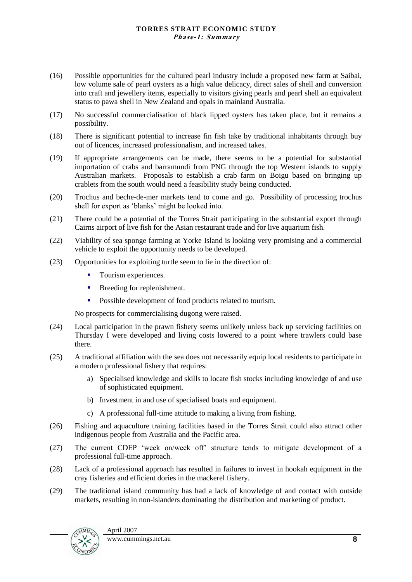- (16) Possible opportunities for the cultured pearl industry include a proposed new farm at Saibai, low volume sale of pearl oysters as a high value delicacy, direct sales of shell and conversion into craft and jewellery items, especially to visitors giving pearls and pearl shell an equivalent status to pawa shell in New Zealand and opals in mainland Australia.
- (17) No successful commercialisation of black lipped oysters has taken place, but it remains a possibility.
- (18) There is significant potential to increase fin fish take by traditional inhabitants through buy out of licences, increased professionalism, and increased takes.
- (19) If appropriate arrangements can be made, there seems to be a potential for substantial importation of crabs and barramundi from PNG through the top Western islands to supply Australian markets. Proposals to establish a crab farm on Boigu based on bringing up crablets from the south would need a feasibility study being conducted.
- (20) Trochus and beche-de-mer markets tend to come and go. Possibility of processing trochus shell for export as 'blanks' might be looked into.
- (21) There could be a potential of the Torres Strait participating in the substantial export through Cairns airport of live fish for the Asian restaurant trade and for live aquarium fish.
- (22) Viability of sea sponge farming at Yorke Island is looking very promising and a commercial vehicle to exploit the opportunity needs to be developed.
- (23) Opportunities for exploiting turtle seem to lie in the direction of:
	- Tourism experiences.
	- **Breeding for replenishment.**
	- **Possible development of food products related to tourism.**

No prospects for commercialising dugong were raised.

- (24) Local participation in the prawn fishery seems unlikely unless back up servicing facilities on Thursday I were developed and living costs lowered to a point where trawlers could base there.
- (25) A traditional affiliation with the sea does not necessarily equip local residents to participate in a modern professional fishery that requires:
	- a) Specialised knowledge and skills to locate fish stocks including knowledge of and use of sophisticated equipment.
	- b) Investment in and use of specialised boats and equipment.
	- c) A professional full-time attitude to making a living from fishing.
- (26) Fishing and aquaculture training facilities based in the Torres Strait could also attract other indigenous people from Australia and the Pacific area.
- (27) The current CDEP "week on/week off" structure tends to mitigate development of a professional full-time approach.
- (28) Lack of a professional approach has resulted in failures to invest in hookah equipment in the cray fisheries and efficient dories in the mackerel fishery.
- (29) The traditional island community has had a lack of knowledge of and contact with outside markets, resulting in non-islanders dominating the distribution and marketing of product.

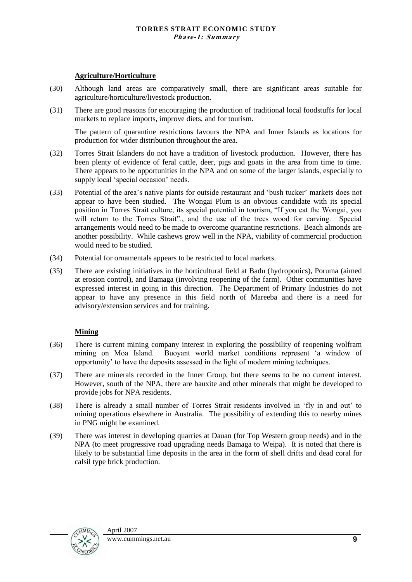#### **Agriculture/Horticulture**

- (30) Although land areas are comparatively small, there are significant areas suitable for agriculture/horticulture/livestock production.
- (31) There are good reasons for encouraging the production of traditional local foodstuffs for local markets to replace imports, improve diets, and for tourism.

The pattern of quarantine restrictions favours the NPA and Inner Islands as locations for production for wider distribution throughout the area.

- (32) Torres Strait Islanders do not have a tradition of livestock production. However, there has been plenty of evidence of feral cattle, deer, pigs and goats in the area from time to time. There appears to be opportunities in the NPA and on some of the larger islands, especially to supply local 'special occasion' needs.
- (33) Potential of the area"s native plants for outside restaurant and "bush tucker" markets does not appear to have been studied. The Wongai Plum is an obvious candidate with its special position in Torres Strait culture, its special potential in tourism, "If you eat the Wongai, you will return to the Torres Strait"., and the use of the trees wood for carving. Special arrangements would need to be made to overcome quarantine restrictions. Beach almonds are another possibility. While cashews grow well in the NPA, viability of commercial production would need to be studied.
- (34) Potential for ornamentals appears to be restricted to local markets.
- (35) There are existing initiatives in the horticultural field at Badu (hydroponics), Poruma (aimed at erosion control), and Bamaga (involving reopening of the farm). Other communities have expressed interest in going in this direction. The Department of Primary Industries do not appear to have any presence in this field north of Mareeba and there is a need for advisory/extension services and for training.

#### **Mining**

- (36) There is current mining company interest in exploring the possibility of reopening wolfram mining on Moa Island. Buoyant world market conditions represent "a window of opportunity" to have the deposits assessed in the light of modern mining techniques.
- (37) There are minerals recorded in the Inner Group, but there seems to be no current interest. However, south of the NPA, there are bauxite and other minerals that might be developed to provide jobs for NPA residents.
- (38) There is already a small number of Torres Strait residents involved in "fly in and out" to mining operations elsewhere in Australia. The possibility of extending this to nearby mines in PNG might be examined.
- (39) There was interest in developing quarries at Dauan (for Top Western group needs) and in the NPA (to meet progressive road upgrading needs Bamaga to Weipa). It is noted that there is likely to be substantial lime deposits in the area in the form of shell drifts and dead coral for calsil type brick production.

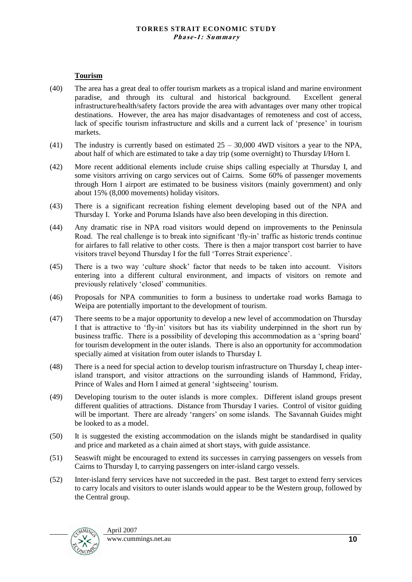#### **Tourism**

- (40) The area has a great deal to offer tourism markets as a tropical island and marine environment paradise, and through its cultural and historical background. Excellent general infrastructure/health/safety factors provide the area with advantages over many other tropical destinations. However, the area has major disadvantages of remoteness and cost of access, lack of specific tourism infrastructure and skills and a current lack of 'presence' in tourism markets.
- (41) The industry is currently based on estimated  $25 30,000$  4WD visitors a year to the NPA, about half of which are estimated to take a day trip (some overnight) to Thursday I/Horn I.
- (42) More recent additional elements include cruise ships calling especially at Thursday I, and some visitors arriving on cargo services out of Cairns. Some 60% of passenger movements through Horn I airport are estimated to be business visitors (mainly government) and only about 15% (8,000 movements) holiday visitors.
- (43) There is a significant recreation fishing element developing based out of the NPA and Thursday I. Yorke and Poruma Islands have also been developing in this direction.
- (44) Any dramatic rise in NPA road visitors would depend on improvements to the Peninsula Road. The real challenge is to break into significant 'fly-in' traffic as historic trends continue for airfares to fall relative to other costs. There is then a major transport cost barrier to have visitors travel beyond Thursday I for the full "Torres Strait experience".
- (45) There is a two way "culture shock" factor that needs to be taken into account. Visitors entering into a different cultural environment, and impacts of visitors on remote and previously relatively "closed" communities.
- (46) Proposals for NPA communities to form a business to undertake road works Bamaga to Weipa are potentially important to the development of tourism.
- (47) There seems to be a major opportunity to develop a new level of accommodation on Thursday I that is attractive to "fly-in" visitors but has its viability underpinned in the short run by business traffic. There is a possibility of developing this accommodation as a 'spring board' for tourism development in the outer islands. There is also an opportunity for accommodation specially aimed at visitation from outer islands to Thursday I.
- (48) There is a need for special action to develop tourism infrastructure on Thursday I, cheap interisland transport, and visitor attractions on the surrounding islands of Hammond, Friday, Prince of Wales and Horn I aimed at general 'sightseeing' tourism.
- (49) Developing tourism to the outer islands is more complex. Different island groups present different qualities of attractions. Distance from Thursday I varies. Control of visitor guiding will be important. There are already 'rangers' on some islands. The Savannah Guides might be looked to as a model.
- (50) It is suggested the existing accommodation on the islands might be standardised in quality and price and marketed as a chain aimed at short stays, with guide assistance.
- (51) Seaswift might be encouraged to extend its successes in carrying passengers on vessels from Cairns to Thursday I, to carrying passengers on inter-island cargo vessels.
- (52) Inter-island ferry services have not succeeded in the past. Best target to extend ferry services to carry locals and visitors to outer islands would appear to be the Western group, followed by the Central group.

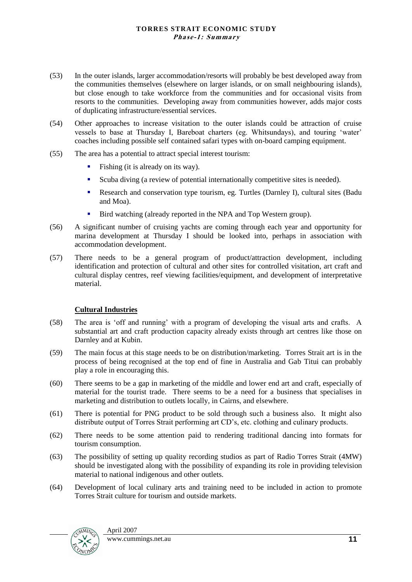- (53) In the outer islands, larger accommodation/resorts will probably be best developed away from the communities themselves (elsewhere on larger islands, or on small neighbouring islands), but close enough to take workforce from the communities and for occasional visits from resorts to the communities. Developing away from communities however, adds major costs of duplicating infrastructure/essential services.
- (54) Other approaches to increase visitation to the outer islands could be attraction of cruise vessels to base at Thursday I, Bareboat charters (eg. Whitsundays), and touring "water" coaches including possible self contained safari types with on-board camping equipment.
- (55) The area has a potential to attract special interest tourism:
	- Fishing (it is already on its way).
	- Scuba diving (a review of potential internationally competitive sites is needed).
	- Research and conservation type tourism, eg. Turtles (Darnley I), cultural sites (Badu and Moa).
	- Bird watching (already reported in the NPA and Top Western group).
- (56) A significant number of cruising yachts are coming through each year and opportunity for marina development at Thursday I should be looked into, perhaps in association with accommodation development.
- (57) There needs to be a general program of product/attraction development, including identification and protection of cultural and other sites for controlled visitation, art craft and cultural display centres, reef viewing facilities/equipment, and development of interpretative material.

#### **Cultural Industries**

- (58) The area is "off and running" with a program of developing the visual arts and crafts. A substantial art and craft production capacity already exists through art centres like those on Darnley and at Kubin.
- (59) The main focus at this stage needs to be on distribution/marketing. Torres Strait art is in the process of being recognised at the top end of fine in Australia and Gab Titui can probably play a role in encouraging this.
- (60) There seems to be a gap in marketing of the middle and lower end art and craft, especially of material for the tourist trade. There seems to be a need for a business that specialises in marketing and distribution to outlets locally, in Cairns, and elsewhere.
- (61) There is potential for PNG product to be sold through such a business also. It might also distribute output of Torres Strait performing art CD"s, etc. clothing and culinary products.
- (62) There needs to be some attention paid to rendering traditional dancing into formats for tourism consumption.
- (63) The possibility of setting up quality recording studios as part of Radio Torres Strait (4MW) should be investigated along with the possibility of expanding its role in providing television material to national indigenous and other outlets.
- (64) Development of local culinary arts and training need to be included in action to promote Torres Strait culture for tourism and outside markets.

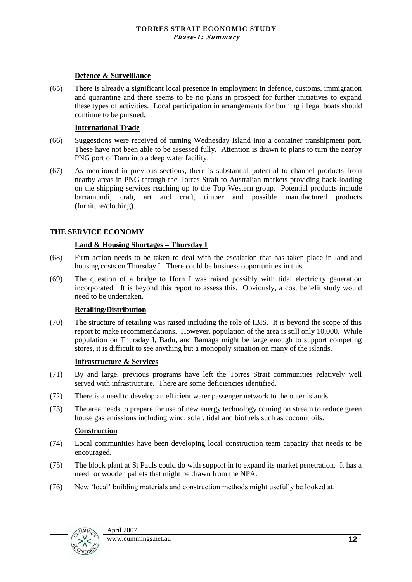#### **Defence & Surveillance**

(65) There is already a significant local presence in employment in defence, customs, immigration and quarantine and there seems to be no plans in prospect for further initiatives to expand these types of activities. Local participation in arrangements for burning illegal boats should continue to be pursued.

#### **International Trade**

- (66) Suggestions were received of turning Wednesday Island into a container transhipment port. These have not been able to be assessed fully. Attention is drawn to plans to turn the nearby PNG port of Daru into a deep water facility.
- (67) As mentioned in previous sections, there is substantial potential to channel products from nearby areas in PNG through the Torres Strait to Australian markets providing back-loading on the shipping services reaching up to the Top Western group. Potential products include barramundi, crab, art and craft, timber and possible manufactured products (furniture/clothing).

#### **THE SERVICE ECONOMY**

#### **Land & Housing Shortages – Thursday I**

- (68) Firm action needs to be taken to deal with the escalation that has taken place in land and housing costs on Thursday I. There could be business opportunities in this.
- (69) The question of a bridge to Horn I was raised possibly with tidal electricity generation incorporated. It is beyond this report to assess this. Obviously, a cost benefit study would need to be undertaken.

#### **Retailing/Distribution**

(70) The structure of retailing was raised including the role of IBIS. It is beyond the scope of this report to make recommendations. However, population of the area is still only 10,000. While population on Thursday I, Badu, and Bamaga might be large enough to support competing stores, it is difficult to see anything but a monopoly situation on many of the islands.

#### **Infrastructure & Services**

- (71) By and large, previous programs have left the Torres Strait communities relatively well served with infrastructure. There are some deficiencies identified.
- (72) There is a need to develop an efficient water passenger network to the outer islands.
- (73) The area needs to prepare for use of new energy technology coming on stream to reduce green house gas emissions including wind, solar, tidal and biofuels such as coconut oils.

#### **Construction**

- (74) Local communities have been developing local construction team capacity that needs to be encouraged.
- (75) The block plant at St Pauls could do with support in to expand its market penetration. It has a need for wooden pallets that might be drawn from the NPA.
- (76) New "local" building materials and construction methods might usefully be looked at.

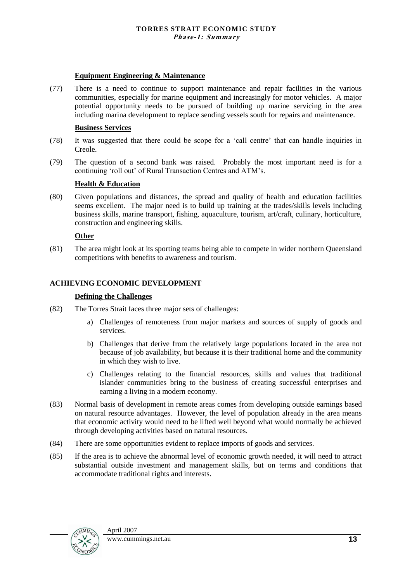#### **Equipment Engineering & Maintenance**

(77) There is a need to continue to support maintenance and repair facilities in the various communities, especially for marine equipment and increasingly for motor vehicles. A major potential opportunity needs to be pursued of building up marine servicing in the area including marina development to replace sending vessels south for repairs and maintenance.

#### **Business Services**

- (78) It was suggested that there could be scope for a "call centre" that can handle inquiries in Creole.
- (79) The question of a second bank was raised. Probably the most important need is for a continuing "roll out" of Rural Transaction Centres and ATM"s.

#### **Health & Education**

(80) Given populations and distances, the spread and quality of health and education facilities seems excellent. The major need is to build up training at the trades/skills levels including business skills, marine transport, fishing, aquaculture, tourism, art/craft, culinary, horticulture, construction and engineering skills.

#### **Other**

(81) The area might look at its sporting teams being able to compete in wider northern Queensland competitions with benefits to awareness and tourism.

#### **ACHIEVING ECONOMIC DEVELOPMENT**

#### **Defining the Challenges**

- (82) The Torres Strait faces three major sets of challenges:
	- a) Challenges of remoteness from major markets and sources of supply of goods and services.
	- b) Challenges that derive from the relatively large populations located in the area not because of job availability, but because it is their traditional home and the community in which they wish to live.
	- c) Challenges relating to the financial resources, skills and values that traditional islander communities bring to the business of creating successful enterprises and earning a living in a modern economy.
- (83) Normal basis of development in remote areas comes from developing outside earnings based on natural resource advantages. However, the level of population already in the area means that economic activity would need to be lifted well beyond what would normally be achieved through developing activities based on natural resources.
- (84) There are some opportunities evident to replace imports of goods and services.
- (85) If the area is to achieve the abnormal level of economic growth needed, it will need to attract substantial outside investment and management skills, but on terms and conditions that accommodate traditional rights and interests.

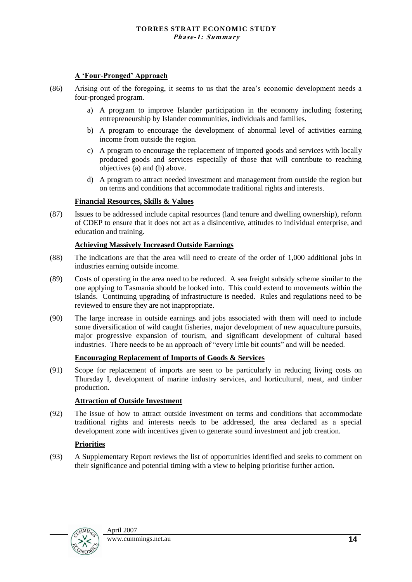#### **A 'Four-Pronged' Approach**

- (86) Arising out of the foregoing, it seems to us that the area"s economic development needs a four-pronged program.
	- a) A program to improve Islander participation in the economy including fostering entrepreneurship by Islander communities, individuals and families.
	- b) A program to encourage the development of abnormal level of activities earning income from outside the region.
	- c) A program to encourage the replacement of imported goods and services with locally produced goods and services especially of those that will contribute to reaching objectives (a) and (b) above.
	- d) A program to attract needed investment and management from outside the region but on terms and conditions that accommodate traditional rights and interests.

#### **Financial Resources, Skills & Values**

(87) Issues to be addressed include capital resources (land tenure and dwelling ownership), reform of CDEP to ensure that it does not act as a disincentive, attitudes to individual enterprise, and education and training.

#### **Achieving Massively Increased Outside Earnings**

- (88) The indications are that the area will need to create of the order of 1,000 additional jobs in industries earning outside income.
- (89) Costs of operating in the area need to be reduced. A sea freight subsidy scheme similar to the one applying to Tasmania should be looked into. This could extend to movements within the islands. Continuing upgrading of infrastructure is needed. Rules and regulations need to be reviewed to ensure they are not inappropriate.
- (90) The large increase in outside earnings and jobs associated with them will need to include some diversification of wild caught fisheries, major development of new aquaculture pursuits, major progressive expansion of tourism, and significant development of cultural based industries. There needs to be an approach of "every little bit counts" and will be needed.

#### **Encouraging Replacement of Imports of Goods & Services**

(91) Scope for replacement of imports are seen to be particularly in reducing living costs on Thursday I, development of marine industry services, and horticultural, meat, and timber production.

#### **Attraction of Outside Investment**

(92) The issue of how to attract outside investment on terms and conditions that accommodate traditional rights and interests needs to be addressed, the area declared as a special development zone with incentives given to generate sound investment and job creation.

#### **Priorities**

(93) A Supplementary Report reviews the list of opportunities identified and seeks to comment on their significance and potential timing with a view to helping prioritise further action.

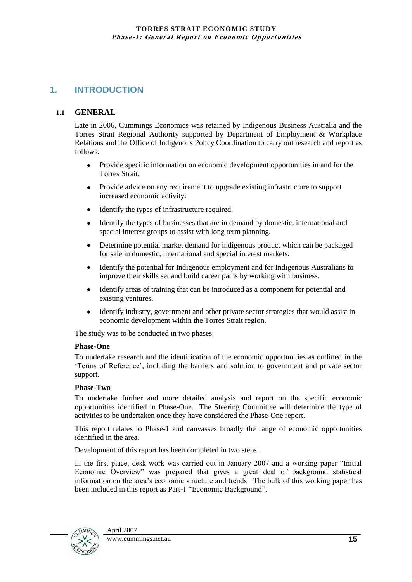#### **1. INTRODUCTION**

#### **1.1 GENERAL**

Late in 2006, Cummings Economics was retained by Indigenous Business Australia and the Torres Strait Regional Authority supported by Department of Employment & Workplace Relations and the Office of Indigenous Policy Coordination to carry out research and report as follows:

- Provide specific information on economic development opportunities in and for the Torres Strait.
- Provide advice on any requirement to upgrade existing infrastructure to support increased economic activity.
- Identify the types of infrastructure required.
- Identify the types of businesses that are in demand by domestic, international and special interest groups to assist with long term planning.
- Determine potential market demand for indigenous product which can be packaged  $\bullet$ for sale in domestic, international and special interest markets.
- Identify the potential for Indigenous employment and for Indigenous Australians to improve their skills set and build career paths by working with business.
- Identify areas of training that can be introduced as a component for potential and  $\bullet$ existing ventures.
- Identify industry, government and other private sector strategies that would assist in  $\bullet$ economic development within the Torres Strait region.

The study was to be conducted in two phases:

#### **Phase-One**

To undertake research and the identification of the economic opportunities as outlined in the "Terms of Reference", including the barriers and solution to government and private sector support.

#### **Phase-Two**

To undertake further and more detailed analysis and report on the specific economic opportunities identified in Phase-One. The Steering Committee will determine the type of activities to be undertaken once they have considered the Phase-One report.

This report relates to Phase-1 and canvasses broadly the range of economic opportunities identified in the area.

Development of this report has been completed in two steps.

In the first place, desk work was carried out in January 2007 and a working paper "Initial Economic Overview" was prepared that gives a great deal of background statistical information on the area"s economic structure and trends. The bulk of this working paper has been included in this report as Part-1 "Economic Background".

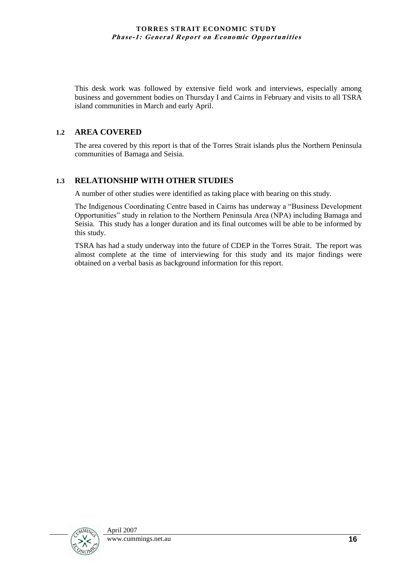This desk work was followed by extensive field work and interviews, especially among business and government bodies on Thursday I and Cairns in February and visits to all TSRA island communities in March and early April.

#### **1.2 AREA COVERED**

The area covered by this report is that of the Torres Strait islands plus the Northern Peninsula communities of Bamaga and Seisia.

#### **1.3 RELATIONSHIP WITH OTHER STUDIES**

A number of other studies were identified as taking place with bearing on this study.

The Indigenous Coordinating Centre based in Cairns has underway a "Business Development Opportunities" study in relation to the Northern Peninsula Area (NPA) including Bamaga and Seisia. This study has a longer duration and its final outcomes will be able to be informed by this study.

TSRA has had a study underway into the future of CDEP in the Torres Strait. The report was almost complete at the time of interviewing for this study and its major findings were obtained on a verbal basis as background information for this report.

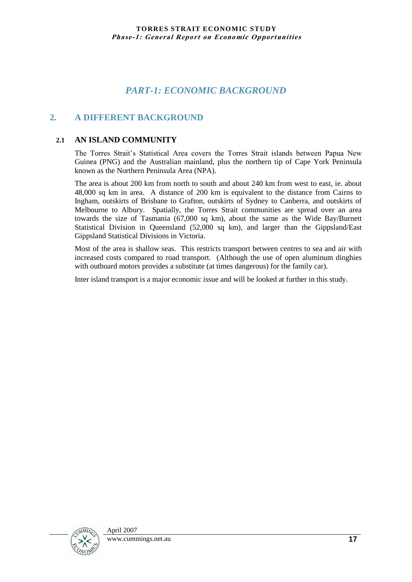#### *PART-1: ECONOMIC BACKGROUND*

#### **2. A DIFFERENT BACKGROUND**

#### **2.1 AN ISLAND COMMUNITY**

The Torres Strait"s Statistical Area covers the Torres Strait islands between Papua New Guinea (PNG) and the Australian mainland, plus the northern tip of Cape York Peninsula known as the Northern Peninsula Area (NPA).

The area is about 200 km from north to south and about 240 km from west to east, ie. about 48,000 sq km in area. A distance of 200 km is equivalent to the distance from Cairns to Ingham, outskirts of Brisbane to Grafton, outskirts of Sydney to Canberra, and outskirts of Melbourne to Albury. Spatially, the Torres Strait communities are spread over an area towards the size of Tasmania (67,000 sq km), about the same as the Wide Bay/Burnett Statistical Division in Queensland (52,000 sq km), and larger than the Gippsland/East Gippsland Statistical Divisions in Victoria.

Most of the area is shallow seas. This restricts transport between centres to sea and air with increased costs compared to road transport. (Although the use of open aluminum dinghies with outboard motors provides a substitute (at times dangerous) for the family car).

Inter island transport is a major economic issue and will be looked at further in this study.

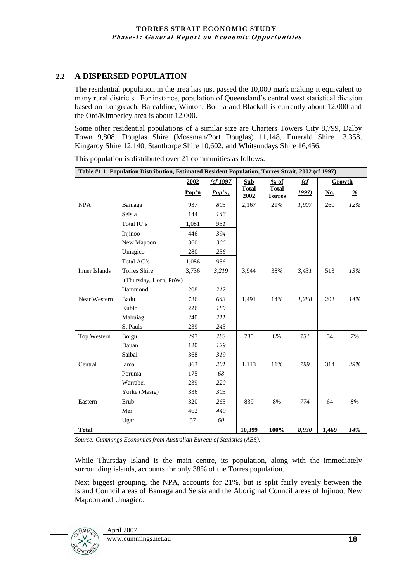#### **2.2 A DISPERSED POPULATION**

The residential population in the area has just passed the 10,000 mark making it equivalent to many rural districts. For instance, population of Queensland"s central west statistical division based on Longreach, Barcaldine, Winton, Boulia and Blackall is currently about 12,000 and the Ord/Kimberley area is about 12,000.

Some other residential populations of a similar size are Charters Towers City 8,799, Dalby Town 9,808, Douglas Shire (Mossman/Port Douglas) 11,148, Emerald Shire 13,358, Kingaroy Shire 12,140, Stanthorpe Shire 10,602, and Whitsundays Shire 16,456.

|               | Table #1.1: Population Distribution, Estimated Resident Population, Torres Strait, 2002 (cf 1997) |       |         |                      |                               |               |            |       |
|---------------|---------------------------------------------------------------------------------------------------|-------|---------|----------------------|-------------------------------|---------------|------------|-------|
|               |                                                                                                   | 2002  | (cf1997 | <b>Sub</b>           | % of                          | $\mathcal{L}$ | Growth     |       |
|               |                                                                                                   | Pop'n | Pop'n)  | <b>Total</b><br>2002 | <b>Total</b><br><b>Torres</b> | <u>1997)</u>  | <u>No.</u> | %     |
| <b>NPA</b>    | Bamaga                                                                                            | 937   | 805     | 2,167                | 21%                           | 1,907         | 260        | 12%   |
|               | Seisia                                                                                            | 144   | 146     |                      |                               |               |            |       |
|               | Total IC's                                                                                        | 1,081 | 951     |                      |                               |               |            |       |
|               | Injinoo                                                                                           | 446   | 394     |                      |                               |               |            |       |
|               | New Mapoon                                                                                        | 360   | 306     |                      |                               |               |            |       |
|               | Umagico                                                                                           | 280   | 256     |                      |                               |               |            |       |
|               | Total AC's                                                                                        | 1,086 | 956     |                      |                               |               |            |       |
| Inner Islands | Torres Shire                                                                                      | 3,736 | 3,219   | 3,944                | 38%                           | 3,431         | 513        | 13%   |
|               | (Thursday, Horn, PoW)                                                                             |       |         |                      |                               |               |            |       |
|               | Hammond                                                                                           | 208   | 212     |                      |                               |               |            |       |
| Near Western  | Badu                                                                                              | 786   | 643     | 1,491                | 14%                           | 1,288         | 203        | 14%   |
|               | Kubin                                                                                             | 226   | 189     |                      |                               |               |            |       |
|               | Mabuiag                                                                                           | 240   | 211     |                      |                               |               |            |       |
|               | <b>St Pauls</b>                                                                                   | 239   | 245     |                      |                               |               |            |       |
| Top Western   | Boigu                                                                                             | 297   | 283     | 785                  | 8%                            | 731           | 54         | 7%    |
|               | Dauan                                                                                             | 120   | 129     |                      |                               |               |            |       |
|               | Saibai                                                                                            | 368   | 319     |                      |                               |               |            |       |
| Central       | Iama                                                                                              | 363   | 201     | 1,113                | 11%                           | 799           | 314        | 39%   |
|               | Poruma                                                                                            | 175   | 68      |                      |                               |               |            |       |
|               | Warraber                                                                                          | 239   | 220     |                      |                               |               |            |       |
|               | Yorke (Masig)                                                                                     | 336   | 303     |                      |                               |               |            |       |
| Eastern       | Erub                                                                                              | 320   | 265     | 839                  | 8%                            | 774           | 64         | $8\%$ |
|               | Mer                                                                                               | 462   | 449     |                      |                               |               |            |       |
|               | Ugar                                                                                              | 57    | 60      |                      |                               |               |            |       |
| <b>Total</b>  |                                                                                                   |       |         | 10,399               | 100%                          | 8,930         | 1,469      | 14%   |

This population is distributed over 21 communities as follows.

*Source: Cummings Economics from Australian Bureau of Statistics (ABS).*

While Thursday Island is the main centre, its population, along with the immediately surrounding islands, accounts for only 38% of the Torres population.

Next biggest grouping, the NPA, accounts for 21%, but is split fairly evenly between the Island Council areas of Bamaga and Seisia and the Aboriginal Council areas of Injinoo, New Mapoon and Umagico.

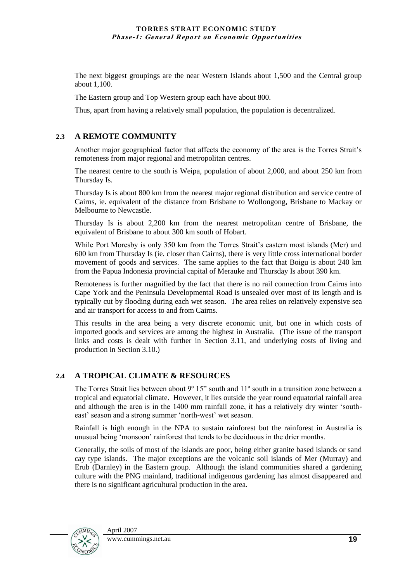The next biggest groupings are the near Western Islands about 1,500 and the Central group about 1,100.

The Eastern group and Top Western group each have about 800.

Thus, apart from having a relatively small population, the population is decentralized.

#### **2.3 A REMOTE COMMUNITY**

Another major geographical factor that affects the economy of the area is the Torres Strait"s remoteness from major regional and metropolitan centres.

The nearest centre to the south is Weipa, population of about 2,000, and about 250 km from Thursday Is.

Thursday Is is about 800 km from the nearest major regional distribution and service centre of Cairns, ie. equivalent of the distance from Brisbane to Wollongong, Brisbane to Mackay or Melbourne to Newcastle.

Thursday Is is about 2,200 km from the nearest metropolitan centre of Brisbane, the equivalent of Brisbane to about 300 km south of Hobart.

While Port Moresby is only 350 km from the Torres Strait's eastern most islands (Mer) and 600 km from Thursday Is (ie. closer than Cairns), there is very little cross international border movement of goods and services. The same applies to the fact that Boigu is about 240 km from the Papua Indonesia provincial capital of Merauke and Thursday Is about 390 km.

Remoteness is further magnified by the fact that there is no rail connection from Cairns into Cape York and the Peninsula Developmental Road is unsealed over most of its length and is typically cut by flooding during each wet season. The area relies on relatively expensive sea and air transport for access to and from Cairns.

This results in the area being a very discrete economic unit, but one in which costs of imported goods and services are among the highest in Australia. (The issue of the transport links and costs is dealt with further in Section 3.11, and underlying costs of living and production in Section 3.10.)

#### **2.4 A TROPICAL CLIMATE & RESOURCES**

The Torres Strait lies between about 9° 15" south and 11° south in a transition zone between a tropical and equatorial climate. However, it lies outside the year round equatorial rainfall area and although the area is in the 1400 mm rainfall zone, it has a relatively dry winter "southeast' season and a strong summer 'north-west' wet season.

Rainfall is high enough in the NPA to sustain rainforest but the rainforest in Australia is unusual being "monsoon" rainforest that tends to be deciduous in the drier months.

Generally, the soils of most of the islands are poor, being either granite based islands or sand cay type islands. The major exceptions are the volcanic soil islands of Mer (Murray) and Erub (Darnley) in the Eastern group. Although the island communities shared a gardening culture with the PNG mainland, traditional indigenous gardening has almost disappeared and there is no significant agricultural production in the area.

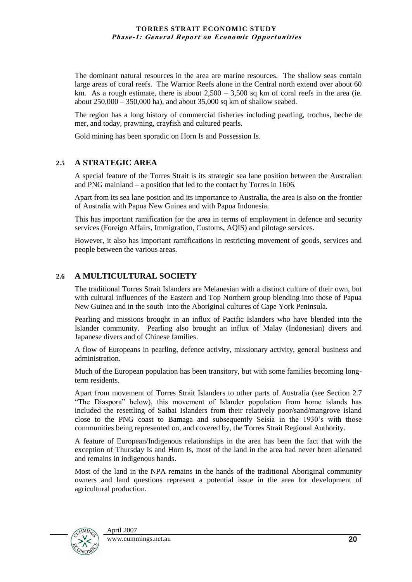The dominant natural resources in the area are marine resources. The shallow seas contain large areas of coral reefs. The Warrior Reefs alone in the Central north extend over about 60 km. As a rough estimate, there is about  $2,500 - 3,500$  sq km of coral reefs in the area (ie. about 250,000 – 350,000 ha), and about 35,000 sq km of shallow seabed.

The region has a long history of commercial fisheries including pearling, trochus, beche de mer, and today, prawning, crayfish and cultured pearls.

Gold mining has been sporadic on Horn Is and Possession Is.

#### **2.5 A STRATEGIC AREA**

A special feature of the Torres Strait is its strategic sea lane position between the Australian and PNG mainland – a position that led to the contact by Torres in 1606.

Apart from its sea lane position and its importance to Australia, the area is also on the frontier of Australia with Papua New Guinea and with Papua Indonesia.

This has important ramification for the area in terms of employment in defence and security services (Foreign Affairs, Immigration, Customs, AQIS) and pilotage services.

However, it also has important ramifications in restricting movement of goods, services and people between the various areas.

#### **2.6 A MULTICULTURAL SOCIETY**

The traditional Torres Strait Islanders are Melanesian with a distinct culture of their own, but with cultural influences of the Eastern and Top Northern group blending into those of Papua New Guinea and in the south into the Aboriginal cultures of Cape York Peninsula.

Pearling and missions brought in an influx of Pacific Islanders who have blended into the Islander community. Pearling also brought an influx of Malay (Indonesian) divers and Japanese divers and of Chinese families.

A flow of Europeans in pearling, defence activity, missionary activity, general business and administration.

Much of the European population has been transitory, but with some families becoming longterm residents.

Apart from movement of Torres Strait Islanders to other parts of Australia (see Section 2.7 "The Diaspora" below), this movement of Islander population from home islands has included the resettling of Saibai Islanders from their relatively poor/sand/mangrove island close to the PNG coast to Bamaga and subsequently Seisia in the 1930"s with those communities being represented on, and covered by, the Torres Strait Regional Authority.

A feature of European/Indigenous relationships in the area has been the fact that with the exception of Thursday Is and Horn Is, most of the land in the area had never been alienated and remains in indigenous hands.

Most of the land in the NPA remains in the hands of the traditional Aboriginal community owners and land questions represent a potential issue in the area for development of agricultural production.

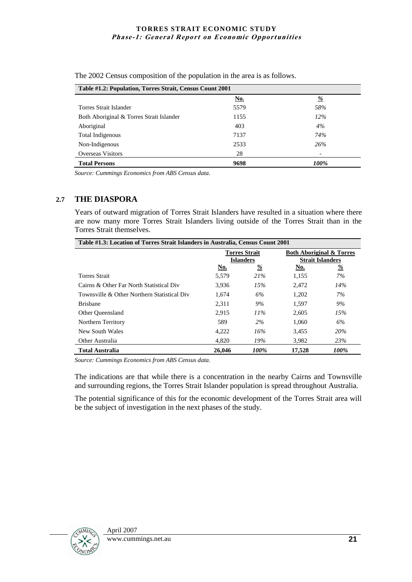| Table #1.2: Population, Torres Strait, Census Count 2001 |            |        |  |  |  |
|----------------------------------------------------------|------------|--------|--|--|--|
|                                                          | <u>No.</u> | %      |  |  |  |
| Torres Strait Islander                                   | 5579       | 58%    |  |  |  |
| Both Aboriginal & Torres Strait Islander                 | 1155       | $12\%$ |  |  |  |
| Aboriginal                                               | 403        | 4%     |  |  |  |
| Total Indigenous                                         | 7137       | 74%    |  |  |  |
| Non-Indigenous                                           | 2533       | 26%    |  |  |  |
| <b>Overseas Visitors</b>                                 | 28         | ٠      |  |  |  |
| <b>Total Persons</b>                                     | 9698       | 100%   |  |  |  |

The 2002 Census composition of the population in the area is as follows.

*Source: Cummings Economics from ABS Census data.*

#### **2.7 THE DIASPORA**

Years of outward migration of Torres Strait Islanders have resulted in a situation where there are now many more Torres Strait Islanders living outside of the Torres Strait than in the Torres Strait themselves.

| Table #1.3: Location of Torres Strait Islanders in Australia, Census Count 2001 |                                          |          |                                                                |               |
|---------------------------------------------------------------------------------|------------------------------------------|----------|----------------------------------------------------------------|---------------|
|                                                                                 | <b>Torres Strait</b><br><b>Islanders</b> |          | <b>Both Aboriginal &amp; Torres</b><br><b>Strait Islanders</b> |               |
|                                                                                 | No.                                      | <u>%</u> | No.                                                            | $\frac{9}{6}$ |
| <b>Torres Strait</b>                                                            | 5,579                                    | 21%      | 1,155                                                          | 7%            |
| Cairns & Other Far North Statistical Div                                        | 3.936                                    | 15%      | 2.472                                                          | 14%           |
| Townsville & Other Northern Statistical Div                                     | 1.674                                    | 6%       | 1.202                                                          | 7%            |
| <b>Brishane</b>                                                                 | 2.311                                    | 9%       | 1.597                                                          | 9%            |
| <b>Other Queensland</b>                                                         | 2,915                                    | 11%      | 2.605                                                          | 15%           |
| Northern Territory                                                              | 589                                      | 2%       | 1.060                                                          | 6%            |
| New South Wales                                                                 | 4.222                                    | 16%      | 3.455                                                          | 20%           |
| Other Australia                                                                 | 4.820                                    | 19%      | 3,982                                                          | 23%           |
| Total Australia                                                                 | 26,046                                   | 100%     | 17.528                                                         | 100%          |

*Source: Cummings Economics from ABS Census data.*

The indications are that while there is a concentration in the nearby Cairns and Townsville and surrounding regions, the Torres Strait Islander population is spread throughout Australia.

The potential significance of this for the economic development of the Torres Strait area will be the subject of investigation in the next phases of the study.

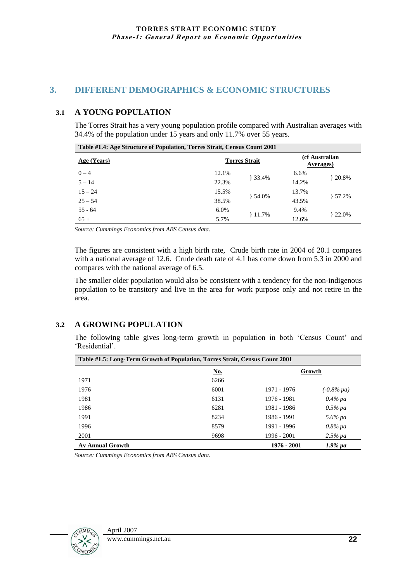#### **3. DIFFERENT DEMOGRAPHICS & ECONOMIC STRUCTURES**

#### **3.1 A YOUNG POPULATION**

The Torres Strait has a very young population profile compared with Australian averages with 34.4% of the population under 15 years and only 11.7% over 55 years.

| Table #1.4: Age Structure of Population, Torres Strait, Census Count 2001 |       |                      |       |                              |
|---------------------------------------------------------------------------|-------|----------------------|-------|------------------------------|
| Age (Years)                                                               |       | <b>Torres Strait</b> |       | (cf Australian)<br>Averages) |
| $0 - 4$                                                                   | 12.1% | } 33.4%              | 6.6%  | $+20.8%$                     |
| $5 - 14$                                                                  | 22.3% |                      | 14.2% |                              |
| $15 - 24$                                                                 | 15.5% | $+54.0%$             | 13.7% |                              |
| $25 - 54$                                                                 | 38.5% |                      | 43.5% | $+57.2%$                     |
| $55 - 64$                                                                 | 6.0%  |                      | 9.4%  |                              |
| $65+$                                                                     | 5.7%  | 11.7%                | 12.6% | $+22.0%$                     |

*Source: Cummings Economics from ABS Census data.*

The figures are consistent with a high birth rate, Crude birth rate in 2004 of 20.1 compares with a national average of 12.6. Crude death rate of 4.1 has come down from 5.3 in 2000 and compares with the national average of 6.5.

The smaller older population would also be consistent with a tendency for the non-indigenous population to be transitory and live in the area for work purpose only and not retire in the area.

#### **3.2 A GROWING POPULATION**

The following table gives long-term growth in population in both "Census Count" and 'Residential'.

| Table #1.5: Long-Term Growth of Population, Torres Strait, Census Count 2001 |      |             |               |
|------------------------------------------------------------------------------|------|-------------|---------------|
|                                                                              | No.  | Growth      |               |
| 1971                                                                         | 6266 |             |               |
| 1976                                                                         | 6001 | 1971 - 1976 | $(-0.8\%$ pa) |
| 1981                                                                         | 6131 | 1976 - 1981 | $0.4\%$ pa    |
| 1986                                                                         | 6281 | 1981 - 1986 | $0.5\%$ pa    |
| 1991                                                                         | 8234 | 1986 - 1991 | 5.6% pa       |
| 1996                                                                         | 8579 | 1991 - 1996 | $0.8\%$ pa    |
| 2001                                                                         | 9698 | 1996 - 2001 | $2.5\%$ pa    |
| <b>Av Annual Growth</b>                                                      |      | 1976 - 2001 | $1.9\%$ pa    |

*Source: Cummings Economics from ABS Census data.*

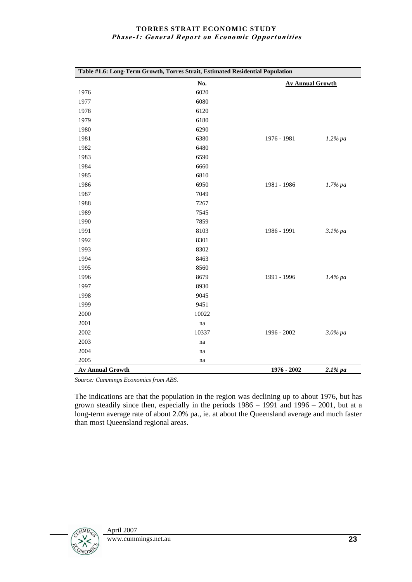| Table #1.6: Long-Term Growth, Torres Strait, Estimated Residential Population |       |                         |            |
|-------------------------------------------------------------------------------|-------|-------------------------|------------|
|                                                                               | No.   | <b>Av Annual Growth</b> |            |
| 1976                                                                          | 6020  |                         |            |
| 1977                                                                          | 6080  |                         |            |
| 1978                                                                          | 6120  |                         |            |
| 1979                                                                          | 6180  |                         |            |
| 1980                                                                          | 6290  |                         |            |
| 1981                                                                          | 6380  | 1976 - 1981             | $1.2\%$ pa |
| 1982                                                                          | 6480  |                         |            |
| 1983                                                                          | 6590  |                         |            |
| 1984                                                                          | 6660  |                         |            |
| 1985                                                                          | 6810  |                         |            |
| 1986                                                                          | 6950  | 1981 - 1986             | $1.7%$ pa  |
| 1987                                                                          | 7049  |                         |            |
| 1988                                                                          | 7267  |                         |            |
| 1989                                                                          | 7545  |                         |            |
| 1990                                                                          | 7859  |                         |            |
| 1991                                                                          | 8103  | 1986 - 1991             | $3.1\%$ pa |
| 1992                                                                          | 8301  |                         |            |
| 1993                                                                          | 8302  |                         |            |
| 1994                                                                          | 8463  |                         |            |
| 1995                                                                          | 8560  |                         |            |
| 1996                                                                          | 8679  | 1991 - 1996             | $1.4\%$ pa |
| 1997                                                                          | 8930  |                         |            |
| 1998                                                                          | 9045  |                         |            |
| 1999                                                                          | 9451  |                         |            |
| 2000                                                                          | 10022 |                         |            |
| 2001                                                                          | na    |                         |            |
| 2002                                                                          | 10337 | 1996 - 2002             | $3.0\%$ pa |
| 2003                                                                          | na    |                         |            |
| 2004                                                                          | na    |                         |            |
| 2005                                                                          | na    |                         |            |
| <b>Av Annual Growth</b>                                                       |       | 1976 - 2002             | $2.1\%$ pa |

*Source: Cummings Economics from ABS.*

The indications are that the population in the region was declining up to about 1976, but has grown steadily since then, especially in the periods  $1986 - 1991$  and  $1996 - 2001$ , but at a long-term average rate of about 2.0% pa., ie. at about the Queensland average and much faster than most Queensland regional areas.

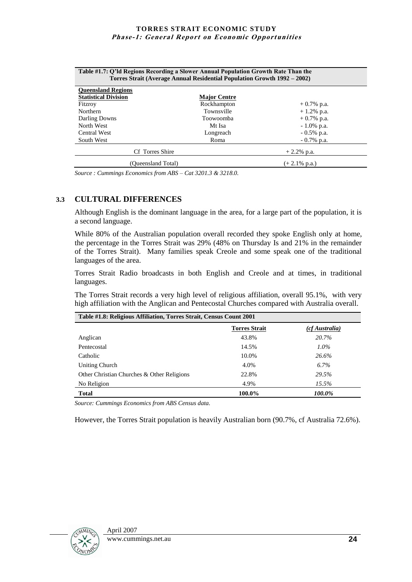| Table #1.7: Q'ld Regions Recording a Slower Annual Population Growth Rate Than the<br>Torres Strait (Average Annual Residential Population Growth 1992 – 2002) |                     |                          |  |  |  |  |
|----------------------------------------------------------------------------------------------------------------------------------------------------------------|---------------------|--------------------------|--|--|--|--|
| <b>Oueensland Regions</b>                                                                                                                                      |                     |                          |  |  |  |  |
| <b>Statistical Division</b>                                                                                                                                    | <b>Major Centre</b> |                          |  |  |  |  |
| Fitzroy                                                                                                                                                        | Rockhampton         | $+0.7\%$ p.a.            |  |  |  |  |
| Northern                                                                                                                                                       | Townsville          | $+1.2\%$ p.a.            |  |  |  |  |
| Darling Downs                                                                                                                                                  | Toowoomba           | $+0.7\%$ p.a.            |  |  |  |  |
| North West                                                                                                                                                     | Mt Isa              | $-1.0\%$ p.a.            |  |  |  |  |
| <b>Central West</b>                                                                                                                                            | Longreach           | $-0.5\%$ p.a.            |  |  |  |  |
| South West                                                                                                                                                     | Roma                | $-0.7\%$ p.a.            |  |  |  |  |
| Cf Torres Shire<br>$+2.2\%$ p.a.                                                                                                                               |                     |                          |  |  |  |  |
| (Oueensland Total)                                                                                                                                             |                     | $(+ 2.1\% \text{ p.a.})$ |  |  |  |  |

*Source : Cummings Economics from ABS – Cat 3201.3 & 3218.0.*

#### **3.3 CULTURAL DIFFERENCES**

Although English is the dominant language in the area, for a large part of the population, it is a second language.

While 80% of the Australian population overall recorded they spoke English only at home, the percentage in the Torres Strait was 29% (48% on Thursday Is and 21% in the remainder of the Torres Strait). Many families speak Creole and some speak one of the traditional languages of the area.

Torres Strait Radio broadcasts in both English and Creole and at times, in traditional languages.

The Torres Strait records a very high level of religious affiliation, overall 95.1%, with very high affiliation with the Anglican and Pentecostal Churches compared with Australia overall.

| Table #1.8: Religious Affiliation, Torres Strait, Census Count 2001 |                      |                |  |  |
|---------------------------------------------------------------------|----------------------|----------------|--|--|
|                                                                     | <b>Torres Strait</b> | (cf Australia) |  |  |
| Anglican                                                            | 43.8%                | 20.7%          |  |  |
| Pentecostal                                                         | 14.5%                | $1.0\%$        |  |  |
| Catholic                                                            | 10.0%                | 26.6%          |  |  |
| Uniting Church                                                      | 4.0%                 | $6.7\%$        |  |  |
| Other Christian Churches & Other Religions                          | 22.8%                | 29.5%          |  |  |
| No Religion                                                         | 4.9%                 | $15.5\%$       |  |  |
| <b>Total</b>                                                        | 100.0%               | 100.0%         |  |  |

*Source: Cummings Economics from ABS Census data.*

However, the Torres Strait population is heavily Australian born (90.7%, cf Australia 72.6%).

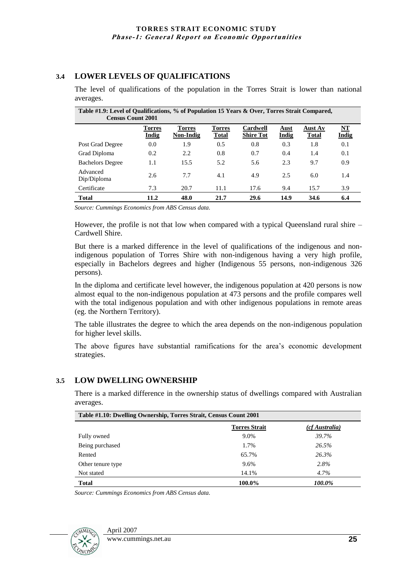#### **3.4 LOWER LEVELS OF QUALIFICATIONS**

| Table #1.9: Level of Qualifications, % of Population 15 Years & Over, Torres Strait Compared,<br><b>Census Count 2001</b> |                               |                            |                        |                              |                      |                         |                    |
|---------------------------------------------------------------------------------------------------------------------------|-------------------------------|----------------------------|------------------------|------------------------------|----------------------|-------------------------|--------------------|
|                                                                                                                           | <b>Torres</b><br><b>Indig</b> | <b>Torres</b><br>Non-Indig | Torres<br><b>Total</b> | Cardwell<br><b>Shire Tot</b> | Aust<br><b>Indig</b> | Aust Av<br><b>Total</b> | NT<br><b>Indig</b> |
| Post Grad Degree                                                                                                          | 0.0                           | 1.9                        | 0.5                    | 0.8                          | 0.3                  | 1.8                     | 0.1                |
| Grad Diploma                                                                                                              | 0.2                           | 2.2                        | 0.8                    | 0.7                          | 0.4                  | 1.4                     | 0.1                |
| <b>Bachelors Degree</b>                                                                                                   | 1.1                           | 15.5                       | 5.2                    | 5.6                          | 2.3                  | 9.7                     | 0.9                |
| Advanced<br>Dip/Diploma                                                                                                   | 2.6                           | 7.7                        | 4.1                    | 4.9                          | 2.5                  | 6.0                     | 1.4                |
| Certificate                                                                                                               | 7.3                           | 20.7                       | 11.1                   | 17.6                         | 9.4                  | 15.7                    | 3.9                |
| <b>Total</b>                                                                                                              | 11.2                          | 48.0                       | 21.7                   | 29.6                         | 14.9                 | 34.6                    | 6.4                |

The level of qualifications of the population in the Torres Strait is lower than national averages.

*Source: Cummings Economics from ABS Census data.*

However, the profile is not that low when compared with a typical Queensland rural shire – Cardwell Shire.

But there is a marked difference in the level of qualifications of the indigenous and nonindigenous population of Torres Shire with non-indigenous having a very high profile, especially in Bachelors degrees and higher (Indigenous 55 persons, non-indigenous 326 persons).

In the diploma and certificate level however, the indigenous population at 420 persons is now almost equal to the non-indigenous population at 473 persons and the profile compares well with the total indigenous population and with other indigenous populations in remote areas (eg. the Northern Territory).

The table illustrates the degree to which the area depends on the non-indigenous population for higher level skills.

The above figures have substantial ramifications for the area's economic development strategies.

#### **3.5 LOW DWELLING OWNERSHIP**

There is a marked difference in the ownership status of dwellings compared with Australian averages.

| Table #1.10: Dwelling Ownership, Torres Strait, Census Count 2001 |                      |                |  |  |
|-------------------------------------------------------------------|----------------------|----------------|--|--|
|                                                                   | <b>Torres Strait</b> | (cf Australia) |  |  |
| Fully owned                                                       | $9.0\%$              | 39.7%          |  |  |
| Being purchased                                                   | 1.7%                 | 26.5%          |  |  |
| Rented                                                            | 65.7%                | 26.3%          |  |  |
| Other tenure type                                                 | 9.6%                 | 2.8%           |  |  |
| Not stated                                                        | 14.1%                | 4.7%           |  |  |
| <b>Total</b>                                                      | 100.0%               | 100.0%         |  |  |

*Source: Cummings Economics from ABS Census data.*

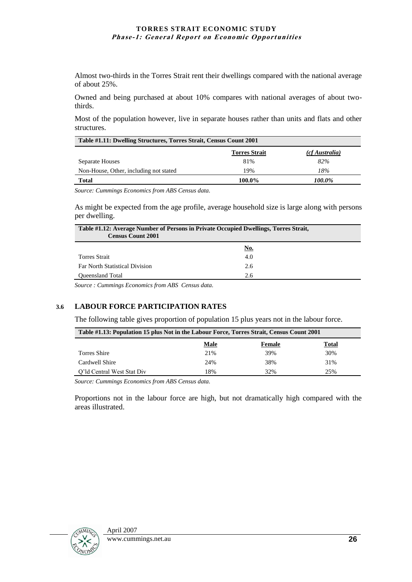Almost two-thirds in the Torres Strait rent their dwellings compared with the national average of about 25%.

Owned and being purchased at about 10% compares with national averages of about twothirds.

Most of the population however, live in separate houses rather than units and flats and other structures.

| Table #1.11: Dwelling Structures, Torres Strait, Census Count 2001 |                      |                |  |  |  |
|--------------------------------------------------------------------|----------------------|----------------|--|--|--|
|                                                                    | <b>Torres Strait</b> | (cf Australia) |  |  |  |
| Separate Houses                                                    | 81%                  | 82%            |  |  |  |
| Non-House, Other, including not stated                             | 19%                  | 18%            |  |  |  |
| 100.0%<br><b>Total</b><br>100.0%                                   |                      |                |  |  |  |

*Source: Cummings Economics from ABS Census data.*

As might be expected from the age profile, average household size is large along with persons per dwelling.

| Table #1.12: Average Number of Persons in Private Occupied Dwellings, Torres Strait,<br><b>Census Count 2001</b> |     |  |
|------------------------------------------------------------------------------------------------------------------|-----|--|
|                                                                                                                  | No. |  |
| <b>Torres Strait</b>                                                                                             | 4.0 |  |
| <b>Far North Statistical Division</b>                                                                            | 2.6 |  |
| Oueensland Total                                                                                                 | 2.6 |  |

*Source : Cummings Economics from ABS Census data.*

#### **3.6 LABOUR FORCE PARTICIPATION RATES**

The following table gives proportion of population 15 plus years not in the labour force.

| Table #1.13: Population 15 plus Not in the Labour Force, Torres Strait, Census Count 2001 |      |        |       |  |
|-------------------------------------------------------------------------------------------|------|--------|-------|--|
|                                                                                           | Male | Female | Total |  |
| Torres Shire                                                                              | 21%  | 39%    | 30%   |  |
| Cardwell Shire                                                                            | 24%  | 38%    | 31%   |  |
| O'ld Central West Stat Div                                                                | 18%  | 32%    | 25%   |  |

*Source: Cummings Economics from ABS Census data.*

Proportions not in the labour force are high, but not dramatically high compared with the areas illustrated.

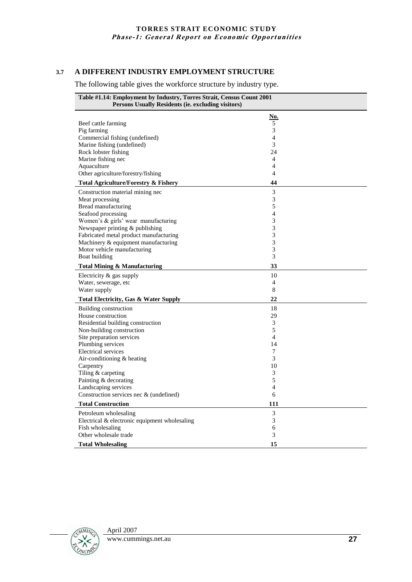#### **3.7 A DIFFERENT INDUSTRY EMPLOYMENT STRUCTURE**

The following table gives the workforce structure by industry type.

| Table #1.14: Employment by Industry, Torres Strait, Census Count 2001<br>Persons Usually Residents (ie. excluding visitors) |                |  |
|-----------------------------------------------------------------------------------------------------------------------------|----------------|--|
|                                                                                                                             | <u>No.</u>     |  |
| Beef cattle farming                                                                                                         | 5              |  |
| Pig farming                                                                                                                 | 3              |  |
| Commercial fishing (undefined)                                                                                              | 4              |  |
| Marine fishing (undefined)                                                                                                  | 3              |  |
| Rock lobster fishing                                                                                                        | 24             |  |
| Marine fishing nec                                                                                                          | $\overline{4}$ |  |
| Aquaculture                                                                                                                 | 4              |  |
| Other agriculture/forestry/fishing                                                                                          | $\overline{4}$ |  |
| <b>Total Agriculture/Forestry &amp; Fishery</b>                                                                             | 44             |  |
| Construction material mining nec                                                                                            | 3              |  |
| Meat processing                                                                                                             | 3              |  |
| Bread manufacturing                                                                                                         | 5              |  |
| Seafood processing                                                                                                          | $\overline{4}$ |  |
| Women's & girls' wear manufacturing                                                                                         | 3              |  |
| Newspaper printing & publishing                                                                                             | 3              |  |
| Fabricated metal product manufacturing                                                                                      | 3              |  |
| Machinery & equipment manufacturing                                                                                         | 3              |  |
| Motor vehicle manufacturing                                                                                                 | 3              |  |
| Boat building                                                                                                               | 3              |  |
| <b>Total Mining &amp; Manufacturing</b>                                                                                     | 33             |  |
| Electricity $&$ gas supply                                                                                                  | 10             |  |
| Water, sewerage, etc                                                                                                        | 4              |  |
| Water supply                                                                                                                | 8              |  |
| <b>Total Electricity, Gas &amp; Water Supply</b>                                                                            | 22             |  |
| Building construction                                                                                                       | 18             |  |
| House construction                                                                                                          | 29             |  |
| Residential building construction                                                                                           | 3              |  |
| Non-building construction                                                                                                   | 5              |  |
| Site preparation services                                                                                                   | $\overline{4}$ |  |
| Plumbing services                                                                                                           | 14             |  |
| Electrical services                                                                                                         | 7              |  |
| Air-conditioning & heating                                                                                                  | 3              |  |
| Carpentry                                                                                                                   | 10             |  |
| Tiling & carpeting                                                                                                          | 3              |  |
| Painting & decorating                                                                                                       | 5              |  |
| Landscaping services                                                                                                        | 4              |  |
| Construction services nec & (undefined)                                                                                     | 6              |  |
| <b>Total Construction</b>                                                                                                   | 111            |  |
| Petroleum wholesaling                                                                                                       | 3              |  |
| Electrical & electronic equipment wholesaling                                                                               | 3              |  |
| Fish wholesaling                                                                                                            | 6              |  |
| Other wholesale trade                                                                                                       | 3              |  |
| <b>Total Wholesaling</b>                                                                                                    | 15             |  |

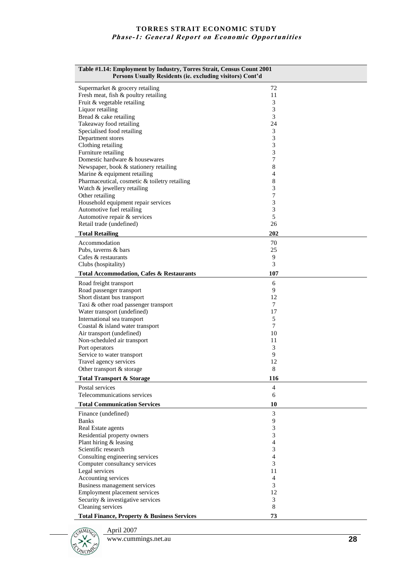| Table #1.14: Employment by Industry, Torres Strait, Census Count 2001<br>Persons Usually Residents (ie. excluding visitors) Cont'd |                  |
|------------------------------------------------------------------------------------------------------------------------------------|------------------|
| Supermarket & grocery retailing                                                                                                    | 72               |
| Fresh meat, fish & poultry retailing                                                                                               | 11               |
| Fruit & vegetable retailing                                                                                                        | 3                |
| Liquor retailing                                                                                                                   | 3                |
| Bread & cake retailing                                                                                                             | 3                |
| Takeaway food retailing<br>Specialised food retailing                                                                              | 24<br>3          |
| Department stores                                                                                                                  | $\mathfrak{Z}$   |
| Clothing retailing                                                                                                                 | 3                |
| Furniture retailing                                                                                                                | 3                |
| Domestic hardware & housewares                                                                                                     | $\boldsymbol{7}$ |
| Newspaper, book & stationery retailing                                                                                             | 8                |
| Marine & equipment retailing                                                                                                       | 4                |
| Pharmaceutical, cosmetic & toiletry retailing                                                                                      | 8                |
| Watch & jewellery retailing                                                                                                        | 3                |
| Other retailing<br>Household equipment repair services                                                                             | 7<br>3           |
| Automotive fuel retailing                                                                                                          | 3                |
| Automotive repair & services                                                                                                       | 5                |
| Retail trade (undefined)                                                                                                           | 26               |
| <b>Total Retailing</b>                                                                                                             | 202              |
|                                                                                                                                    |                  |
| Accommodation<br>Pubs, taverns & bars                                                                                              | 70<br>25         |
| Cafes & restaurants                                                                                                                | 9                |
| Clubs (hospitality)                                                                                                                | 3                |
| <b>Total Accommodation, Cafes &amp; Restaurants</b>                                                                                | 107              |
|                                                                                                                                    | 6                |
| Road freight transport<br>Road passenger transport                                                                                 | 9                |
| Short distant bus transport                                                                                                        | 12               |
| Taxi & other road passenger transport                                                                                              | 7                |
| Water transport (undefined)                                                                                                        | 17               |
| International sea transport                                                                                                        | 5                |
| Coastal & island water transport                                                                                                   | 7                |
| Air transport (undefined)                                                                                                          | 10               |
| Non-scheduled air transport                                                                                                        | 11               |
| Port operators                                                                                                                     | 3                |
| Service to water transport                                                                                                         | 9                |
| Travel agency services                                                                                                             | 12<br>8          |
| Other transport & storage                                                                                                          |                  |
| <b>Total Transport &amp; Storage</b>                                                                                               | 116              |
| Postal services<br>Telecommunications services                                                                                     | 4<br>6           |
|                                                                                                                                    |                  |
| <b>Total Communication Services</b>                                                                                                | 10               |
| Finance (undefined)                                                                                                                | 3                |
| <b>Banks</b><br>Real Estate agents                                                                                                 | 9<br>3           |
| Residential property owners                                                                                                        | 3                |
| Plant hiring & leasing                                                                                                             | 4                |
| Scientific research                                                                                                                | 3                |
| Consulting engineering services                                                                                                    | 4                |
| Computer consultancy services                                                                                                      | 3                |
| Legal services                                                                                                                     | 11               |
| Accounting services                                                                                                                | $\overline{4}$   |
| Business management services                                                                                                       | 3                |
| Employment placement services                                                                                                      | 12               |
| Security & investigative services                                                                                                  | 3                |
| Cleaning services                                                                                                                  | 8                |
| <b>Total Finance, Property &amp; Business Services</b>                                                                             | 73               |

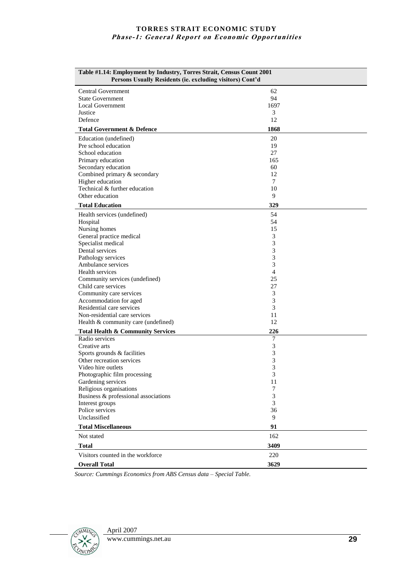| Table #1.14: Employment by Industry, Torres Strait, Census Count 2001<br>Persons Usually Residents (ie. excluding visitors) Cont'd |                |  |
|------------------------------------------------------------------------------------------------------------------------------------|----------------|--|
| <b>Central Government</b>                                                                                                          | 62             |  |
| <b>State Government</b>                                                                                                            | 94             |  |
| Local Government                                                                                                                   | 1697           |  |
| Justice                                                                                                                            | 3              |  |
| Defence                                                                                                                            | 12             |  |
| <b>Total Government &amp; Defence</b>                                                                                              | 1868           |  |
| Education (undefined)                                                                                                              | 20             |  |
| Pre school education                                                                                                               | 19             |  |
| School education                                                                                                                   | 27             |  |
| Primary education                                                                                                                  | 165            |  |
| Secondary education                                                                                                                | 60             |  |
| Combined primary & secondary                                                                                                       | 12             |  |
| Higher education                                                                                                                   | 7              |  |
| Technical & further education                                                                                                      | 10             |  |
| Other education                                                                                                                    | 9              |  |
| <b>Total Education</b>                                                                                                             | 329            |  |
| Health services (undefined)                                                                                                        | 54             |  |
| Hospital                                                                                                                           | 54             |  |
| Nursing homes                                                                                                                      | 15             |  |
| General practice medical                                                                                                           | 3              |  |
| Specialist medical                                                                                                                 | 3              |  |
| Dental services                                                                                                                    | 3              |  |
| Pathology services                                                                                                                 | 3              |  |
| Ambulance services                                                                                                                 | 3              |  |
| Health services                                                                                                                    | $\overline{4}$ |  |
| Community services (undefined)                                                                                                     | 25             |  |
| Child care services                                                                                                                | 27             |  |
| Community care services                                                                                                            | 3              |  |
| Accommodation for aged                                                                                                             | 3              |  |
| Residential care services                                                                                                          | 3              |  |
| Non-residential care services                                                                                                      | 11             |  |
| Health & community care (undefined)                                                                                                | 12             |  |
| <b>Total Health &amp; Community Services</b>                                                                                       | 226            |  |
| Radio services                                                                                                                     | 7              |  |
| Creative arts                                                                                                                      | 3              |  |
| Sports grounds & facilities<br>Other recreation services                                                                           | 3              |  |
| Video hire outlets                                                                                                                 | 3<br>3         |  |
|                                                                                                                                    | 3              |  |
| Photographic film processing<br>Gardening services                                                                                 | 11             |  |
| Religious organisations                                                                                                            | 7              |  |
| Business & professional associations                                                                                               | 3              |  |
| Interest groups                                                                                                                    | 3              |  |
| Police services                                                                                                                    | 36             |  |
| Unclassified                                                                                                                       | 9              |  |
| <b>Total Miscellaneous</b>                                                                                                         | 91             |  |
| Not stated                                                                                                                         | 162            |  |
| <b>Total</b>                                                                                                                       | 3409           |  |
| Visitors counted in the workforce                                                                                                  | 220            |  |
| <b>Overall Total</b>                                                                                                               | 3629           |  |

*Source: Cummings Economics from ABS Census data – Special Table.*

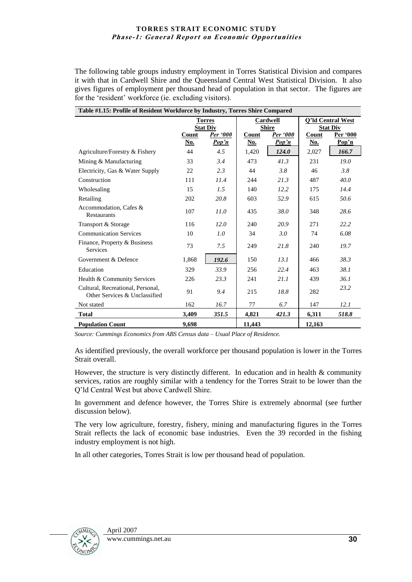The following table groups industry employment in Torres Statistical Division and compares it with that in Cardwell Shire and the Queensland Central West Statistical Division. It also gives figures of employment per thousand head of population in that sector. The figures are for the 'resident' workforce (ie. excluding visitors).

| Table #1.15: Profile of Resident Workforce by Industry, Torres Shire Compared |                                  |                          |                          |                          |                                      |                   |
|-------------------------------------------------------------------------------|----------------------------------|--------------------------|--------------------------|--------------------------|--------------------------------------|-------------------|
|                                                                               | <b>Torres</b><br><b>Stat Div</b> |                          | Cardwell<br><b>Shire</b> |                          | O'ld Central West<br><b>Stat Div</b> |                   |
|                                                                               | Count<br><u>No.</u>              | <b>Per</b> '000<br>Pop'n | Count<br><u>No.</u>      | <b>Per</b> '000<br>Pop'n | Count<br><u>No.</u>                  | Per '000<br>Pop'n |
| Agriculture/Forestry & Fishery                                                | 44                               | 4.5                      | 1,420                    | 124.0                    | 2,027                                | 166.7             |
| Mining & Manufacturing                                                        | 33                               | 3.4                      | 473                      | 41.3                     | 231                                  | 19.0              |
| Electricity, Gas & Water Supply                                               | 22                               | 2.3                      | 44                       | 3.8                      | 46                                   | 3.8               |
| Construction                                                                  | 111                              | 11.4                     | 244                      | 21.3                     | 487                                  | 40.0              |
| Wholesaling                                                                   | 15                               | 1.5                      | 140                      | 12.2                     | 175                                  | 14.4              |
| Retailing                                                                     | 202                              | 20.8                     | 603                      | 52.9                     | 615                                  | 50.6              |
| Accommodation. Cafes &<br><b>Restaurants</b>                                  | 107                              | 11.0                     | 435                      | 38.0                     | 348                                  | 28.6              |
| Transport & Storage                                                           | 116                              | 12.0                     | 240                      | 20.9                     | 271                                  | 22.2              |
| <b>Communication Services</b>                                                 | 10                               | 1.0                      | 34                       | 3.0                      | 74                                   | 6.08              |
| Finance, Property & Business<br><b>Services</b>                               | 73                               | 7.5                      | 249                      | 21.8                     | 240                                  | 19.7              |
| Government & Defence                                                          | 1,868                            | 192.6                    | 150                      | 13.1                     | 466                                  | 38.3              |
| Education                                                                     | 329                              | 33.9                     | 256                      | 22.4                     | 463                                  | 38.1              |
| Health & Community Services                                                   | 226                              | 23.3                     | 241                      | 21.1                     | 439                                  | 36.1              |
| Cultural, Recreational, Personal,<br>Other Services & Unclassified            | 91                               | 9.4                      | 215                      | 18.8                     | 282                                  | 23.2              |
| Not stated                                                                    | 162                              | 16.7                     | 77                       | 6.7                      | 147                                  | 12.1              |
| <b>Total</b>                                                                  | 3,409                            | 351.5                    | 4,821                    | 421.3                    | 6,311                                | 518.8             |
| <b>Population Count</b>                                                       | 9.698                            |                          | 11,443                   |                          | 12,163                               |                   |

*Source: Cummings Economics from ABS Census data – Usual Place of Residence.*

As identified previously, the overall workforce per thousand population is lower in the Torres Strait overall.

However, the structure is very distinctly different. In education and in health  $\&$  community services, ratios are roughly similar with a tendency for the Torres Strait to be lower than the Q"ld Central West but above Cardwell Shire.

In government and defence however, the Torres Shire is extremely abnormal (see further discussion below).

The very low agriculture, forestry, fishery, mining and manufacturing figures in the Torres Strait reflects the lack of economic base industries. Even the 39 recorded in the fishing industry employment is not high.

In all other categories, Torres Strait is low per thousand head of population.

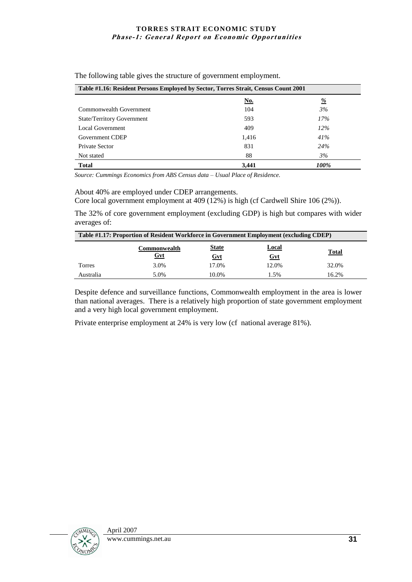| Table #1.16: Resident Persons Employed by Sector, Torres Strait, Census Count 2001 |            |          |
|------------------------------------------------------------------------------------|------------|----------|
|                                                                                    | <u>No.</u> | <u>%</u> |
| Commonwealth Government                                                            | 104        | 3%       |
| <b>State/Territory Government</b>                                                  | 593        | 17%      |
| Local Government                                                                   | 409        | $12\%$   |
| Government CDEP                                                                    | 1,416      | 41%      |
| <b>Private Sector</b>                                                              | 831        | 24%      |
| Not stated                                                                         | 88         | 3%       |
| <b>Total</b>                                                                       | 3,441      | 100%     |

The following table gives the structure of government employment.

*Source: Cummings Economics from ABS Census data – Usual Place of Residence.*

About 40% are employed under CDEP arrangements.

Core local government employment at 409 (12%) is high (cf Cardwell Shire 106 (2%)).

The 32% of core government employment (excluding GDP) is high but compares with wider averages of:

|           | Table #1.17: Proportion of Resident Workforce in Government Employment (excluding CDEP) |                     |              |              |
|-----------|-----------------------------------------------------------------------------------------|---------------------|--------------|--------------|
|           | Commonwealth                                                                            | <b>State</b>        | <u>Local</u> | <b>Total</b> |
| Torres    | <u>Gvt</u><br>3.0%                                                                      | <u>Gvt</u><br>17.0% | Gvt<br>12.0% | 32.0%        |
| Australia | 5.0%                                                                                    | 10.0%               | 1.5%         | 16.2%        |

Despite defence and surveillance functions, Commonwealth employment in the area is lower than national averages. There is a relatively high proportion of state government employment and a very high local government employment.

Private enterprise employment at 24% is very low (cf national average 81%).

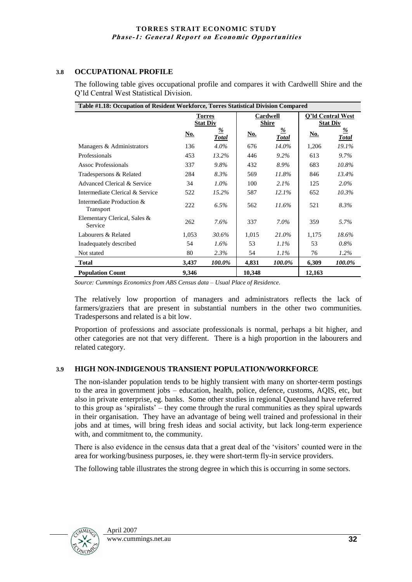#### **3.8 OCCUPATIONAL PROFILE**

The following table gives occupational profile and compares it with Cardwelll Shire and the Q"ld Central West Statistical Division.

| Table #1.18: Occupation of Resident Workforce, Torres Statistical Division Compared |                                  |                          |                   |                   |                                      |                               |
|-------------------------------------------------------------------------------------|----------------------------------|--------------------------|-------------------|-------------------|--------------------------------------|-------------------------------|
|                                                                                     | <b>Torres</b><br><b>Stat Div</b> |                          | Cardwell<br>Shire |                   | Q'ld Central West<br><b>Stat Div</b> |                               |
|                                                                                     | No.                              | <u>%</u><br><b>Total</b> | <u>No.</u>        | %<br><b>Total</b> | <u>No.</u>                           | $\frac{9}{6}$<br><b>Total</b> |
| Managers & Administrators                                                           | 136                              | $4.0\%$                  | 676               | $14.0\%$          | 1,206                                | 19.1%                         |
| Professionals                                                                       | 453                              | 13.2%                    | 446               | $9.2\%$           | 613                                  | 9.7%                          |
| <b>Assoc Professionals</b>                                                          | 337                              | $9.8\%$                  | 432               | 8.9%              | 683                                  | 10.8%                         |
| Tradespersons & Related                                                             | 284                              | 8.3%                     | 569               | 11.8%             | 846                                  | 13.4%                         |
| Advanced Clerical & Service                                                         | 34                               | $1.0\%$                  | 100               | 2.1%              | 125                                  | $2.0\%$                       |
| Intermediate Clerical & Service                                                     | 522                              | $15.2\%$                 | 587               | 12.1%             | 652                                  | $10.3\%$                      |
| Intermediate Production &<br>Transport                                              | 222                              | $6.5\%$                  | 562               | 11.6%             | 521                                  | 8.3%                          |
| Elementary Clerical, Sales &<br>Service                                             | 262                              | 7.6%                     | 337               | $7.0\%$           | 359                                  | 5.7%                          |
| Labourers & Related                                                                 | 1.053                            | 30.6%                    | 1.015             | 21.0%             | 1,175                                | $18.6\%$                      |
| Inadequately described                                                              | 54                               | 1.6%                     | 53                | $1.1\%$           | 53                                   | $0.8\%$                       |
| Not stated                                                                          | 80                               | 2.3%                     | 54                | $1.1\%$           | 76                                   | $1.2\%$                       |
| <b>Total</b>                                                                        | 3.437                            | 100.0%                   | 4,831             | 100.0%            | 6,309                                | 100.0%                        |
| <b>Population Count</b>                                                             | 9,346                            |                          | 10,348            |                   | 12,163                               |                               |

*Source: Cummings Economics from ABS Census data – Usual Place of Residence.*

The relatively low proportion of managers and administrators reflects the lack of farmers/graziers that are present in substantial numbers in the other two communities. Tradespersons and related is a bit low.

Proportion of professions and associate professionals is normal, perhaps a bit higher, and other categories are not that very different. There is a high proportion in the labourers and related category.

#### **3.9 HIGH NON-INDIGENOUS TRANSIENT POPULATION/WORKFORCE**

The non-islander population tends to be highly transient with many on shorter-term postings to the area in government jobs – education, health, police, defence, customs, AQIS, etc, but also in private enterprise, eg. banks. Some other studies in regional Queensland have referred to this group as "spiralists" – they come through the rural communities as they spiral upwards in their organisation. They have an advantage of being well trained and professional in their jobs and at times, will bring fresh ideas and social activity, but lack long-term experience with, and commitment to, the community.

There is also evidence in the census data that a great deal of the "visitors" counted were in the area for working/business purposes, ie. they were short-term fly-in service providers.

The following table illustrates the strong degree in which this is occurring in some sectors.

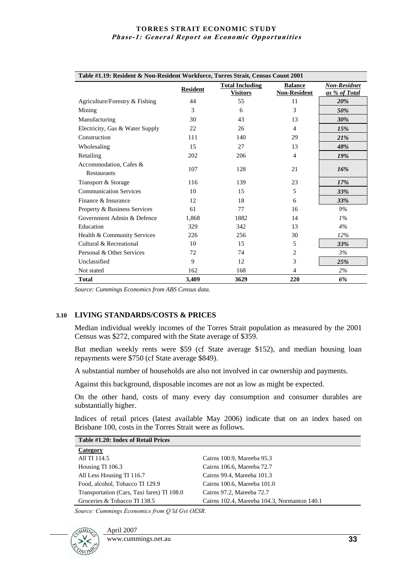| Table #1.19: Resident & Non-Resident Workforce, Torres Strait, Census Count 2001 |                 |                                           |                                       |                                      |
|----------------------------------------------------------------------------------|-----------------|-------------------------------------------|---------------------------------------|--------------------------------------|
|                                                                                  | <b>Resident</b> | <b>Total Including</b><br><b>Visitors</b> | <b>Balance</b><br><b>Non-Resident</b> | <b>Non-Residnet</b><br>as % of Total |
| Agriculture/Forestry & Fishing                                                   | 44              | 55                                        | 11                                    | 20%                                  |
| Mining                                                                           | 3               | 6                                         | 3                                     | 50%                                  |
| Manufacturing                                                                    | 30              | 43                                        | 13                                    | 30%                                  |
| Electricity, Gas & Water Supply                                                  | 22              | 26                                        | 4                                     | 15%                                  |
| Construction                                                                     | 111             | 140                                       | 29                                    | 21%                                  |
| Wholesaling                                                                      | 15              | 27                                        | 13                                    | 48%                                  |
| Retailing                                                                        | 202             | 206                                       | 4                                     | 19%                                  |
| Accommodation, Cafes &<br>Restaurants                                            | 107             | 128                                       | 21                                    | 16%                                  |
| Transport & Storage                                                              | 116             | 139                                       | 23                                    | 17%                                  |
| <b>Communication Services</b>                                                    | 10              | 15                                        | 5                                     | <b>33%</b>                           |
| Finance & Insurance                                                              | 12              | 18                                        | 6                                     | 33%                                  |
| Property & Business Services                                                     | 61              | 77                                        | 16                                    | $9\%$                                |
| Government Admin & Defence                                                       | 1.868           | 1882                                      | 14                                    | $1\%$                                |
| Education                                                                        | 329             | 342                                       | 13                                    | 4%                                   |
| Health & Community Services                                                      | 226             | 256                                       | 30                                    | 12%                                  |
| Cultural & Recreational                                                          | 10              | 15                                        | 5                                     | 33%                                  |
| Personal & Other Services                                                        | 72              | 74                                        | 2                                     | 3%                                   |
| Unclassified                                                                     | 9               | 12                                        | 3                                     | 25%                                  |
| Not stated                                                                       | 162             | 168                                       | $\overline{4}$                        | $2\%$                                |
| <b>Total</b>                                                                     | 3,409           | 3629                                      | 220                                   | 6%                                   |

*Source: Cummings Economics from ABS Census data.*

#### **3.10 LIVING STANDARDS/COSTS & PRICES**

Median individual weekly incomes of the Torres Strait population as measured by the 2001 Census was \$272, compared with the State average of \$359.

But median weekly rents were \$59 (cf State average \$152), and median housing loan repayments were \$750 (cf State average \$849).

A substantial number of households are also not involved in car ownership and payments.

Against this background, disposable incomes are not as low as might be expected.

On the other hand, costs of many every day consumption and consumer durables are substantially higher.

Indices of retail prices (latest available May 2006) indicate that on an index based on Brisbane 100, costs in the Torres Strait were as follows.

| Table #1.20: Index of Retail Prices        |                                              |
|--------------------------------------------|----------------------------------------------|
| Category                                   |                                              |
| All TI 114.5                               | Cairns 100.9, Mareeba 95.3                   |
| Housing TI 106.3                           | Cairns 106.6, Mareeba 72.7                   |
| All Less Housing TI 116.7                  | Cairns 99.4, Mareeba 101.3                   |
| Food, alcohol, Tobacco TI 129.9            | Cairns 100.6, Mareeba 101.0                  |
| Transportation (Cars, Taxi fares) TI 108.0 | Cairns 97.2, Mareeba 72.7                    |
| Groceries & Tobacco TI 138.5               | Cairns 102.4, Mareeba 104.3, Normanton 140.1 |

*Source: Cummings Economics from Q'ld Gvt OESR.*



April 2007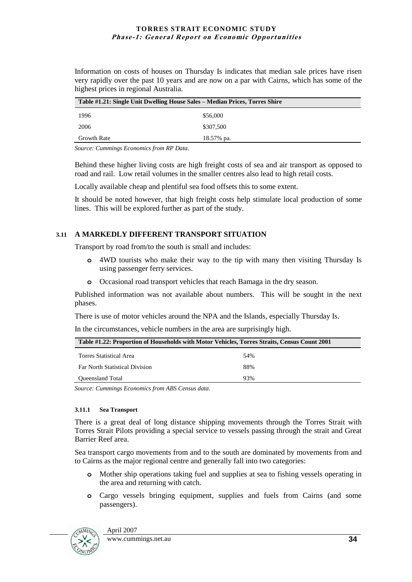Information on costs of houses on Thursday Is indicates that median sale prices have risen very rapidly over the past 10 years and are now on a par with Cairns, which has some of the highest prices in regional Australia.

| Table #1.21: Single Unit Dwelling House Sales – Median Prices, Torres Shire |            |  |
|-----------------------------------------------------------------------------|------------|--|
| 1996                                                                        | \$56,000   |  |
| 2006                                                                        | \$307,500  |  |
| Growth Rate                                                                 | 18.57% pa. |  |

*Source: Cummings Economics from RP Data.*

Behind these higher living costs are high freight costs of sea and air transport as opposed to road and rail. Low retail volumes in the smaller centres also lead to high retail costs.

Locally available cheap and plentiful sea food offsets this to some extent.

It should be noted however, that high freight costs help stimulate local production of some lines. This will be explored further as part of the study.

#### **3.11 A MARKEDLY DIFFERENT TRANSPORT SITUATION**

Transport by road from/to the south is small and includes:

- **o** 4WD tourists who make their way to the tip with many then visiting Thursday Is using passenger ferry services.
- **o** Occasional road transport vehicles that reach Bamaga in the dry season.

Published information was not available about numbers. This will be sought in the next phases.

There is use of motor vehicles around the NPA and the Islands, especially Thursday Is.

In the circumstances, vehicle numbers in the area are surprisingly high.

| Table #1.22: Proportion of Households with Motor Vehicles, Torres Straits, Census Count 2001 |     |  |
|----------------------------------------------------------------------------------------------|-----|--|
| Torres Statistical Area                                                                      | 54% |  |
| <b>Far North Statistical Division</b>                                                        | 88% |  |
| <b>Oueensland Total</b>                                                                      | 93% |  |

*Source: Cummings Economics from ABS Census data.*

#### **3.11.1 Sea Transport**

There is a great deal of long distance shipping movements through the Torres Strait with Torres Strait Pilots providing a special service to vessels passing through the strait and Great Barrier Reef area.

Sea transport cargo movements from and to the south are dominated by movements from and to Cairns as the major regional centre and generally fall into two categories:

- **o** Mother ship operations taking fuel and supplies at sea to fishing vessels operating in the area and returning with catch.
- **o** Cargo vessels bringing equipment, supplies and fuels from Cairns (and some passengers).

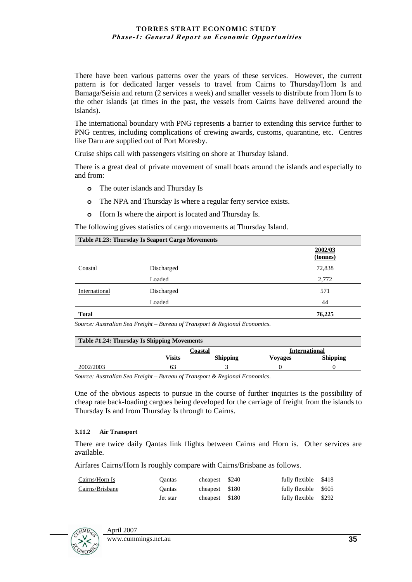There have been various patterns over the years of these services. However, the current pattern is for dedicated larger vessels to travel from Cairns to Thursday/Horn Is and Bamaga/Seisia and return (2 services a week) and smaller vessels to distribute from Horn Is to the other islands (at times in the past, the vessels from Cairns have delivered around the islands).

The international boundary with PNG represents a barrier to extending this service further to PNG centres, including complications of crewing awards, customs, quarantine, etc. Centres like Daru are supplied out of Port Moresby.

Cruise ships call with passengers visiting on shore at Thursday Island.

There is a great deal of private movement of small boats around the islands and especially to and from:

- **o** The outer islands and Thursday Is
- **o** The NPA and Thursday Is where a regular ferry service exists.
- **o** Horn Is where the airport is located and Thursday Is.

The following gives statistics of cargo movements at Thursday Island.

| Table #1.23: Thursday Is Seaport Cargo Movements |            |                     |
|--------------------------------------------------|------------|---------------------|
|                                                  |            | 2002/03<br>(tonnes) |
| Coastal                                          | Discharged | 72,838              |
|                                                  | Loaded     | 2,772               |
| International                                    | Discharged | 571                 |
|                                                  | Loaded     | 44                  |
| <b>Total</b>                                     |            | 76,225              |

*Source: Australian Sea Freight – Bureau of Transport & Regional Economics.*

| Table #1.24: Thursday Is Shipping Movements |         |                 |               |                 |
|---------------------------------------------|---------|-----------------|---------------|-----------------|
|                                             | Coastal |                 | International |                 |
|                                             | Visits  | <b>Shipping</b> | Vovages       | <b>Shipping</b> |
| 2002/2003                                   | 63      |                 |               |                 |

*Source: Australian Sea Freight – Bureau of Transport & Regional Economics.*

One of the obvious aspects to pursue in the course of further inquiries is the possibility of cheap rate back-loading cargoes being developed for the carriage of freight from the islands to Thursday Is and from Thursday Is through to Cairns.

#### **3.11.2 Air Transport**

There are twice daily Qantas link flights between Cairns and Horn is. Other services are available.

Airfares Cairns/Horn Is roughly compare with Cairns/Brisbane as follows.

| Cairns/Horn Is  | Oantas        | cheapest \$240 | fully flexible       | \$418 |
|-----------------|---------------|----------------|----------------------|-------|
| Cairns/Brisbane | <b>Oantas</b> | cheapest \$180 | fully flexible \$605 |       |
|                 | Jet star      | cheapest \$180 | fully flexible \$292 |       |

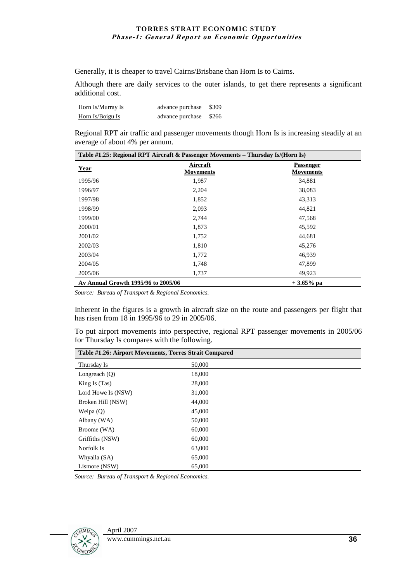Generally, it is cheaper to travel Cairns/Brisbane than Horn Is to Cairns.

Although there are daily services to the outer islands, to get there represents a significant additional cost.

| Horn Is/Murray Is | advance purchase \$309 |  |
|-------------------|------------------------|--|
| Horn Is/Boigu Is  | advance purchase \$266 |  |

Regional RPT air traffic and passenger movements though Horn Is is increasing steadily at an average of about 4% per annum.

| Table #1.25: Regional RPT Aircraft & Passenger Movements - Thursday Is/(Horn Is) |                              |                               |
|----------------------------------------------------------------------------------|------------------------------|-------------------------------|
| <b>Year</b>                                                                      | Aircraft<br><b>Movements</b> | Passenger<br><b>Movements</b> |
| 1995/96                                                                          | 1,987                        | 34,881                        |
| 1996/97                                                                          | 2,204                        | 38,083                        |
| 1997/98                                                                          | 1,852                        | 43,313                        |
| 1998/99                                                                          | 2,093                        | 44,821                        |
| 1999/00                                                                          | 2,744                        | 47,568                        |
| 2000/01                                                                          | 1,873                        | 45,592                        |
| 2001/02                                                                          | 1,752                        | 44,681                        |
| 2002/03                                                                          | 1,810                        | 45,276                        |
| 2003/04                                                                          | 1,772                        | 46,939                        |
| 2004/05                                                                          | 1,748                        | 47,899                        |
| 2005/06                                                                          | 1,737                        | 49,923                        |
| Av Annual Growth 1995/96 to 2005/06<br>$+3.65\%$ pa                              |                              |                               |

*Source: Bureau of Transport & Regional Economics.*

Inherent in the figures is a growth in aircraft size on the route and passengers per flight that has risen from 18 in 1995/96 to 29 in 2005/06.

To put airport movements into perspective, regional RPT passenger movements in 2005/06 for Thursday Is compares with the following.

| Table #1.26: Airport Movements, Torres Strait Compared |        |  |
|--------------------------------------------------------|--------|--|
| Thursday Is                                            | 50,000 |  |
| Longreach $(Q)$                                        | 18,000 |  |
| King Is (Tas)                                          | 28,000 |  |
| Lord Howe Is (NSW)                                     | 31,000 |  |
| Broken Hill (NSW)                                      | 44,000 |  |
| Weipa $(Q)$                                            | 45,000 |  |
| Albany (WA)                                            | 50,000 |  |
| Broome (WA)                                            | 60,000 |  |
| Griffiths (NSW)                                        | 60,000 |  |
| Norfolk Is                                             | 63,000 |  |
| Whyalla (SA)                                           | 65,000 |  |
| Lismore (NSW)                                          | 65,000 |  |

*Source: Bureau of Transport & Regional Economics.*

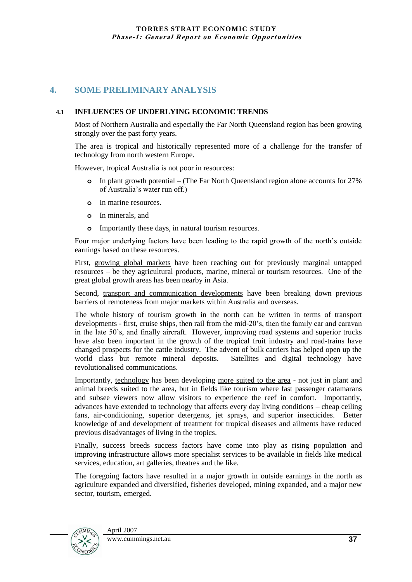# **4. SOME PRELIMINARY ANALYSIS**

## **4.1 INFLUENCES OF UNDERLYING ECONOMIC TRENDS**

Most of Northern Australia and especially the Far North Queensland region has been growing strongly over the past forty years.

The area is tropical and historically represented more of a challenge for the transfer of technology from north western Europe.

However, tropical Australia is not poor in resources:

- **o** In plant growth potential (The Far North Queensland region alone accounts for 27% of Australia"s water run off.)
- **o** In marine resources.
- **o** In minerals, and
- **o** Importantly these days, in natural tourism resources.

Four major underlying factors have been leading to the rapid growth of the north"s outside earnings based on these resources.

First, growing global markets have been reaching out for previously marginal untapped resources – be they agricultural products, marine, mineral or tourism resources. One of the great global growth areas has been nearby in Asia.

Second, transport and communication developments have been breaking down previous barriers of remoteness from major markets within Australia and overseas.

The whole history of tourism growth in the north can be written in terms of transport developments - first, cruise ships, then rail from the mid-20"s, then the family car and caravan in the late 50"s, and finally aircraft. However, improving road systems and superior trucks have also been important in the growth of the tropical fruit industry and road-trains have changed prospects for the cattle industry. The advent of bulk carriers has helped open up the world class but remote mineral deposits. Satellites and digital technology have revolutionalised communications.

Importantly, technology has been developing more suited to the area - not just in plant and animal breeds suited to the area, but in fields like tourism where fast passenger catamarans and subsee viewers now allow visitors to experience the reef in comfort. Importantly, advances have extended to technology that affects every day living conditions – cheap ceiling fans, air-conditioning, superior detergents, jet sprays, and superior insecticides. Better knowledge of and development of treatment for tropical diseases and ailments have reduced previous disadvantages of living in the tropics.

Finally, success breeds success factors have come into play as rising population and improving infrastructure allows more specialist services to be available in fields like medical services, education, art galleries, theatres and the like.

The foregoing factors have resulted in a major growth in outside earnings in the north as agriculture expanded and diversified, fisheries developed, mining expanded, and a major new sector, tourism, emerged.

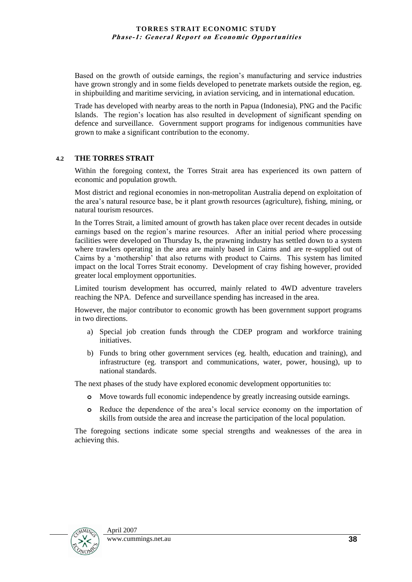Based on the growth of outside earnings, the region"s manufacturing and service industries have grown strongly and in some fields developed to penetrate markets outside the region, eg. in shipbuilding and maritime servicing, in aviation servicing, and in international education.

Trade has developed with nearby areas to the north in Papua (Indonesia), PNG and the Pacific Islands. The region"s location has also resulted in development of significant spending on defence and surveillance. Government support programs for indigenous communities have grown to make a significant contribution to the economy.

#### **4.2 THE TORRES STRAIT**

Within the foregoing context, the Torres Strait area has experienced its own pattern of economic and population growth.

Most district and regional economies in non-metropolitan Australia depend on exploitation of the area"s natural resource base, be it plant growth resources (agriculture), fishing, mining, or natural tourism resources.

In the Torres Strait, a limited amount of growth has taken place over recent decades in outside earnings based on the region"s marine resources. After an initial period where processing facilities were developed on Thursday Is, the prawning industry has settled down to a system where trawlers operating in the area are mainly based in Cairns and are re-supplied out of Cairns by a "mothership" that also returns with product to Cairns. This system has limited impact on the local Torres Strait economy. Development of cray fishing however, provided greater local employment opportunities.

Limited tourism development has occurred, mainly related to 4WD adventure travelers reaching the NPA. Defence and surveillance spending has increased in the area.

However, the major contributor to economic growth has been government support programs in two directions.

- a) Special job creation funds through the CDEP program and workforce training initiatives.
- b) Funds to bring other government services (eg. health, education and training), and infrastructure (eg. transport and communications, water, power, housing), up to national standards.

The next phases of the study have explored economic development opportunities to:

- **o** Move towards full economic independence by greatly increasing outside earnings.
- **o** Reduce the dependence of the area"s local service economy on the importation of skills from outside the area and increase the participation of the local population.

The foregoing sections indicate some special strengths and weaknesses of the area in achieving this.

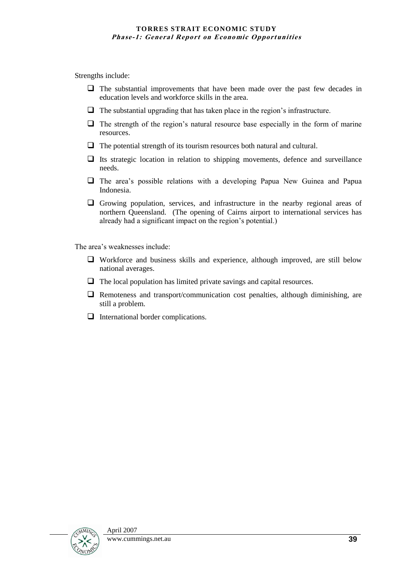Strengths include:

- $\Box$  The substantial improvements that have been made over the past few decades in education levels and workforce skills in the area.
- $\Box$  The substantial upgrading that has taken place in the region's infrastructure.
- $\Box$  The strength of the region's natural resource base especially in the form of marine resources.
- $\Box$  The potential strength of its tourism resources both natural and cultural.
- $\Box$  Its strategic location in relation to shipping movements, defence and surveillance needs.
- $\Box$  The area's possible relations with a developing Papua New Guinea and Papua Indonesia.
- $\Box$  Growing population, services, and infrastructure in the nearby regional areas of northern Queensland. (The opening of Cairns airport to international services has already had a significant impact on the region"s potential.)

The area's weaknesses include:

- Workforce and business skills and experience, although improved, are still below national averages.
- $\Box$  The local population has limited private savings and capital resources.
- $\Box$  Remoteness and transport/communication cost penalties, although diminishing, are still a problem.
- International border complications.

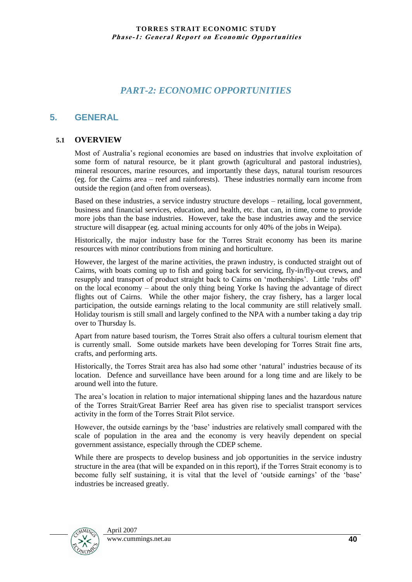# *PART-2: ECONOMIC OPPORTUNITIES*

## **5. GENERAL**

## **5.1 OVERVIEW**

Most of Australia"s regional economies are based on industries that involve exploitation of some form of natural resource, be it plant growth (agricultural and pastoral industries), mineral resources, marine resources, and importantly these days, natural tourism resources (eg. for the Cairns area – reef and rainforests). These industries normally earn income from outside the region (and often from overseas).

Based on these industries, a service industry structure develops – retailing, local government, business and financial services, education, and health, etc. that can, in time, come to provide more jobs than the base industries. However, take the base industries away and the service structure will disappear (eg. actual mining accounts for only 40% of the jobs in Weipa).

Historically, the major industry base for the Torres Strait economy has been its marine resources with minor contributions from mining and horticulture.

However, the largest of the marine activities, the prawn industry, is conducted straight out of Cairns, with boats coming up to fish and going back for servicing, fly-in/fly-out crews, and resupply and transport of product straight back to Cairns on "motherships". Little "rubs off" on the local economy – about the only thing being Yorke Is having the advantage of direct flights out of Cairns. While the other major fishery, the cray fishery, has a larger local participation, the outside earnings relating to the local community are still relatively small. Holiday tourism is still small and largely confined to the NPA with a number taking a day trip over to Thursday Is.

Apart from nature based tourism, the Torres Strait also offers a cultural tourism element that is currently small. Some outside markets have been developing for Torres Strait fine arts, crafts, and performing arts.

Historically, the Torres Strait area has also had some other "natural" industries because of its location. Defence and surveillance have been around for a long time and are likely to be around well into the future.

The area"s location in relation to major international shipping lanes and the hazardous nature of the Torres Strait/Great Barrier Reef area has given rise to specialist transport services activity in the form of the Torres Strait Pilot service.

However, the outside earnings by the "base" industries are relatively small compared with the scale of population in the area and the economy is very heavily dependent on special government assistance, especially through the CDEP scheme.

While there are prospects to develop business and job opportunities in the service industry structure in the area (that will be expanded on in this report), if the Torres Strait economy is to become fully self sustaining, it is vital that the level of "outside earnings" of the "base" industries be increased greatly.

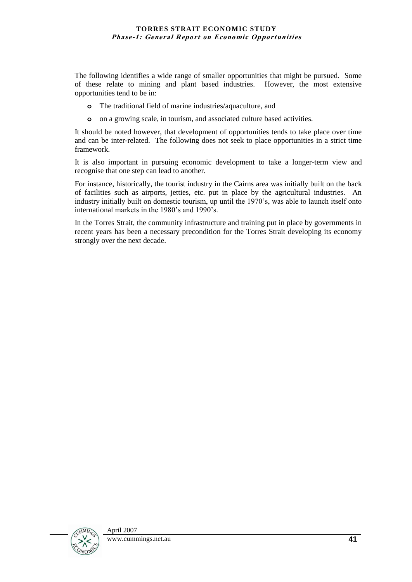The following identifies a wide range of smaller opportunities that might be pursued. Some of these relate to mining and plant based industries. However, the most extensive opportunities tend to be in:

- **o** The traditional field of marine industries/aquaculture, and
- **o** on a growing scale, in tourism, and associated culture based activities.

It should be noted however, that development of opportunities tends to take place over time and can be inter-related. The following does not seek to place opportunities in a strict time framework.

It is also important in pursuing economic development to take a longer-term view and recognise that one step can lead to another.

For instance, historically, the tourist industry in the Cairns area was initially built on the back of facilities such as airports, jetties, etc. put in place by the agricultural industries. An industry initially built on domestic tourism, up until the 1970"s, was able to launch itself onto international markets in the 1980"s and 1990"s.

In the Torres Strait, the community infrastructure and training put in place by governments in recent years has been a necessary precondition for the Torres Strait developing its economy strongly over the next decade.

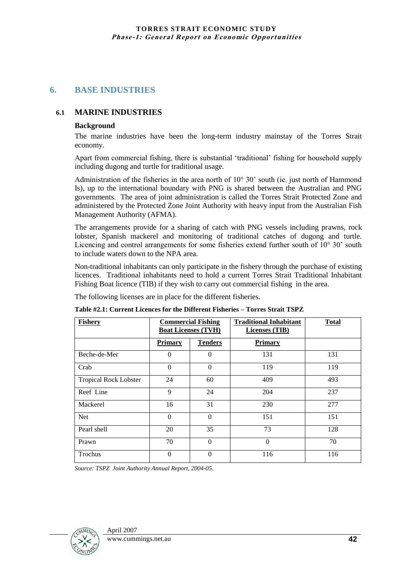# **6. BASE INDUSTRIES**

## **6.1 MARINE INDUSTRIES**

### **Background**

The marine industries have been the long-term industry mainstay of the Torres Strait economy.

Apart from commercial fishing, there is substantial "traditional" fishing for household supply including dugong and turtle for traditional usage.

Administration of the fisheries in the area north of 10° 30' south (ie. just north of Hammond Is), up to the international boundary with PNG is shared between the Australian and PNG governments. The area of joint administration is called the Torres Strait Protected Zone and administered by the Protected Zone Joint Authority with heavy input from the Australian Fish Management Authority (AFMA).

The arrangements provide for a sharing of catch with PNG vessels including prawns, rock lobster, Spanish mackerel and monitoring of traditional catches of dugong and turtle. Licencing and control arrangements for some fisheries extend further south of 10° 30" south to include waters down to the NPA area.

Non-traditional inhabitants can only participate in the fishery through the purchase of existing licences. Traditional inhabitants need to hold a current Torres Strait Traditional Inhabitant Fishing Boat licence (TIB) if they wish to carry out commercial fishing in the area.

The following licenses are in place for the different fisheries.

**Table #2.1: Current Licences for the Different Fisheries – Torres Strait TSPZ**

| <b>Fishery</b>               | <b>Commercial Fishing</b><br><b>Boat Licenses (TVH)</b> |                | <b>Traditional Inhabitant</b><br>Licenses (TIB) | <b>Total</b> |
|------------------------------|---------------------------------------------------------|----------------|-------------------------------------------------|--------------|
|                              | <b>Primary</b>                                          | <b>Tenders</b> | <b>Primary</b>                                  |              |
| Beche-de-Mer                 | $\theta$                                                | $\Omega$       | 131                                             | 131          |
| Crab                         | $\Omega$                                                | $\Omega$       | 119                                             | 119          |
| <b>Tropical Rock Lobster</b> | 24                                                      | 60             | 409                                             | 493          |
| Reef Line                    | 9                                                       | 24             | 204                                             | 237          |
| Mackerel                     | 16                                                      | 31             | 230                                             | 277          |
| <b>Net</b>                   | $\theta$                                                | $\Omega$       | 151                                             | 151          |
| Pearl shell                  | 20                                                      | 35             | 73                                              | 128          |
| Prawn                        | 70                                                      | $\Omega$       | $\Omega$                                        | 70           |
| Trochus                      | $\theta$                                                | $\Omega$       | 116                                             | 116          |

*Source: TSPZ Joint Authority Annual Report, 2004-05.*

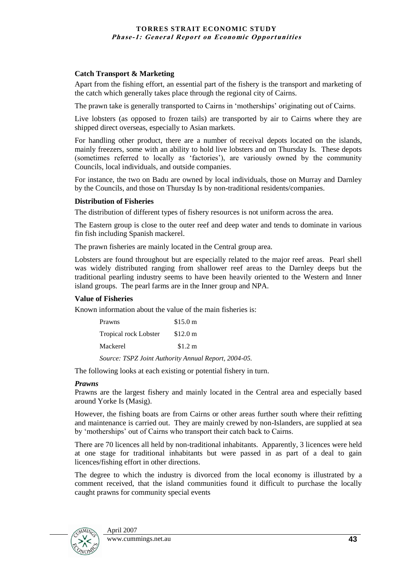#### **Catch Transport & Marketing**

Apart from the fishing effort, an essential part of the fishery is the transport and marketing of the catch which generally takes place through the regional city of Cairns.

The prawn take is generally transported to Cairns in "motherships" originating out of Cairns.

Live lobsters (as opposed to frozen tails) are transported by air to Cairns where they are shipped direct overseas, especially to Asian markets.

For handling other product, there are a number of receival depots located on the islands, mainly freezers, some with an ability to hold live lobsters and on Thursday Is. These depots (sometimes referred to locally as "factories"), are variously owned by the community Councils, local individuals, and outside companies.

For instance, the two on Badu are owned by local individuals, those on Murray and Darnley by the Councils, and those on Thursday Is by non-traditional residents/companies.

#### **Distribution of Fisheries**

The distribution of different types of fishery resources is not uniform across the area.

The Eastern group is close to the outer reef and deep water and tends to dominate in various fin fish including Spanish mackerel.

The prawn fisheries are mainly located in the Central group area.

Lobsters are found throughout but are especially related to the major reef areas. Pearl shell was widely distributed ranging from shallower reef areas to the Darnley deeps but the traditional pearling industry seems to have been heavily oriented to the Western and Inner island groups. The pearl farms are in the Inner group and NPA.

#### **Value of Fisheries**

Known information about the value of the main fisheries is:

| Prawns                | $$15.0 \text{ m}$   |
|-----------------------|---------------------|
| Tropical rock Lobster | \$12.0 <sub>m</sub> |
| Mackerel              | \$1.2 m             |

*Source: TSPZ Joint Authority Annual Report, 2004-05.*

The following looks at each existing or potential fishery in turn.

#### *Prawns*

Prawns are the largest fishery and mainly located in the Central area and especially based around Yorke Is (Masig).

However, the fishing boats are from Cairns or other areas further south where their refitting and maintenance is carried out. They are mainly crewed by non-Islanders, are supplied at sea by 'motherships' out of Cairns who transport their catch back to Cairns.

There are 70 licences all held by non-traditional inhabitants. Apparently, 3 licences were held at one stage for traditional inhabitants but were passed in as part of a deal to gain licences/fishing effort in other directions.

The degree to which the industry is divorced from the local economy is illustrated by a comment received, that the island communities found it difficult to purchase the locally caught prawns for community special events

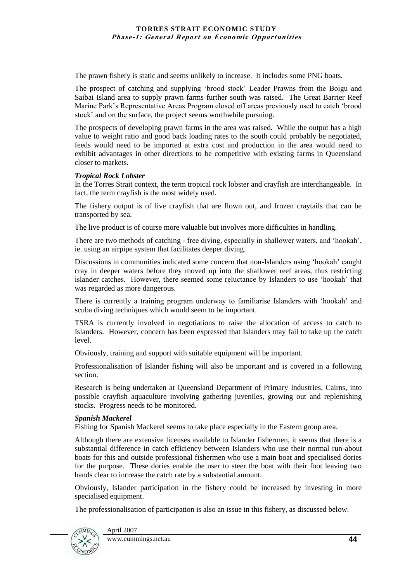The prawn fishery is static and seems unlikely to increase. It includes some PNG boats.

The prospect of catching and supplying "brood stock" Leader Prawns from the Boigu and Saibai Island area to supply prawn farms further south was raised. The Great Barrier Reef Marine Park"s Representative Areas Program closed off areas previously used to catch "brood stock" and on the surface, the project seems worthwhile pursuing.

The prospects of developing prawn farms in the area was raised. While the output has a high value to weight ratio and good back loading rates to the south could probably be negotiated, feeds would need to be imported at extra cost and production in the area would need to exhibit advantages in other directions to be competitive with existing farms in Queensland closer to markets.

## *Tropical Rock Lobster*

In the Torres Strait context, the term tropical rock lobster and crayfish are interchangeable. In fact, the term crayfish is the most widely used.

The fishery output is of live crayfish that are flown out, and frozen craytails that can be transported by sea.

The live product is of course more valuable but involves more difficulties in handling.

There are two methods of catching - free diving, especially in shallower waters, and "hookah", ie. using an airpipe system that facilitates deeper diving.

Discussions in communities indicated some concern that non-Islanders using "hookah" caught cray in deeper waters before they moved up into the shallower reef areas, thus restricting islander catches. However, there seemed some reluctance by Islanders to use "hookah" that was regarded as more dangerous.

There is currently a training program underway to familiarise Islanders with "hookah" and scuba diving techniques which would seem to be important.

TSRA is currently involved in negotiations to raise the allocation of access to catch to Islanders. However, concern has been expressed that Islanders may fail to take up the catch level.

Obviously, training and support with suitable equipment will be important.

Professionalisation of Islander fishing will also be important and is covered in a following section.

Research is being undertaken at Queensland Department of Primary Industries, Cairns, into possible crayfish aquaculture involving gathering juveniles, growing out and replenishing stocks. Progress needs to be monitored.

## *Spanish Mackerel*

Fishing for Spanish Mackerel seems to take place especially in the Eastern group area.

Although there are extensive licenses available to Islander fishermen, it seems that there is a substantial difference in catch efficiency between Islanders who use their normal run-about boats for this and outside professional fishermen who use a main boat and specialised dories for the purpose. These dories enable the user to steer the boat with their foot leaving two hands clear to increase the catch rate by a substantial amount.

Obviously, Islander participation in the fishery could be increased by investing in more specialised equipment.

The professionalisation of participation is also an issue in this fishery, as discussed below.

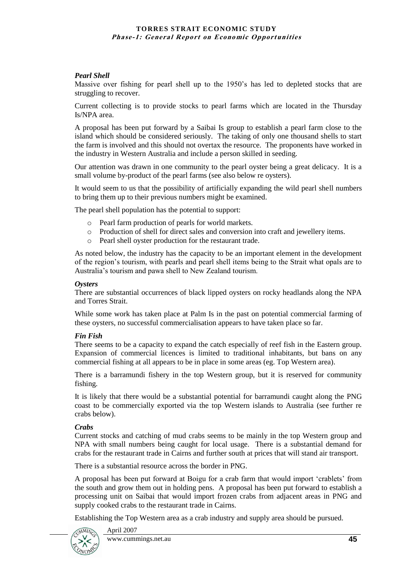## *Pearl Shell*

Massive over fishing for pearl shell up to the 1950"s has led to depleted stocks that are struggling to recover.

Current collecting is to provide stocks to pearl farms which are located in the Thursday Is/NPA area.

A proposal has been put forward by a Saibai Is group to establish a pearl farm close to the island which should be considered seriously. The taking of only one thousand shells to start the farm is involved and this should not overtax the resource. The proponents have worked in the industry in Western Australia and include a person skilled in seeding.

Our attention was drawn in one community to the pearl oyster being a great delicacy. It is a small volume by-product of the pearl farms (see also below re oysters).

It would seem to us that the possibility of artificially expanding the wild pearl shell numbers to bring them up to their previous numbers might be examined.

The pearl shell population has the potential to support:

- o Pearl farm production of pearls for world markets.
- o Production of shell for direct sales and conversion into craft and jewellery items.
- o Pearl shell oyster production for the restaurant trade.

As noted below, the industry has the capacity to be an important element in the development of the region"s tourism, with pearls and pearl shell items being to the Strait what opals are to Australia"s tourism and pawa shell to New Zealand tourism.

#### *Oysters*

There are substantial occurrences of black lipped oysters on rocky headlands along the NPA and Torres Strait.

While some work has taken place at Palm Is in the past on potential commercial farming of these oysters, no successful commercialisation appears to have taken place so far.

## *Fin Fish*

There seems to be a capacity to expand the catch especially of reef fish in the Eastern group. Expansion of commercial licences is limited to traditional inhabitants, but bans on any commercial fishing at all appears to be in place in some areas (eg. Top Western area).

There is a barramundi fishery in the top Western group, but it is reserved for community fishing.

It is likely that there would be a substantial potential for barramundi caught along the PNG coast to be commercially exported via the top Western islands to Australia (see further re crabs below).

#### *Crabs*

Current stocks and catching of mud crabs seems to be mainly in the top Western group and NPA with small numbers being caught for local usage. There is a substantial demand for crabs for the restaurant trade in Cairns and further south at prices that will stand air transport.

There is a substantial resource across the border in PNG.

A proposal has been put forward at Boigu for a crab farm that would import "crablets" from the south and grow them out in holding pens. A proposal has been put forward to establish a processing unit on Saibai that would import frozen crabs from adjacent areas in PNG and supply cooked crabs to the restaurant trade in Cairns.

Establishing the Top Western area as a crab industry and supply area should be pursued.

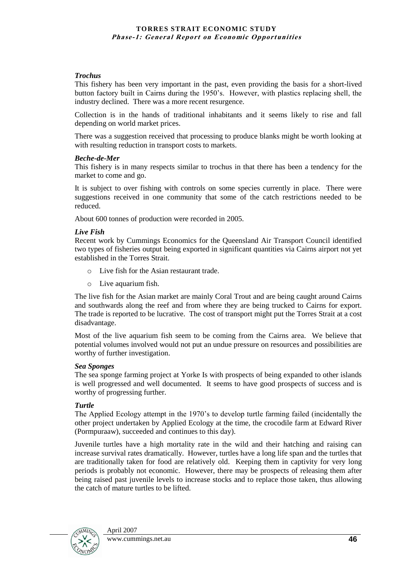#### *Trochus*

This fishery has been very important in the past, even providing the basis for a short-lived button factory built in Cairns during the 1950"s. However, with plastics replacing shell, the industry declined. There was a more recent resurgence.

Collection is in the hands of traditional inhabitants and it seems likely to rise and fall depending on world market prices.

There was a suggestion received that processing to produce blanks might be worth looking at with resulting reduction in transport costs to markets.

#### *Beche-de-Mer*

This fishery is in many respects similar to trochus in that there has been a tendency for the market to come and go.

It is subject to over fishing with controls on some species currently in place. There were suggestions received in one community that some of the catch restrictions needed to be reduced.

About 600 tonnes of production were recorded in 2005.

#### *Live Fish*

Recent work by Cummings Economics for the Queensland Air Transport Council identified two types of fisheries output being exported in significant quantities via Cairns airport not yet established in the Torres Strait.

- o Live fish for the Asian restaurant trade.
- o Live aquarium fish.

The live fish for the Asian market are mainly Coral Trout and are being caught around Cairns and southwards along the reef and from where they are being trucked to Cairns for export. The trade is reported to be lucrative. The cost of transport might put the Torres Strait at a cost disadvantage.

Most of the live aquarium fish seem to be coming from the Cairns area. We believe that potential volumes involved would not put an undue pressure on resources and possibilities are worthy of further investigation.

#### *Sea Sponges*

The sea sponge farming project at Yorke Is with prospects of being expanded to other islands is well progressed and well documented. It seems to have good prospects of success and is worthy of progressing further.

## *Turtle*

The Applied Ecology attempt in the 1970"s to develop turtle farming failed (incidentally the other project undertaken by Applied Ecology at the time, the crocodile farm at Edward River (Pormpuraaw), succeeded and continues to this day).

Juvenile turtles have a high mortality rate in the wild and their hatching and raising can increase survival rates dramatically. However, turtles have a long life span and the turtles that are traditionally taken for food are relatively old. Keeping them in captivity for very long periods is probably not economic. However, there may be prospects of releasing them after being raised past juvenile levels to increase stocks and to replace those taken, thus allowing the catch of mature turtles to be lifted.

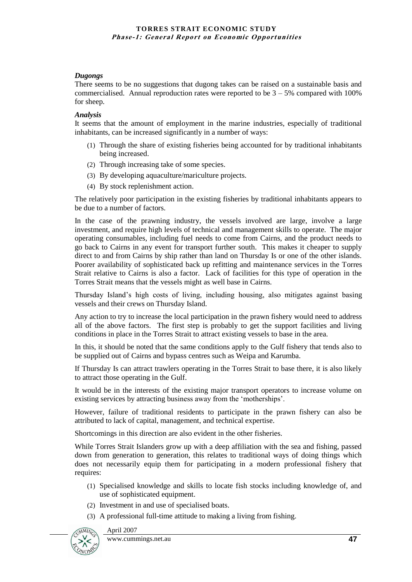## *Dugongs*

There seems to be no suggestions that dugong takes can be raised on a sustainable basis and commercialised. Annual reproduction rates were reported to be  $3 - 5\%$  compared with 100% for sheep.

## *Analysis*

It seems that the amount of employment in the marine industries, especially of traditional inhabitants, can be increased significantly in a number of ways:

- (1) Through the share of existing fisheries being accounted for by traditional inhabitants being increased.
- (2) Through increasing take of some species.
- (3) By developing aquaculture/mariculture projects.
- (4) By stock replenishment action.

The relatively poor participation in the existing fisheries by traditional inhabitants appears to be due to a number of factors.

In the case of the prawning industry, the vessels involved are large, involve a large investment, and require high levels of technical and management skills to operate. The major operating consumables, including fuel needs to come from Cairns, and the product needs to go back to Cairns in any event for transport further south. This makes it cheaper to supply direct to and from Cairns by ship rather than land on Thursday Is or one of the other islands. Poorer availability of sophisticated back up refitting and maintenance services in the Torres Strait relative to Cairns is also a factor. Lack of facilities for this type of operation in the Torres Strait means that the vessels might as well base in Cairns.

Thursday Island"s high costs of living, including housing, also mitigates against basing vessels and their crews on Thursday Island.

Any action to try to increase the local participation in the prawn fishery would need to address all of the above factors. The first step is probably to get the support facilities and living conditions in place in the Torres Strait to attract existing vessels to base in the area.

In this, it should be noted that the same conditions apply to the Gulf fishery that tends also to be supplied out of Cairns and bypass centres such as Weipa and Karumba.

If Thursday Is can attract trawlers operating in the Torres Strait to base there, it is also likely to attract those operating in the Gulf.

It would be in the interests of the existing major transport operators to increase volume on existing services by attracting business away from the "motherships".

However, failure of traditional residents to participate in the prawn fishery can also be attributed to lack of capital, management, and technical expertise.

Shortcomings in this direction are also evident in the other fisheries.

While Torres Strait Islanders grow up with a deep affiliation with the sea and fishing, passed down from generation to generation, this relates to traditional ways of doing things which does not necessarily equip them for participating in a modern professional fishery that requires:

- (1) Specialised knowledge and skills to locate fish stocks including knowledge of, and use of sophisticated equipment.
- (2) Investment in and use of specialised boats.
- (3) A professional full-time attitude to making a living from fishing.



April 2007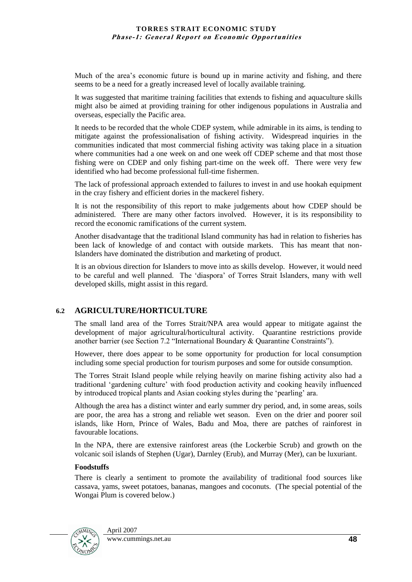Much of the area"s economic future is bound up in marine activity and fishing, and there seems to be a need for a greatly increased level of locally available training.

It was suggested that maritime training facilities that extends to fishing and aquaculture skills might also be aimed at providing training for other indigenous populations in Australia and overseas, especially the Pacific area.

It needs to be recorded that the whole CDEP system, while admirable in its aims, is tending to mitigate against the professionalisation of fishing activity. Widespread inquiries in the communities indicated that most commercial fishing activity was taking place in a situation where communities had a one week on and one week off CDEP scheme and that most those fishing were on CDEP and only fishing part-time on the week off. There were very few identified who had become professional full-time fishermen.

The lack of professional approach extended to failures to invest in and use hookah equipment in the cray fishery and efficient dories in the mackerel fishery.

It is not the responsibility of this report to make judgements about how CDEP should be administered. There are many other factors involved. However, it is its responsibility to record the economic ramifications of the current system.

Another disadvantage that the traditional Island community has had in relation to fisheries has been lack of knowledge of and contact with outside markets. This has meant that non-Islanders have dominated the distribution and marketing of product.

It is an obvious direction for Islanders to move into as skills develop. However, it would need to be careful and well planned. The "diaspora" of Torres Strait Islanders, many with well developed skills, might assist in this regard.

## **6.2 AGRICULTURE/HORTICULTURE**

The small land area of the Torres Strait/NPA area would appear to mitigate against the development of major agricultural/horticultural activity. Quarantine restrictions provide another barrier (see Section 7.2 "International Boundary & Quarantine Constraints").

However, there does appear to be some opportunity for production for local consumption including some special production for tourism purposes and some for outside consumption.

The Torres Strait Island people while relying heavily on marine fishing activity also had a traditional "gardening culture" with food production activity and cooking heavily influenced by introduced tropical plants and Asian cooking styles during the "pearling" ara.

Although the area has a distinct winter and early summer dry period, and, in some areas, soils are poor, the area has a strong and reliable wet season. Even on the drier and poorer soil islands, like Horn, Prince of Wales, Badu and Moa, there are patches of rainforest in favourable locations.

In the NPA, there are extensive rainforest areas (the Lockerbie Scrub) and growth on the volcanic soil islands of Stephen (Ugar), Darnley (Erub), and Murray (Mer), can be luxuriant.

## **Foodstuffs**

There is clearly a sentiment to promote the availability of traditional food sources like cassava, yams, sweet potatoes, bananas, mangoes and coconuts. (The special potential of the Wongai Plum is covered below.)

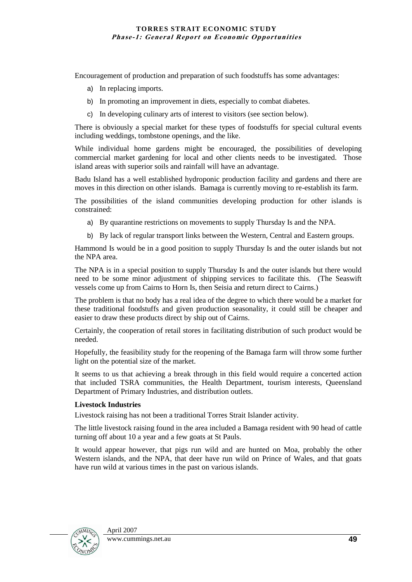Encouragement of production and preparation of such foodstuffs has some advantages:

- a) In replacing imports.
- b) In promoting an improvement in diets, especially to combat diabetes.
- c) In developing culinary arts of interest to visitors (see section below).

There is obviously a special market for these types of foodstuffs for special cultural events including weddings, tombstone openings, and the like.

While individual home gardens might be encouraged, the possibilities of developing commercial market gardening for local and other clients needs to be investigated. Those island areas with superior soils and rainfall will have an advantage.

Badu Island has a well established hydroponic production facility and gardens and there are moves in this direction on other islands. Bamaga is currently moving to re-establish its farm.

The possibilities of the island communities developing production for other islands is constrained:

- a) By quarantine restrictions on movements to supply Thursday Is and the NPA.
- b) By lack of regular transport links between the Western, Central and Eastern groups.

Hammond Is would be in a good position to supply Thursday Is and the outer islands but not the NPA area.

The NPA is in a special position to supply Thursday Is and the outer islands but there would need to be some minor adjustment of shipping services to facilitate this. (The Seaswift vessels come up from Cairns to Horn Is, then Seisia and return direct to Cairns.)

The problem is that no body has a real idea of the degree to which there would be a market for these traditional foodstuffs and given production seasonality, it could still be cheaper and easier to draw these products direct by ship out of Cairns.

Certainly, the cooperation of retail stores in facilitating distribution of such product would be needed.

Hopefully, the feasibility study for the reopening of the Bamaga farm will throw some further light on the potential size of the market.

It seems to us that achieving a break through in this field would require a concerted action that included TSRA communities, the Health Department, tourism interests, Queensland Department of Primary Industries, and distribution outlets.

#### **Livestock Industries**

Livestock raising has not been a traditional Torres Strait Islander activity.

The little livestock raising found in the area included a Bamaga resident with 90 head of cattle turning off about 10 a year and a few goats at St Pauls.

It would appear however, that pigs run wild and are hunted on Moa, probably the other Western islands, and the NPA, that deer have run wild on Prince of Wales, and that goats have run wild at various times in the past on various islands.

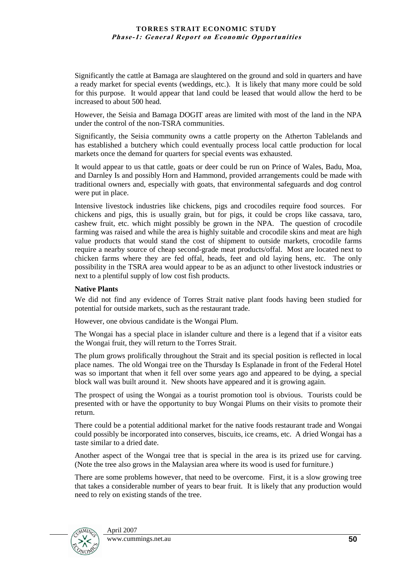Significantly the cattle at Bamaga are slaughtered on the ground and sold in quarters and have a ready market for special events (weddings, etc.). It is likely that many more could be sold for this purpose. It would appear that land could be leased that would allow the herd to be increased to about 500 head.

However, the Seisia and Bamaga DOGIT areas are limited with most of the land in the NPA under the control of the non-TSRA communities.

Significantly, the Seisia community owns a cattle property on the Atherton Tablelands and has established a butchery which could eventually process local cattle production for local markets once the demand for quarters for special events was exhausted.

It would appear to us that cattle, goats or deer could be run on Prince of Wales, Badu, Moa, and Darnley Is and possibly Horn and Hammond, provided arrangements could be made with traditional owners and, especially with goats, that environmental safeguards and dog control were put in place.

Intensive livestock industries like chickens, pigs and crocodiles require food sources. For chickens and pigs, this is usually grain, but for pigs, it could be crops like cassava, taro, cashew fruit, etc. which might possibly be grown in the NPA. The question of crocodile farming was raised and while the area is highly suitable and crocodile skins and meat are high value products that would stand the cost of shipment to outside markets, crocodile farms require a nearby source of cheap second-grade meat products/offal. Most are located next to chicken farms where they are fed offal, heads, feet and old laying hens, etc. The only possibility in the TSRA area would appear to be as an adjunct to other livestock industries or next to a plentiful supply of low cost fish products.

### **Native Plants**

We did not find any evidence of Torres Strait native plant foods having been studied for potential for outside markets, such as the restaurant trade.

However, one obvious candidate is the Wongai Plum.

The Wongai has a special place in islander culture and there is a legend that if a visitor eats the Wongai fruit, they will return to the Torres Strait.

The plum grows prolifically throughout the Strait and its special position is reflected in local place names. The old Wongai tree on the Thursday Is Esplanade in front of the Federal Hotel was so important that when it fell over some years ago and appeared to be dying, a special block wall was built around it. New shoots have appeared and it is growing again.

The prospect of using the Wongai as a tourist promotion tool is obvious. Tourists could be presented with or have the opportunity to buy Wongai Plums on their visits to promote their return.

There could be a potential additional market for the native foods restaurant trade and Wongai could possibly be incorporated into conserves, biscuits, ice creams, etc. A dried Wongai has a taste similar to a dried date.

Another aspect of the Wongai tree that is special in the area is its prized use for carving. (Note the tree also grows in the Malaysian area where its wood is used for furniture.)

There are some problems however, that need to be overcome. First, it is a slow growing tree that takes a considerable number of years to bear fruit. It is likely that any production would need to rely on existing stands of the tree.

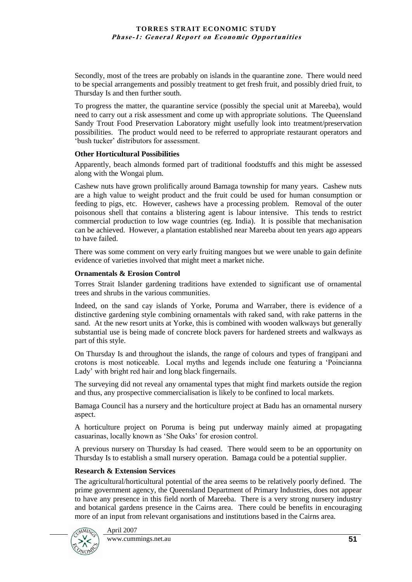Secondly, most of the trees are probably on islands in the quarantine zone. There would need to be special arrangements and possibly treatment to get fresh fruit, and possibly dried fruit, to Thursday Is and then further south.

To progress the matter, the quarantine service (possibly the special unit at Mareeba), would need to carry out a risk assessment and come up with appropriate solutions. The Queensland Sandy Trout Food Preservation Laboratory might usefully look into treatment/preservation possibilities. The product would need to be referred to appropriate restaurant operators and "bush tucker" distributors for assessment.

#### **Other Horticultural Possibilities**

Apparently, beach almonds formed part of traditional foodstuffs and this might be assessed along with the Wongai plum.

Cashew nuts have grown prolifically around Bamaga township for many years. Cashew nuts are a high value to weight product and the fruit could be used for human consumption or feeding to pigs, etc. However, cashews have a processing problem. Removal of the outer poisonous shell that contains a blistering agent is labour intensive. This tends to restrict commercial production to low wage countries (eg. India). It is possible that mechanisation can be achieved. However, a plantation established near Mareeba about ten years ago appears to have failed.

There was some comment on very early fruiting mangoes but we were unable to gain definite evidence of varieties involved that might meet a market niche.

#### **Ornamentals & Erosion Control**

Torres Strait Islander gardening traditions have extended to significant use of ornamental trees and shrubs in the various communities.

Indeed, on the sand cay islands of Yorke, Poruma and Warraber, there is evidence of a distinctive gardening style combining ornamentals with raked sand, with rake patterns in the sand. At the new resort units at Yorke, this is combined with wooden walkways but generally substantial use is being made of concrete block pavers for hardened streets and walkways as part of this style.

On Thursday Is and throughout the islands, the range of colours and types of frangipani and crotons is most noticeable. Local myths and legends include one featuring a "Poincianna Lady" with bright red hair and long black fingernails.

The surveying did not reveal any ornamental types that might find markets outside the region and thus, any prospective commercialisation is likely to be confined to local markets.

Bamaga Council has a nursery and the horticulture project at Badu has an ornamental nursery aspect.

A horticulture project on Poruma is being put underway mainly aimed at propagating casuarinas, locally known as "She Oaks" for erosion control.

A previous nursery on Thursday Is had ceased. There would seem to be an opportunity on Thursday Is to establish a small nursery operation. Bamaga could be a potential supplier.

## **Research & Extension Services**

The agricultural/horticultural potential of the area seems to be relatively poorly defined. The prime government agency, the Queensland Department of Primary Industries, does not appear to have any presence in this field north of Mareeba. There is a very strong nursery industry and botanical gardens presence in the Cairns area. There could be benefits in encouraging more of an input from relevant organisations and institutions based in the Cairns area.

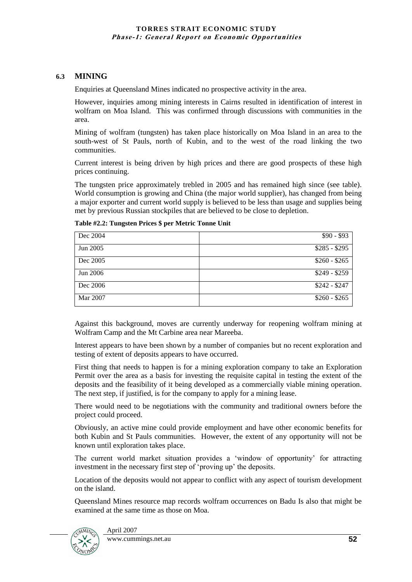## **6.3 MINING**

Enquiries at Queensland Mines indicated no prospective activity in the area.

However, inquiries among mining interests in Cairns resulted in identification of interest in wolfram on Moa Island. This was confirmed through discussions with communities in the area.

Mining of wolfram (tungsten) has taken place historically on Moa Island in an area to the south-west of St Pauls, north of Kubin, and to the west of the road linking the two communities.

Current interest is being driven by high prices and there are good prospects of these high prices continuing.

The tungsten price approximately trebled in 2005 and has remained high since (see table). World consumption is growing and China (the major world supplier), has changed from being a major exporter and current world supply is believed to be less than usage and supplies being met by previous Russian stockpiles that are believed to be close to depletion.

| Dec 2004        | $$90 - $93$   |
|-----------------|---------------|
| Jun 2005        | $$285 - $295$ |
| Dec 2005        | $$260 - $265$ |
| <b>Jun 2006</b> | $$249 - $259$ |
| Dec 2006        | $$242 - $247$ |
| Mar 2007        | $$260 - $265$ |

**Table #2.2: Tungsten Prices \$ per Metric Tonne Unit**

Against this background, moves are currently underway for reopening wolfram mining at Wolfram Camp and the Mt Carbine area near Mareeba.

Interest appears to have been shown by a number of companies but no recent exploration and testing of extent of deposits appears to have occurred.

First thing that needs to happen is for a mining exploration company to take an Exploration Permit over the area as a basis for investing the requisite capital in testing the extent of the deposits and the feasibility of it being developed as a commercially viable mining operation. The next step, if justified, is for the company to apply for a mining lease.

There would need to be negotiations with the community and traditional owners before the project could proceed.

Obviously, an active mine could provide employment and have other economic benefits for both Kubin and St Pauls communities. However, the extent of any opportunity will not be known until exploration takes place.

The current world market situation provides a 'window of opportunity' for attracting investment in the necessary first step of "proving up" the deposits.

Location of the deposits would not appear to conflict with any aspect of tourism development on the island.

Queensland Mines resource map records wolfram occurrences on Badu Is also that might be examined at the same time as those on Moa.

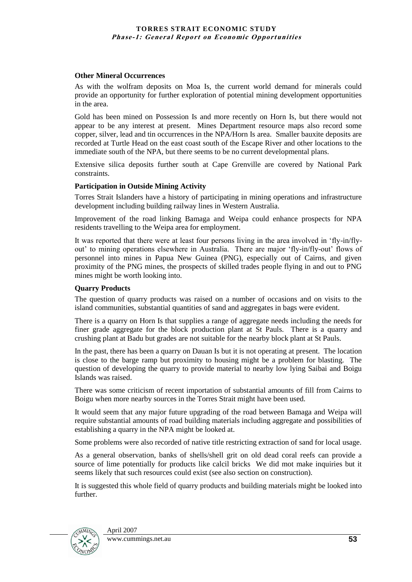#### **Other Mineral Occurrences**

As with the wolfram deposits on Moa Is, the current world demand for minerals could provide an opportunity for further exploration of potential mining development opportunities in the area.

Gold has been mined on Possession Is and more recently on Horn Is, but there would not appear to be any interest at present. Mines Department resource maps also record some copper, silver, lead and tin occurrences in the NPA/Horn Is area. Smaller bauxite deposits are recorded at Turtle Head on the east coast south of the Escape River and other locations to the immediate south of the NPA, but there seems to be no current developmental plans.

Extensive silica deposits further south at Cape Grenville are covered by National Park constraints.

#### **Participation in Outside Mining Activity**

Torres Strait Islanders have a history of participating in mining operations and infrastructure development including building railway lines in Western Australia.

Improvement of the road linking Bamaga and Weipa could enhance prospects for NPA residents travelling to the Weipa area for employment.

It was reported that there were at least four persons living in the area involved in "fly-in/flyout' to mining operations elsewhere in Australia. There are major 'fly-in/fly-out' flows of personnel into mines in Papua New Guinea (PNG), especially out of Cairns, and given proximity of the PNG mines, the prospects of skilled trades people flying in and out to PNG mines might be worth looking into.

### **Quarry Products**

The question of quarry products was raised on a number of occasions and on visits to the island communities, substantial quantities of sand and aggregates in bags were evident.

There is a quarry on Horn Is that supplies a range of aggregate needs including the needs for finer grade aggregate for the block production plant at St Pauls. There is a quarry and crushing plant at Badu but grades are not suitable for the nearby block plant at St Pauls.

In the past, there has been a quarry on Dauan Is but it is not operating at present. The location is close to the barge ramp but proximity to housing might be a problem for blasting. The question of developing the quarry to provide material to nearby low lying Saibai and Boigu Islands was raised.

There was some criticism of recent importation of substantial amounts of fill from Cairns to Boigu when more nearby sources in the Torres Strait might have been used.

It would seem that any major future upgrading of the road between Bamaga and Weipa will require substantial amounts of road building materials including aggregate and possibilities of establishing a quarry in the NPA might be looked at.

Some problems were also recorded of native title restricting extraction of sand for local usage.

As a general observation, banks of shells/shell grit on old dead coral reefs can provide a source of lime potentially for products like calcil bricks We did mot make inquiries but it seems likely that such resources could exist (see also section on construction).

It is suggested this whole field of quarry products and building materials might be looked into further.

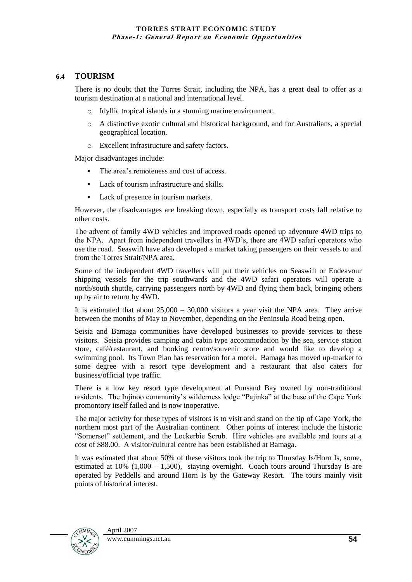## **6.4 TOURISM**

There is no doubt that the Torres Strait, including the NPA, has a great deal to offer as a tourism destination at a national and international level.

- o Idyllic tropical islands in a stunning marine environment.
- o A distinctive exotic cultural and historical background, and for Australians, a special geographical location.
- Excellent infrastructure and safety factors.

Major disadvantages include:

- The area's remoteness and cost of access.
- Lack of tourism infrastructure and skills.
- Lack of presence in tourism markets.

However, the disadvantages are breaking down, especially as transport costs fall relative to other costs.

The advent of family 4WD vehicles and improved roads opened up adventure 4WD trips to the NPA. Apart from independent travellers in 4WD"s, there are 4WD safari operators who use the road. Seaswift have also developed a market taking passengers on their vessels to and from the Torres Strait/NPA area.

Some of the independent 4WD travellers will put their vehicles on Seaswift or Endeavour shipping vessels for the trip southwards and the 4WD safari operators will operate a north/south shuttle, carrying passengers north by 4WD and flying them back, bringing others up by air to return by 4WD.

It is estimated that about  $25,000 - 30,000$  visitors a year visit the NPA area. They arrive between the months of May to November, depending on the Peninsula Road being open.

Seisia and Bamaga communities have developed businesses to provide services to these visitors. Seisia provides camping and cabin type accommodation by the sea, service station store, café/restaurant, and booking centre/souvenir store and would like to develop a swimming pool. Its Town Plan has reservation for a motel. Bamaga has moved up-market to some degree with a resort type development and a restaurant that also caters for business/official type traffic.

There is a low key resort type development at Punsand Bay owned by non-traditional residents. The Injinoo community"s wilderness lodge "Pajinka" at the base of the Cape York promontory itself failed and is now inoperative.

The major activity for these types of visitors is to visit and stand on the tip of Cape York, the northern most part of the Australian continent. Other points of interest include the historic "Somerset" settlement, and the Lockerbie Scrub. Hire vehicles are available and tours at a cost of \$88.00. A visitor/cultural centre has been established at Bamaga.

It was estimated that about 50% of these visitors took the trip to Thursday Is/Horn Is, some, estimated at 10% (1,000 – 1,500), staying overnight. Coach tours around Thursday Is are operated by Peddells and around Horn Is by the Gateway Resort. The tours mainly visit points of historical interest.

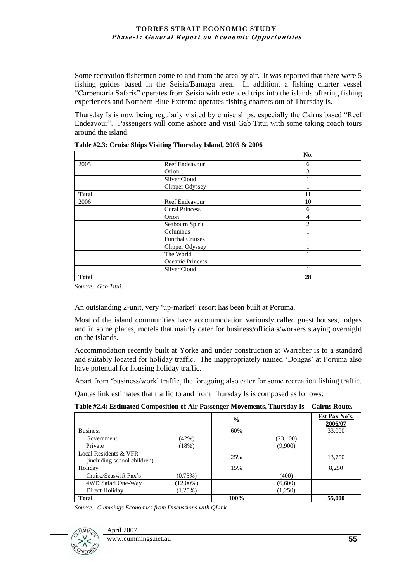Some recreation fishermen come to and from the area by air. It was reported that there were 5 fishing guides based in the Seisia/Bamaga area. In addition, a fishing charter vessel "Carpentaria Safaris" operates from Seisia with extended trips into the islands offering fishing experiences and Northern Blue Extreme operates fishing charters out of Thursday Is.

Thursday Is is now being regularly visited by cruise ships, especially the Cairns based "Reef Endeavour". Passengers will come ashore and visit Gab Titui with some taking coach tours around the island.

|              |                        | $\underline{\textbf{No}}$ . |
|--------------|------------------------|-----------------------------|
| 2005         | <b>Reef Endeavour</b>  | 6                           |
|              | Orion                  | 3                           |
|              | Silver Cloud           |                             |
|              | Clipper Odyssey        |                             |
| <b>Total</b> |                        | 11                          |
| 2006         | Reef Endeavour         | 10                          |
|              | <b>Coral Princess</b>  | 6                           |
|              | Orion                  | 4                           |
|              | Seabourn Spirit        | $\mathcal{D}$               |
|              | Columbus               |                             |
|              | <b>Funchal Cruises</b> |                             |
|              | Clipper Odyssey        |                             |
|              | The World              |                             |
|              | Oceanic Princess       |                             |
|              | Silver Cloud           |                             |
| <b>Total</b> |                        | 28                          |

**Table #2.3: Cruise Ships Visiting Thursday Island, 2005 & 2006**

*Source: Gab Titui.*

An outstanding 2-unit, very 'up-market' resort has been built at Poruma.

Most of the island communities have accommodation variously called guest houses, lodges and in some places, motels that mainly cater for business/officials/workers staying overnight on the islands.

Accommodation recently built at Yorke and under construction at Warraber is to a standard and suitably located for holiday traffic. The inappropriately named 'Dongas' at Poruma also have potential for housing holiday traffic.

Apart from "business/work" traffic, the foregoing also cater for some recreation fishing traffic.

Qantas link estimates that traffic to and from Thursday Is is composed as follows:

| Table #2.4: Estimated Composition of Air Passenger Movements, Thursday Is - Cairns Route. |  |  |
|-------------------------------------------------------------------------------------------|--|--|

|                             |             | $\frac{0}{0}$ |          | Est Pax No's.<br>2006/07 |
|-----------------------------|-------------|---------------|----------|--------------------------|
| <b>Business</b>             |             | 60%           |          | 33,000                   |
| Government                  | (42%)       |               | (23,100) |                          |
| Private                     | (18%)       |               | (9,900)  |                          |
| Local Residents & VFR       |             | 25%           |          | 13,750                   |
| (including school children) |             |               |          |                          |
| Holiday                     |             | 15%           |          | 8,250                    |
| Cruise/Seaswift Pax's       | $(0.75\%)$  |               | (400)    |                          |
| 4WD Safari One-Way          | $(12.00\%)$ |               | (6,600)  |                          |
| Direct Holiday              | $(1.25\%)$  |               | (1,250)  |                          |
| <b>Total</b>                |             | 100%          |          | 55,000                   |

*Source: Cummings Economics from Discussions with QLink.*



April 2007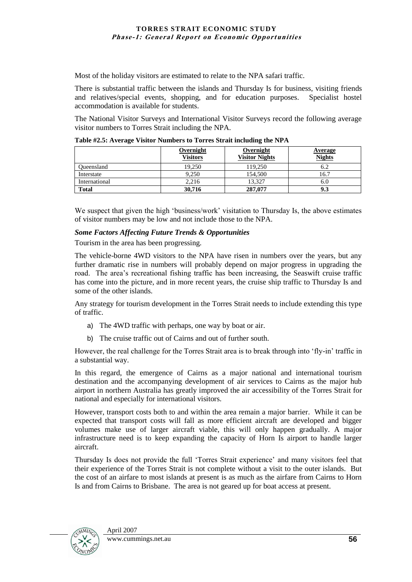Most of the holiday visitors are estimated to relate to the NPA safari traffic.

There is substantial traffic between the islands and Thursday Is for business, visiting friends and relatives/special events, shopping, and for education purposes. Specialist hostel accommodation is available for students.

The National Visitor Surveys and International Visitor Surveys record the following average visitor numbers to Torres Strait including the NPA.

|               | Overnight<br><b>Visitors</b> | <b>Overnight</b><br><b>Visitor Nights</b> | <b>Average</b><br><b>Nights</b> |
|---------------|------------------------------|-------------------------------------------|---------------------------------|
| Oueensland    | 19.250                       | 119.250                                   | 6.2                             |
| Interstate    | 9.250                        | 154,500                                   | 16.7                            |
| International | 2.216                        | 13.327                                    | 6.U                             |
| <b>Total</b>  | 30,716                       | 287,077                                   | 9.3                             |

**Table #2.5: Average Visitor Numbers to Torres Strait including the NPA**

We suspect that given the high 'business/work' visitation to Thursday Is, the above estimates of visitor numbers may be low and not include those to the NPA.

## *Some Factors Affecting Future Trends & Opportunities*

Tourism in the area has been progressing.

The vehicle-borne 4WD visitors to the NPA have risen in numbers over the years, but any further dramatic rise in numbers will probably depend on major progress in upgrading the road. The area"s recreational fishing traffic has been increasing, the Seaswift cruise traffic has come into the picture, and in more recent years, the cruise ship traffic to Thursday Is and some of the other islands.

Any strategy for tourism development in the Torres Strait needs to include extending this type of traffic.

- a) The 4WD traffic with perhaps, one way by boat or air.
- b) The cruise traffic out of Cairns and out of further south.

However, the real challenge for the Torres Strait area is to break through into 'fly-in' traffic in a substantial way.

In this regard, the emergence of Cairns as a major national and international tourism destination and the accompanying development of air services to Cairns as the major hub airport in northern Australia has greatly improved the air accessibility of the Torres Strait for national and especially for international visitors.

However, transport costs both to and within the area remain a major barrier. While it can be expected that transport costs will fall as more efficient aircraft are developed and bigger volumes make use of larger aircraft viable, this will only happen gradually. A major infrastructure need is to keep expanding the capacity of Horn Is airport to handle larger aircraft.

Thursday Is does not provide the full "Torres Strait experience" and many visitors feel that their experience of the Torres Strait is not complete without a visit to the outer islands. But the cost of an airfare to most islands at present is as much as the airfare from Cairns to Horn Is and from Cairns to Brisbane. The area is not geared up for boat access at present.

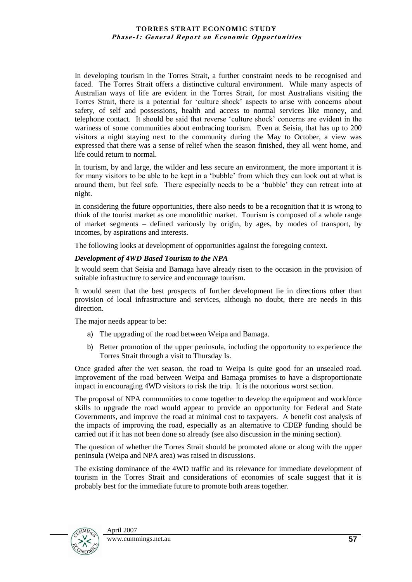In developing tourism in the Torres Strait, a further constraint needs to be recognised and faced. The Torres Strait offers a distinctive cultural environment. While many aspects of Australian ways of life are evident in the Torres Strait, for most Australians visiting the Torres Strait, there is a potential for "culture shock" aspects to arise with concerns about safety, of self and possessions, health and access to normal services like money, and telephone contact. It should be said that reverse "culture shock" concerns are evident in the wariness of some communities about embracing tourism. Even at Seisia, that has up to 200 visitors a night staying next to the community during the May to October, a view was expressed that there was a sense of relief when the season finished, they all went home, and life could return to normal.

In tourism, by and large, the wilder and less secure an environment, the more important it is for many visitors to be able to be kept in a "bubble" from which they can look out at what is around them, but feel safe. There especially needs to be a "bubble" they can retreat into at night.

In considering the future opportunities, there also needs to be a recognition that it is wrong to think of the tourist market as one monolithic market. Tourism is composed of a whole range of market segments – defined variously by origin, by ages, by modes of transport, by incomes, by aspirations and interests.

The following looks at development of opportunities against the foregoing context.

## *Development of 4WD Based Tourism to the NPA*

It would seem that Seisia and Bamaga have already risen to the occasion in the provision of suitable infrastructure to service and encourage tourism.

It would seem that the best prospects of further development lie in directions other than provision of local infrastructure and services, although no doubt, there are needs in this direction.

The major needs appear to be:

- a) The upgrading of the road between Weipa and Bamaga.
- b) Better promotion of the upper peninsula, including the opportunity to experience the Torres Strait through a visit to Thursday Is.

Once graded after the wet season, the road to Weipa is quite good for an unsealed road. Improvement of the road between Weipa and Bamaga promises to have a disproportionate impact in encouraging 4WD visitors to risk the trip. It is the notorious worst section.

The proposal of NPA communities to come together to develop the equipment and workforce skills to upgrade the road would appear to provide an opportunity for Federal and State Governments, and improve the road at minimal cost to taxpayers. A benefit cost analysis of the impacts of improving the road, especially as an alternative to CDEP funding should be carried out if it has not been done so already (see also discussion in the mining section).

The question of whether the Torres Strait should be promoted alone or along with the upper peninsula (Weipa and NPA area) was raised in discussions.

The existing dominance of the 4WD traffic and its relevance for immediate development of tourism in the Torres Strait and considerations of economies of scale suggest that it is probably best for the immediate future to promote both areas together.

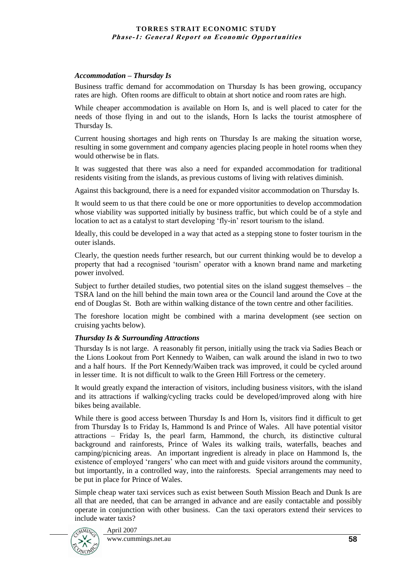#### *Accommodation – Thursday Is*

Business traffic demand for accommodation on Thursday Is has been growing, occupancy rates are high. Often rooms are difficult to obtain at short notice and room rates are high.

While cheaper accommodation is available on Horn Is, and is well placed to cater for the needs of those flying in and out to the islands, Horn Is lacks the tourist atmosphere of Thursday Is.

Current housing shortages and high rents on Thursday Is are making the situation worse, resulting in some government and company agencies placing people in hotel rooms when they would otherwise be in flats.

It was suggested that there was also a need for expanded accommodation for traditional residents visiting from the islands, as previous customs of living with relatives diminish.

Against this background, there is a need for expanded visitor accommodation on Thursday Is.

It would seem to us that there could be one or more opportunities to develop accommodation whose viability was supported initially by business traffic, but which could be of a style and location to act as a catalyst to start developing 'fly-in' resort tourism to the island.

Ideally, this could be developed in a way that acted as a stepping stone to foster tourism in the outer islands.

Clearly, the question needs further research, but our current thinking would be to develop a property that had a recognised "tourism" operator with a known brand name and marketing power involved.

Subject to further detailed studies, two potential sites on the island suggest themselves – the TSRA land on the hill behind the main town area or the Council land around the Cove at the end of Douglas St. Both are within walking distance of the town centre and other facilities.

The foreshore location might be combined with a marina development (see section on cruising yachts below).

## *Thursday Is & Surrounding Attractions*

Thursday Is is not large. A reasonably fit person, initially using the track via Sadies Beach or the Lions Lookout from Port Kennedy to Waiben, can walk around the island in two to two and a half hours. If the Port Kennedy/Waiben track was improved, it could be cycled around in lesser time. It is not difficult to walk to the Green Hill Fortress or the cemetery.

It would greatly expand the interaction of visitors, including business visitors, with the island and its attractions if walking/cycling tracks could be developed/improved along with hire bikes being available.

While there is good access between Thursday Is and Horn Is, visitors find it difficult to get from Thursday Is to Friday Is, Hammond Is and Prince of Wales. All have potential visitor attractions – Friday Is, the pearl farm, Hammond, the church, its distinctive cultural background and rainforests, Prince of Wales its walking trails, waterfalls, beaches and camping/picnicing areas. An important ingredient is already in place on Hammond Is, the existence of employed "rangers" who can meet with and guide visitors around the community, but importantly, in a controlled way, into the rainforests. Special arrangements may need to be put in place for Prince of Wales.

Simple cheap water taxi services such as exist between South Mission Beach and Dunk Is are all that are needed, that can be arranged in advance and are easily contactable and possibly operate in conjunction with other business. Can the taxi operators extend their services to include water taxis?



April 2007 www.cummings.net.au **58**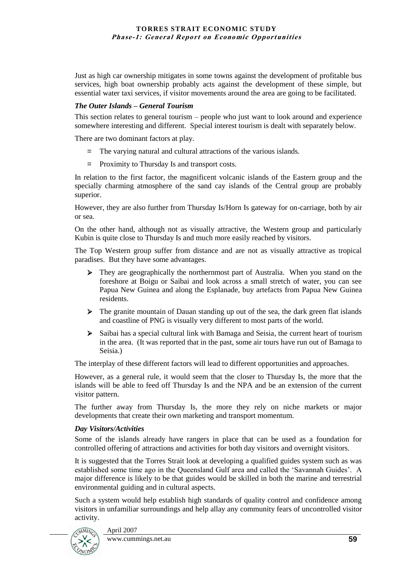Just as high car ownership mitigates in some towns against the development of profitable bus services, high boat ownership probably acts against the development of these simple, but essential water taxi services, if visitor movements around the area are going to be facilitated.

## *The Outer Islands – General Tourism*

This section relates to general tourism – people who just want to look around and experience somewhere interesting and different. Special interest tourism is dealt with separately below.

There are two dominant factors at play.

- = The varying natural and cultural attractions of the various islands.
- = Proximity to Thursday Is and transport costs.

In relation to the first factor, the magnificent volcanic islands of the Eastern group and the specially charming atmosphere of the sand cay islands of the Central group are probably superior.

However, they are also further from Thursday Is/Horn Is gateway for on-carriage, both by air or sea.

On the other hand, although not as visually attractive, the Western group and particularly Kubin is quite close to Thursday Is and much more easily reached by visitors.

The Top Western group suffer from distance and are not as visually attractive as tropical paradises. But they have some advantages.

- They are geographically the northernmost part of Australia. When you stand on the foreshore at Boigu or Saibai and look across a small stretch of water, you can see Papua New Guinea and along the Esplanade, buy artefacts from Papua New Guinea residents.
- $\triangleright$  The granite mountain of Dauan standing up out of the sea, the dark green flat islands and coastline of PNG is visually very different to most parts of the world.
- $\triangleright$  Saibai has a special cultural link with Bamaga and Seisia, the current heart of tourism in the area. (It was reported that in the past, some air tours have run out of Bamaga to Seisia.)

The interplay of these different factors will lead to different opportunities and approaches.

However, as a general rule, it would seem that the closer to Thursday Is, the more that the islands will be able to feed off Thursday Is and the NPA and be an extension of the current visitor pattern.

The further away from Thursday Is, the more they rely on niche markets or major developments that create their own marketing and transport momentum.

#### *Day Visitors/Activities*

Some of the islands already have rangers in place that can be used as a foundation for controlled offering of attractions and activities for both day visitors and overnight visitors.

It is suggested that the Torres Strait look at developing a qualified guides system such as was established some time ago in the Queensland Gulf area and called the "Savannah Guides". A major difference is likely to be that guides would be skilled in both the marine and terrestrial environmental guiding and in cultural aspects.

Such a system would help establish high standards of quality control and confidence among visitors in unfamiliar surroundings and help allay any community fears of uncontrolled visitor activity.



April 2007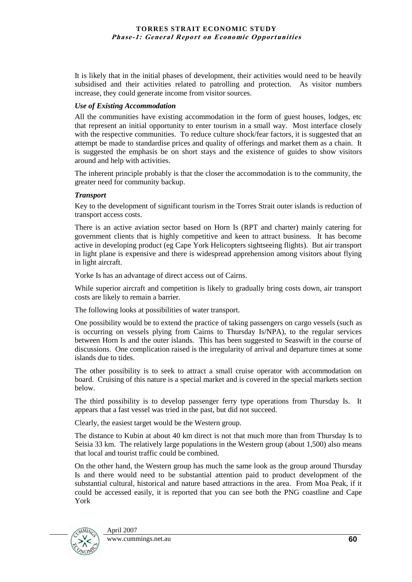It is likely that in the initial phases of development, their activities would need to be heavily subsidised and their activities related to patrolling and protection. As visitor numbers increase, they could generate income from visitor sources.

## *Use of Existing Accommodation*

All the communities have existing accommodation in the form of guest houses, lodges, etc that represent an initial opportunity to enter tourism in a small way. Most interface closely with the respective communities. To reduce culture shock/fear factors, it is suggested that an attempt be made to standardise prices and quality of offerings and market them as a chain. It is suggested the emphasis be on short stays and the existence of guides to show visitors around and help with activities.

The inherent principle probably is that the closer the accommodation is to the community, the greater need for community backup.

## *Transport*

Key to the development of significant tourism in the Torres Strait outer islands is reduction of transport access costs.

There is an active aviation sector based on Horn Is (RPT and charter) mainly catering for government clients that is highly competitive and keen to attract business. It has become active in developing product (eg Cape York Helicopters sightseeing flights). But air transport in light plane is expensive and there is widespread apprehension among visitors about flying in light aircraft.

Yorke Is has an advantage of direct access out of Cairns.

While superior aircraft and competition is likely to gradually bring costs down, air transport costs are likely to remain a barrier.

The following looks at possibilities of water transport.

One possibility would be to extend the practice of taking passengers on cargo vessels (such as is occurring on vessels plying from Cairns to Thursday Is/NPA), to the regular services between Horn Is and the outer islands. This has been suggested to Seaswift in the course of discussions. One complication raised is the irregularity of arrival and departure times at some islands due to tides.

The other possibility is to seek to attract a small cruise operator with accommodation on board. Cruising of this nature is a special market and is covered in the special markets section below.

The third possibility is to develop passenger ferry type operations from Thursday Is. It appears that a fast vessel was tried in the past, but did not succeed.

Clearly, the easiest target would be the Western group.

The distance to Kubin at about 40 km direct is not that much more than from Thursday Is to Seisia 33 km. The relatively large populations in the Western group (about 1,500) also means that local and tourist traffic could be combined.

On the other hand, the Western group has much the same look as the group around Thursday Is and there would need to be substantial attention paid to product development of the substantial cultural, historical and nature based attractions in the area. From Moa Peak, if it could be accessed easily, it is reported that you can see both the PNG coastline and Cape York

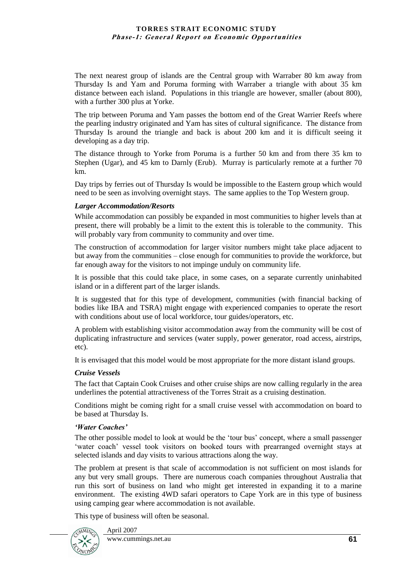The next nearest group of islands are the Central group with Warraber 80 km away from Thursday Is and Yam and Poruma forming with Warraber a triangle with about 35 km distance between each island. Populations in this triangle are however, smaller (about 800), with a further 300 plus at Yorke.

The trip between Poruma and Yam passes the bottom end of the Great Warrier Reefs where the pearling industry originated and Yam has sites of cultural significance. The distance from Thursday Is around the triangle and back is about 200 km and it is difficult seeing it developing as a day trip.

The distance through to Yorke from Poruma is a further 50 km and from there 35 km to Stephen (Ugar), and 45 km to Darnly (Erub). Murray is particularly remote at a further 70 km.

Day trips by ferries out of Thursday Is would be impossible to the Eastern group which would need to be seen as involving overnight stays. The same applies to the Top Western group.

#### *Larger Accommodation/Resorts*

While accommodation can possibly be expanded in most communities to higher levels than at present, there will probably be a limit to the extent this is tolerable to the community. This will probably vary from community to community and over time.

The construction of accommodation for larger visitor numbers might take place adjacent to but away from the communities – close enough for communities to provide the workforce, but far enough away for the visitors to not impinge unduly on community life.

It is possible that this could take place, in some cases, on a separate currently uninhabited island or in a different part of the larger islands.

It is suggested that for this type of development, communities (with financial backing of bodies like IBA and TSRA) might engage with experienced companies to operate the resort with conditions about use of local workforce, tour guides/operators, etc.

A problem with establishing visitor accommodation away from the community will be cost of duplicating infrastructure and services (water supply, power generator, road access, airstrips, etc).

It is envisaged that this model would be most appropriate for the more distant island groups.

#### *Cruise Vessels*

The fact that Captain Cook Cruises and other cruise ships are now calling regularly in the area underlines the potential attractiveness of the Torres Strait as a cruising destination.

Conditions might be coming right for a small cruise vessel with accommodation on board to be based at Thursday Is.

#### *'Water Coaches'*

The other possible model to look at would be the "tour bus" concept, where a small passenger "water coach" vessel took visitors on booked tours with prearranged overnight stays at selected islands and day visits to various attractions along the way.

The problem at present is that scale of accommodation is not sufficient on most islands for any but very small groups. There are numerous coach companies throughout Australia that run this sort of business on land who might get interested in expanding it to a marine environment. The existing 4WD safari operators to Cape York are in this type of business using camping gear where accommodation is not available.

This type of business will often be seasonal.

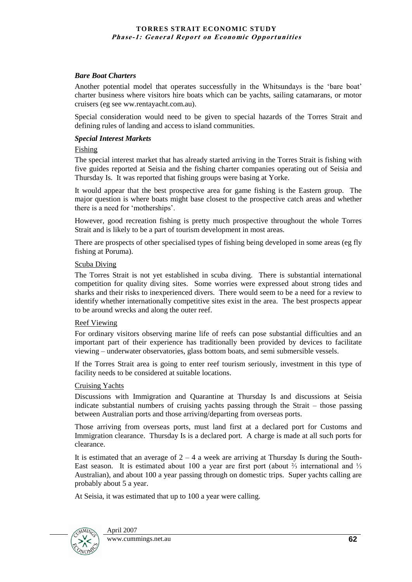#### *Bare Boat Charters*

Another potential model that operates successfully in the Whitsundays is the "bare boat" charter business where visitors hire boats which can be yachts, sailing catamarans, or motor cruisers (eg see ww.rentayacht.com.au).

Special consideration would need to be given to special hazards of the Torres Strait and defining rules of landing and access to island communities.

#### *Special Interest Markets*

#### Fishing

The special interest market that has already started arriving in the Torres Strait is fishing with five guides reported at Seisia and the fishing charter companies operating out of Seisia and Thursday Is. It was reported that fishing groups were basing at Yorke.

It would appear that the best prospective area for game fishing is the Eastern group. The major question is where boats might base closest to the prospective catch areas and whether there is a need for "motherships".

However, good recreation fishing is pretty much prospective throughout the whole Torres Strait and is likely to be a part of tourism development in most areas.

There are prospects of other specialised types of fishing being developed in some areas (eg fly fishing at Poruma).

#### Scuba Diving

The Torres Strait is not yet established in scuba diving. There is substantial international competition for quality diving sites. Some worries were expressed about strong tides and sharks and their risks to inexperienced divers. There would seem to be a need for a review to identify whether internationally competitive sites exist in the area. The best prospects appear to be around wrecks and along the outer reef.

#### Reef Viewing

For ordinary visitors observing marine life of reefs can pose substantial difficulties and an important part of their experience has traditionally been provided by devices to facilitate viewing – underwater observatories, glass bottom boats, and semi submersible vessels.

If the Torres Strait area is going to enter reef tourism seriously, investment in this type of facility needs to be considered at suitable locations.

#### Cruising Yachts

Discussions with Immigration and Quarantine at Thursday Is and discussions at Seisia indicate substantial numbers of cruising yachts passing through the Strait – those passing between Australian ports and those arriving/departing from overseas ports.

Those arriving from overseas ports, must land first at a declared port for Customs and Immigration clearance. Thursday Is is a declared port. A charge is made at all such ports for clearance.

It is estimated that an average of  $2 - 4$  a week are arriving at Thursday Is during the South-East season. It is estimated about 100 a year are first port (about  $\frac{2}{3}$  international and  $\frac{1}{3}$ ) Australian), and about 100 a year passing through on domestic trips. Super yachts calling are probably about 5 a year.

At Seisia, it was estimated that up to 100 a year were calling.

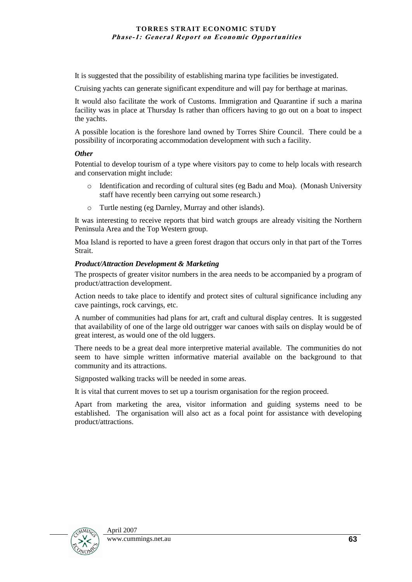It is suggested that the possibility of establishing marina type facilities be investigated.

Cruising yachts can generate significant expenditure and will pay for berthage at marinas.

It would also facilitate the work of Customs. Immigration and Quarantine if such a marina facility was in place at Thursday Is rather than officers having to go out on a boat to inspect the yachts.

A possible location is the foreshore land owned by Torres Shire Council. There could be a possibility of incorporating accommodation development with such a facility.

## *Other*

Potential to develop tourism of a type where visitors pay to come to help locals with research and conservation might include:

- o Identification and recording of cultural sites (eg Badu and Moa). (Monash University staff have recently been carrying out some research.)
- o Turtle nesting (eg Darnley, Murray and other islands).

It was interesting to receive reports that bird watch groups are already visiting the Northern Peninsula Area and the Top Western group.

Moa Island is reported to have a green forest dragon that occurs only in that part of the Torres Strait.

## *Product/Attraction Development & Marketing*

The prospects of greater visitor numbers in the area needs to be accompanied by a program of product/attraction development.

Action needs to take place to identify and protect sites of cultural significance including any cave paintings, rock carvings, etc.

A number of communities had plans for art, craft and cultural display centres. It is suggested that availability of one of the large old outrigger war canoes with sails on display would be of great interest, as would one of the old luggers.

There needs to be a great deal more interpretive material available. The communities do not seem to have simple written informative material available on the background to that community and its attractions.

Signposted walking tracks will be needed in some areas.

It is vital that current moves to set up a tourism organisation for the region proceed.

Apart from marketing the area, visitor information and guiding systems need to be established. The organisation will also act as a focal point for assistance with developing product/attractions.

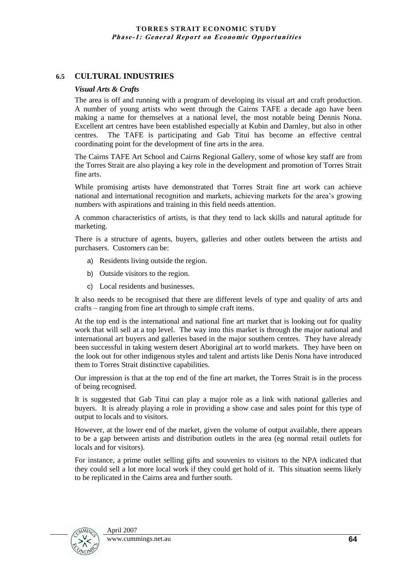## **6.5 CULTURAL INDUSTRIES**

#### *Visual Arts & Crafts*

The area is off and running with a program of developing its visual art and craft production. A number of young artists who went through the Cairns TAFE a decade ago have been making a name for themselves at a national level, the most notable being Dennis Nona. Excellent art centres have been established especially at Kubin and Darnley, but also in other centres. The TAFE is participating and Gab Titui has become an effective central coordinating point for the development of fine arts in the area.

The Cairns TAFE Art School and Cairns Regional Gallery, some of whose key staff are from the Torres Strait are also playing a key role in the development and promotion of Torres Strait fine arts.

While promising artists have demonstrated that Torres Strait fine art work can achieve national and international recognition and markets, achieving markets for the area"s growing numbers with aspirations and training in this field needs attention.

A common characteristics of artists, is that they tend to lack skills and natural aptitude for marketing.

There is a structure of agents, buyers, galleries and other outlets between the artists and purchasers. Customers can be:

- a) Residents living outside the region.
- b) Outside visitors to the region.
- c) Local residents and businesses.

It also needs to be recognised that there are different levels of type and quality of arts and crafts – ranging from fine art through to simple craft items.

At the top end is the international and national fine art market that is looking out for quality work that will sell at a top level. The way into this market is through the major national and international art buyers and galleries based in the major southern centres. They have already been successful in taking western desert Aboriginal art to world markets. They have been on the look out for other indigenous styles and talent and artists like Denis Nona have introduced them to Torres Strait distinctive capabilities.

Our impression is that at the top end of the fine art market, the Torres Strait is in the process of being recognised.

It is suggested that Gab Titui can play a major role as a link with national galleries and buyers. It is already playing a role in providing a show case and sales point for this type of output to locals and to visitors.

However, at the lower end of the market, given the volume of output available, there appears to be a gap between artists and distribution outlets in the area (eg normal retail outlets for locals and for visitors).

For instance, a prime outlet selling gifts and souvenirs to visitors to the NPA indicated that they could sell a lot more local work if they could get hold of it. This situation seems likely to be replicated in the Cairns area and further south.

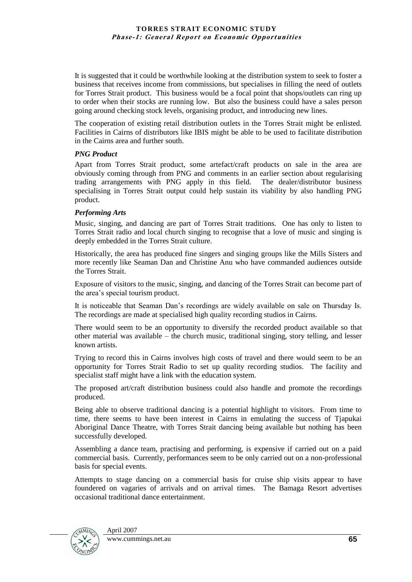It is suggested that it could be worthwhile looking at the distribution system to seek to foster a business that receives income from commissions, but specialises in filling the need of outlets for Torres Strait product. This business would be a focal point that shops/outlets can ring up to order when their stocks are running low. But also the business could have a sales person going around checking stock levels, organising product, and introducing new lines.

The cooperation of existing retail distribution outlets in the Torres Strait might be enlisted. Facilities in Cairns of distributors like IBIS might be able to be used to facilitate distribution in the Cairns area and further south.

#### *PNG Product*

Apart from Torres Strait product, some artefact/craft products on sale in the area are obviously coming through from PNG and comments in an earlier section about regularising trading arrangements with PNG apply in this field. The dealer/distributor business specialising in Torres Strait output could help sustain its viability by also handling PNG product.

#### *Performing Arts*

Music, singing, and dancing are part of Torres Strait traditions. One has only to listen to Torres Strait radio and local church singing to recognise that a love of music and singing is deeply embedded in the Torres Strait culture.

Historically, the area has produced fine singers and singing groups like the Mills Sisters and more recently like Seaman Dan and Christine Anu who have commanded audiences outside the Torres Strait.

Exposure of visitors to the music, singing, and dancing of the Torres Strait can become part of the area"s special tourism product.

It is noticeable that Seaman Dan"s recordings are widely available on sale on Thursday Is. The recordings are made at specialised high quality recording studios in Cairns.

There would seem to be an opportunity to diversify the recorded product available so that other material was available – the church music, traditional singing, story telling, and lesser known artists.

Trying to record this in Cairns involves high costs of travel and there would seem to be an opportunity for Torres Strait Radio to set up quality recording studios. The facility and specialist staff might have a link with the education system.

The proposed art/craft distribution business could also handle and promote the recordings produced.

Being able to observe traditional dancing is a potential highlight to visitors. From time to time, there seems to have been interest in Cairns in emulating the success of Tjapukai Aboriginal Dance Theatre, with Torres Strait dancing being available but nothing has been successfully developed.

Assembling a dance team, practising and performing, is expensive if carried out on a paid commercial basis. Currently, performances seem to be only carried out on a non-professional basis for special events.

Attempts to stage dancing on a commercial basis for cruise ship visits appear to have foundered on vagaries of arrivals and on arrival times. The Bamaga Resort advertises occasional traditional dance entertainment.

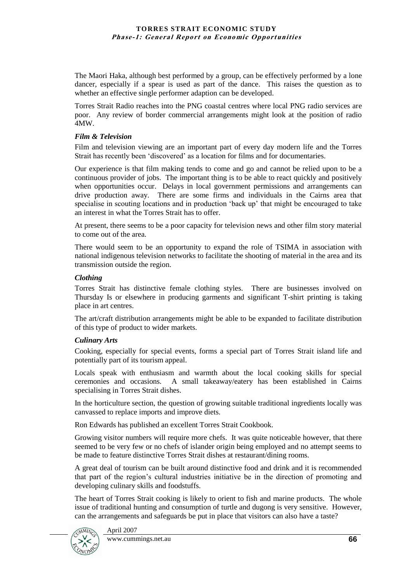The Maori Haka, although best performed by a group, can be effectively performed by a lone dancer, especially if a spear is used as part of the dance. This raises the question as to whether an effective single performer adaption can be developed.

Torres Strait Radio reaches into the PNG coastal centres where local PNG radio services are poor. Any review of border commercial arrangements might look at the position of radio 4MW.

#### *Film & Television*

Film and television viewing are an important part of every day modern life and the Torres Strait has recently been "discovered" as a location for films and for documentaries.

Our experience is that film making tends to come and go and cannot be relied upon to be a continuous provider of jobs. The important thing is to be able to react quickly and positively when opportunities occur. Delays in local government permissions and arrangements can drive production away. There are some firms and individuals in the Cairns area that specialise in scouting locations and in production "back up" that might be encouraged to take an interest in what the Torres Strait has to offer.

At present, there seems to be a poor capacity for television news and other film story material to come out of the area.

There would seem to be an opportunity to expand the role of TSIMA in association with national indigenous television networks to facilitate the shooting of material in the area and its transmission outside the region.

#### *Clothing*

Torres Strait has distinctive female clothing styles. There are businesses involved on Thursday Is or elsewhere in producing garments and significant T-shirt printing is taking place in art centres.

The art/craft distribution arrangements might be able to be expanded to facilitate distribution of this type of product to wider markets.

## *Culinary Arts*

Cooking, especially for special events, forms a special part of Torres Strait island life and potentially part of its tourism appeal.

Locals speak with enthusiasm and warmth about the local cooking skills for special ceremonies and occasions. A small takeaway/eatery has been established in Cairns specialising in Torres Strait dishes.

In the horticulture section, the question of growing suitable traditional ingredients locally was canvassed to replace imports and improve diets.

Ron Edwards has published an excellent Torres Strait Cookbook.

Growing visitor numbers will require more chefs. It was quite noticeable however, that there seemed to be very few or no chefs of islander origin being employed and no attempt seems to be made to feature distinctive Torres Strait dishes at restaurant/dining rooms.

A great deal of tourism can be built around distinctive food and drink and it is recommended that part of the region"s cultural industries initiative be in the direction of promoting and developing culinary skills and foodstuffs.

The heart of Torres Strait cooking is likely to orient to fish and marine products. The whole issue of traditional hunting and consumption of turtle and dugong is very sensitive. However, can the arrangements and safeguards be put in place that visitors can also have a taste?

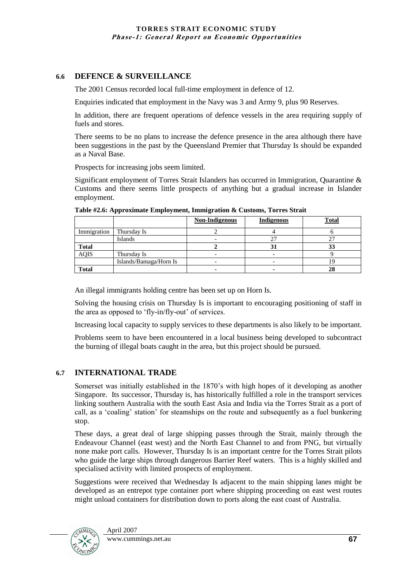## **6.6 DEFENCE & SURVEILLANCE**

The 2001 Census recorded local full-time employment in defence of 12.

Enquiries indicated that employment in the Navy was 3 and Army 9, plus 90 Reserves.

In addition, there are frequent operations of defence vessels in the area requiring supply of fuels and stores.

There seems to be no plans to increase the defence presence in the area although there have been suggestions in the past by the Queensland Premier that Thursday Is should be expanded as a Naval Base.

Prospects for increasing jobs seem limited.

Significant employment of Torres Strait Islanders has occurred in Immigration, Quarantine & Customs and there seems little prospects of anything but a gradual increase in Islander employment.

|              |                        | <b>Non-Indigenous</b> | <b>Indigenous</b> | <b>Total</b> |
|--------------|------------------------|-----------------------|-------------------|--------------|
| Immigration  | Thursday Is            |                       |                   |              |
|              | Islands                |                       |                   |              |
| <b>Total</b> |                        |                       | м                 | 99           |
| <b>AQIS</b>  | Thursday Is            |                       |                   |              |
|              | Islands/Bamaga/Horn Is |                       |                   |              |
| <b>Total</b> |                        |                       |                   |              |

**Table #2.6: Approximate Employment, Immigration & Customs, Torres Strait**

An illegal immigrants holding centre has been set up on Horn Is.

Solving the housing crisis on Thursday Is is important to encouraging positioning of staff in the area as opposed to 'fly-in/fly-out' of services.

Increasing local capacity to supply services to these departments is also likely to be important.

Problems seem to have been encountered in a local business being developed to subcontract the burning of illegal boats caught in the area, but this project should be pursued.

## **6.7 INTERNATIONAL TRADE**

Somerset was initially established in the 1870"s with high hopes of it developing as another Singapore. Its successor, Thursday is, has historically fulfilled a role in the transport services linking southern Australia with the south East Asia and India via the Torres Strait as a port of call, as a "coaling" station" for steamships on the route and subsequently as a fuel bunkering stop.

These days, a great deal of large shipping passes through the Strait, mainly through the Endeavour Channel (east west) and the North East Channel to and from PNG, but virtually none make port calls. However, Thursday Is is an important centre for the Torres Strait pilots who guide the large ships through dangerous Barrier Reef waters. This is a highly skilled and specialised activity with limited prospects of employment.

Suggestions were received that Wednesday Is adjacent to the main shipping lanes might be developed as an entrepot type container port where shipping proceeding on east west routes might unload containers for distribution down to ports along the east coast of Australia.

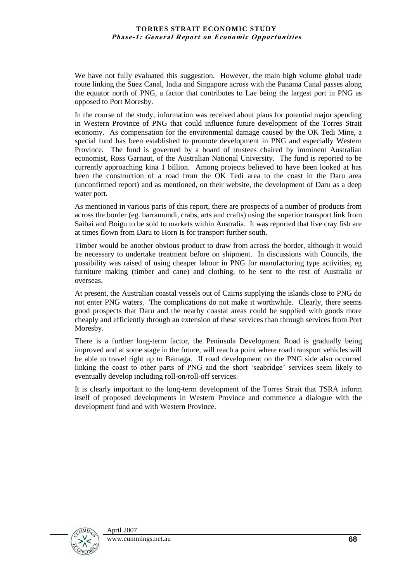We have not fully evaluated this suggestion. However, the main high volume global trade route linking the Suez Canal, India and Singapore across with the Panama Canal passes along the equator north of PNG, a factor that contributes to Lae being the largest port in PNG as opposed to Port Moresby.

In the course of the study, information was received about plans for potential major spending in Western Province of PNG that could influence future development of the Torres Strait economy. As compensation for the environmental damage caused by the OK Tedi Mine, a special fund has been established to promote development in PNG and especially Western Province. The fund is governed by a board of trustees chaired by imminent Australian economist, Ross Garnaut, of the Australian National University. The fund is reported to be currently approaching kina 1 billion. Among projects believed to have been looked at has been the construction of a road from the OK Tedi area to the coast in the Daru area (unconfirmed report) and as mentioned, on their website, the development of Daru as a deep water port.

As mentioned in various parts of this report, there are prospects of a number of products from across the border (eg. barramundi, crabs, arts and crafts) using the superior transport link from Saibai and Boigu to be sold to markets within Australia. It was reported that live cray fish are at times flown from Daru to Horn Is for transport further south.

Timber would be another obvious product to draw from across the border, although it would be necessary to undertake treatment before on shipment. In discussions with Councils, the possibility was raised of using cheaper labour in PNG for manufacturing type activities, eg furniture making (timber and cane) and clothing, to be sent to the rest of Australia or overseas.

At present, the Australian coastal vessels out of Cairns supplying the islands close to PNG do not enter PNG waters. The complications do not make it worthwhile. Clearly, there seems good prospects that Daru and the nearby coastal areas could be supplied with goods more cheaply and efficiently through an extension of these services than through services from Port Moresby.

There is a further long-term factor, the Peninsula Development Road is gradually being improved and at some stage in the future, will reach a point where road transport vehicles will be able to travel right up to Bamaga. If road development on the PNG side also occurred linking the coast to other parts of PNG and the short "seabridge" services seem likely to eventually develop including roll-on/roll-off services.

It is clearly important to the long-term development of the Torres Strait that TSRA inform itself of proposed developments in Western Province and commence a dialogue with the development fund and with Western Province.

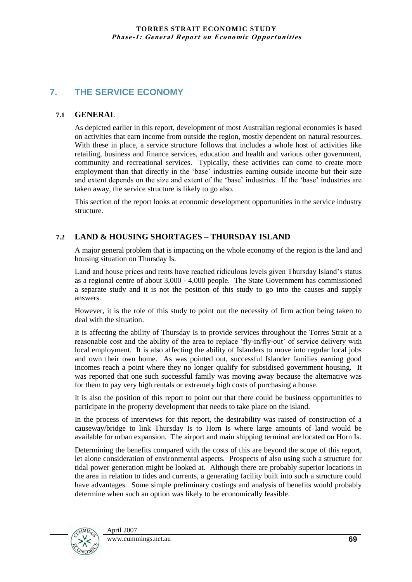# **7. THE SERVICE ECONOMY**

## **7.1 GENERAL**

As depicted earlier in this report, development of most Australian regional economies is based on activities that earn income from outside the region, mostly dependent on natural resources. With these in place, a service structure follows that includes a whole host of activities like retailing, business and finance services, education and health and various other government, community and recreational services. Typically, these activities can come to create more employment than that directly in the 'base' industries earning outside income but their size and extent depends on the size and extent of the "base" industries. If the "base" industries are taken away, the service structure is likely to go also.

This section of the report looks at economic development opportunities in the service industry structure.

## **7.2 LAND & HOUSING SHORTAGES – THURSDAY ISLAND**

A major general problem that is impacting on the whole economy of the region is the land and housing situation on Thursday Is.

Land and house prices and rents have reached ridiculous levels given Thursday Island"s status as a regional centre of about 3,000 - 4,000 people. The State Government has commissioned a separate study and it is not the position of this study to go into the causes and supply answers.

However, it is the role of this study to point out the necessity of firm action being taken to deal with the situation.

It is affecting the ability of Thursday Is to provide services throughout the Torres Strait at a reasonable cost and the ability of the area to replace "fly-in/fly-out" of service delivery with local employment. It is also affecting the ability of Islanders to move into regular local jobs and own their own home. As was pointed out, successful Islander families earning good incomes reach a point where they no longer qualify for subsidised government housing. It was reported that one such successful family was moving away because the alternative was for them to pay very high rentals or extremely high costs of purchasing a house.

It is also the position of this report to point out that there could be business opportunities to participate in the property development that needs to take place on the island.

In the process of interviews for this report, the desirability was raised of construction of a causeway/bridge to link Thursday Is to Horn Is where large amounts of land would be available for urban expansion. The airport and main shipping terminal are located on Horn Is.

Determining the benefits compared with the costs of this are beyond the scope of this report, let alone consideration of environmental aspects. Prospects of also using such a structure for tidal power generation might be looked at. Although there are probably superior locations in the area in relation to tides and currents, a generating facility built into such a structure could have advantages. Some simple preliminary costings and analysis of benefits would probably determine when such an option was likely to be economically feasible.

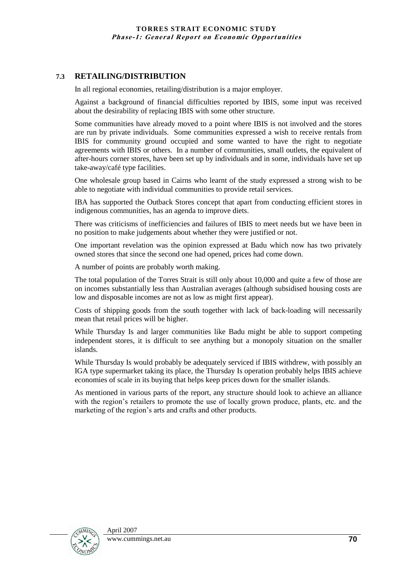## **7.3 RETAILING/DISTRIBUTION**

In all regional economies, retailing/distribution is a major employer.

Against a background of financial difficulties reported by IBIS, some input was received about the desirability of replacing IBIS with some other structure.

Some communities have already moved to a point where IBIS is not involved and the stores are run by private individuals. Some communities expressed a wish to receive rentals from IBIS for community ground occupied and some wanted to have the right to negotiate agreements with IBIS or others. In a number of communities, small outlets, the equivalent of after-hours corner stores, have been set up by individuals and in some, individuals have set up take-away/café type facilities.

One wholesale group based in Cairns who learnt of the study expressed a strong wish to be able to negotiate with individual communities to provide retail services.

IBA has supported the Outback Stores concept that apart from conducting efficient stores in indigenous communities, has an agenda to improve diets.

There was criticisms of inefficiencies and failures of IBIS to meet needs but we have been in no position to make judgements about whether they were justified or not.

One important revelation was the opinion expressed at Badu which now has two privately owned stores that since the second one had opened, prices had come down.

A number of points are probably worth making.

The total population of the Torres Strait is still only about 10,000 and quite a few of those are on incomes substantially less than Australian averages (although subsidised housing costs are low and disposable incomes are not as low as might first appear).

Costs of shipping goods from the south together with lack of back-loading will necessarily mean that retail prices will be higher.

While Thursday Is and larger communities like Badu might be able to support competing independent stores, it is difficult to see anything but a monopoly situation on the smaller islands.

While Thursday Is would probably be adequately serviced if IBIS withdrew, with possibly an IGA type supermarket taking its place, the Thursday Is operation probably helps IBIS achieve economies of scale in its buying that helps keep prices down for the smaller islands.

As mentioned in various parts of the report, any structure should look to achieve an alliance with the region"s retailers to promote the use of locally grown produce, plants, etc. and the marketing of the region"s arts and crafts and other products.

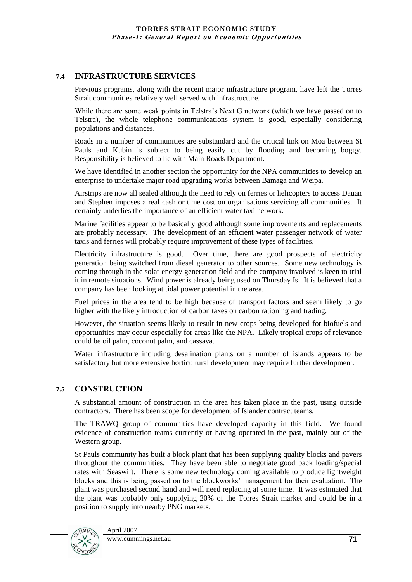## **7.4 INFRASTRUCTURE SERVICES**

Previous programs, along with the recent major infrastructure program, have left the Torres Strait communities relatively well served with infrastructure.

While there are some weak points in Telstra's Next G network (which we have passed on to Telstra), the whole telephone communications system is good, especially considering populations and distances.

Roads in a number of communities are substandard and the critical link on Moa between St Pauls and Kubin is subject to being easily cut by flooding and becoming boggy. Responsibility is believed to lie with Main Roads Department.

We have identified in another section the opportunity for the NPA communities to develop an enterprise to undertake major road upgrading works between Bamaga and Weipa.

Airstrips are now all sealed although the need to rely on ferries or helicopters to access Dauan and Stephen imposes a real cash or time cost on organisations servicing all communities. It certainly underlies the importance of an efficient water taxi network.

Marine facilities appear to be basically good although some improvements and replacements are probably necessary. The development of an efficient water passenger network of water taxis and ferries will probably require improvement of these types of facilities.

Electricity infrastructure is good. Over time, there are good prospects of electricity generation being switched from diesel generator to other sources. Some new technology is coming through in the solar energy generation field and the company involved is keen to trial it in remote situations. Wind power is already being used on Thursday Is. It is believed that a company has been looking at tidal power potential in the area.

Fuel prices in the area tend to be high because of transport factors and seem likely to go higher with the likely introduction of carbon taxes on carbon rationing and trading.

However, the situation seems likely to result in new crops being developed for biofuels and opportunities may occur especially for areas like the NPA. Likely tropical crops of relevance could be oil palm, coconut palm, and cassava.

Water infrastructure including desalination plants on a number of islands appears to be satisfactory but more extensive horticultural development may require further development.

## **7.5 CONSTRUCTION**

A substantial amount of construction in the area has taken place in the past, using outside contractors. There has been scope for development of Islander contract teams.

The TRAWQ group of communities have developed capacity in this field. We found evidence of construction teams currently or having operated in the past, mainly out of the Western group.

St Pauls community has built a block plant that has been supplying quality blocks and pavers throughout the communities. They have been able to negotiate good back loading/special rates with Seaswift. There is some new technology coming available to produce lightweight blocks and this is being passed on to the blockworks" management for their evaluation. The plant was purchased second hand and will need replacing at some time. It was estimated that the plant was probably only supplying 20% of the Torres Strait market and could be in a position to supply into nearby PNG markets.

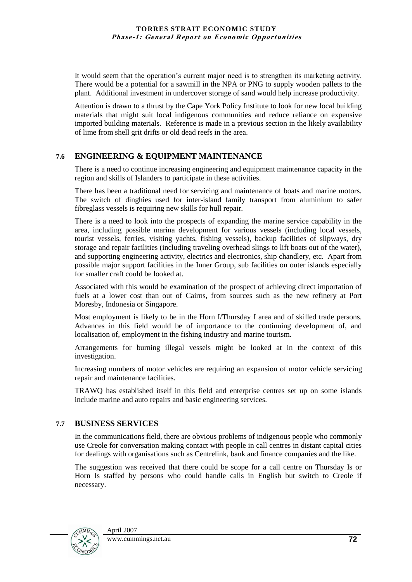It would seem that the operation"s current major need is to strengthen its marketing activity. There would be a potential for a sawmill in the NPA or PNG to supply wooden pallets to the plant. Additional investment in undercover storage of sand would help increase productivity.

Attention is drawn to a thrust by the Cape York Policy Institute to look for new local building materials that might suit local indigenous communities and reduce reliance on expensive imported building materials. Reference is made in a previous section in the likely availability of lime from shell grit drifts or old dead reefs in the area.

## **7.6 ENGINEERING & EQUIPMENT MAINTENANCE**

There is a need to continue increasing engineering and equipment maintenance capacity in the region and skills of Islanders to participate in these activities.

There has been a traditional need for servicing and maintenance of boats and marine motors. The switch of dinghies used for inter-island family transport from aluminium to safer fibreglass vessels is requiring new skills for hull repair.

There is a need to look into the prospects of expanding the marine service capability in the area, including possible marina development for various vessels (including local vessels, tourist vessels, ferries, visiting yachts, fishing vessels), backup facilities of slipways, dry storage and repair facilities (including traveling overhead slings to lift boats out of the water), and supporting engineering activity, electrics and electronics, ship chandlery, etc. Apart from possible major support facilities in the Inner Group, sub facilities on outer islands especially for smaller craft could be looked at.

Associated with this would be examination of the prospect of achieving direct importation of fuels at a lower cost than out of Cairns, from sources such as the new refinery at Port Moresby, Indonesia or Singapore.

Most employment is likely to be in the Horn I/Thursday I area and of skilled trade persons. Advances in this field would be of importance to the continuing development of, and localisation of, employment in the fishing industry and marine tourism.

Arrangements for burning illegal vessels might be looked at in the context of this investigation.

Increasing numbers of motor vehicles are requiring an expansion of motor vehicle servicing repair and maintenance facilities.

TRAWQ has established itself in this field and enterprise centres set up on some islands include marine and auto repairs and basic engineering services.

## **7.7 BUSINESS SERVICES**

In the communications field, there are obvious problems of indigenous people who commonly use Creole for conversation making contact with people in call centres in distant capital cities for dealings with organisations such as Centrelink, bank and finance companies and the like.

The suggestion was received that there could be scope for a call centre on Thursday Is or Horn Is staffed by persons who could handle calls in English but switch to Creole if necessary.

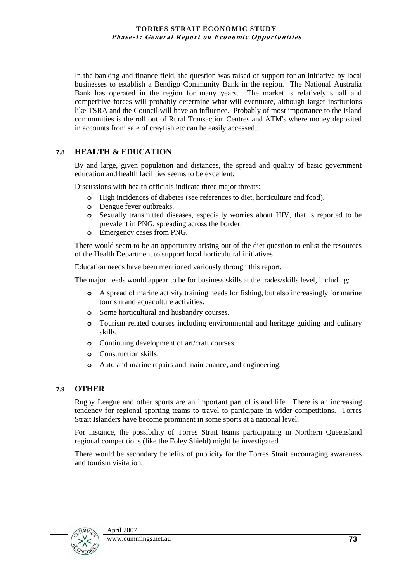In the banking and finance field, the question was raised of support for an initiative by local businesses to establish a Bendigo Community Bank in the region. The National Australia Bank has operated in the region for many years. The market is relatively small and competitive forces will probably determine what will eventuate, although larger institutions like TSRA and the Council will have an influence. Probably of most importance to the Island communities is the roll out of Rural Transaction Centres and ATM's where money deposited in accounts from sale of crayfish etc can be easily accessed..

## **7.8 HEALTH & EDUCATION**

By and large, given population and distances, the spread and quality of basic government education and health facilities seems to be excellent.

Discussions with health officials indicate three major threats:

- **o** High incidences of diabetes (see references to diet, horticulture and food).
- **o** Dengue fever outbreaks.
- **o** Sexually transmitted diseases, especially worries about HIV, that is reported to be prevalent in PNG, spreading across the border.
- **o** Emergency cases from PNG.

There would seem to be an opportunity arising out of the diet question to enlist the resources of the Health Department to support local horticultural initiatives.

Education needs have been mentioned variously through this report.

The major needs would appear to be for business skills at the trades/skills level, including:

- **o** A spread of marine activity training needs for fishing, but also increasingly for marine tourism and aquaculture activities.
- **o** Some horticultural and husbandry courses.
- **o** Tourism related courses including environmental and heritage guiding and culinary skills.
- **o** Continuing development of art/craft courses.
- **o** Construction skills.
- **o** Auto and marine repairs and maintenance, and engineering.

### **7.9 OTHER**

Rugby League and other sports are an important part of island life. There is an increasing tendency for regional sporting teams to travel to participate in wider competitions. Torres Strait Islanders have become prominent in some sports at a national level.

For instance, the possibility of Torres Strait teams participating in Northern Queensland regional competitions (like the Foley Shield) might be investigated.

There would be secondary benefits of publicity for the Torres Strait encouraging awareness and tourism visitation.

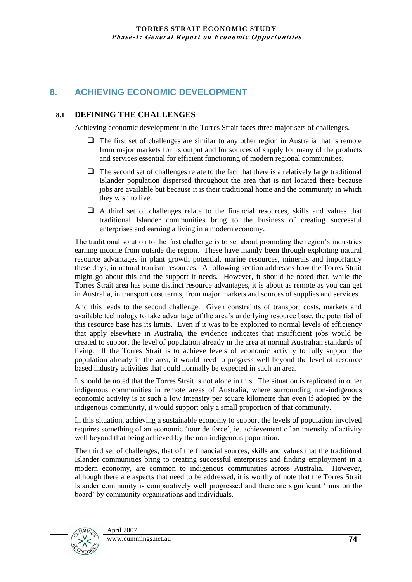# **8. ACHIEVING ECONOMIC DEVELOPMENT**

## **8.1 DEFINING THE CHALLENGES**

Achieving economic development in the Torres Strait faces three major sets of challenges.

- $\Box$  The first set of challenges are similar to any other region in Australia that is remote from major markets for its output and for sources of supply for many of the products and services essential for efficient functioning of modern regional communities.
- $\Box$  The second set of challenges relate to the fact that there is a relatively large traditional Islander population dispersed throughout the area that is not located there because jobs are available but because it is their traditional home and the community in which they wish to live.
- A third set of challenges relate to the financial resources, skills and values that traditional Islander communities bring to the business of creating successful enterprises and earning a living in a modern economy.

The traditional solution to the first challenge is to set about promoting the region"s industries earning income from outside the region. These have mainly been through exploiting natural resource advantages in plant growth potential, marine resources, minerals and importantly these days, in natural tourism resources. A following section addresses how the Torres Strait might go about this and the support it needs. However, it should be noted that, while the Torres Strait area has some distinct resource advantages, it is about as remote as you can get in Australia, in transport cost terms, from major markets and sources of supplies and services.

And this leads to the second challenge. Given constraints of transport costs, markets and available technology to take advantage of the area"s underlying resource base, the potential of this resource base has its limits. Even if it was to be exploited to normal levels of efficiency that apply elsewhere in Australia, the evidence indicates that insufficient jobs would be created to support the level of population already in the area at normal Australian standards of living. If the Torres Strait is to achieve levels of economic activity to fully support the population already in the area, it would need to progress well beyond the level of resource based industry activities that could normally be expected in such an area.

It should be noted that the Torres Strait is not alone in this. The situation is replicated in other indigenous communities in remote areas of Australia, where surrounding non-indigenous economic activity is at such a low intensity per square kilometre that even if adopted by the indigenous community, it would support only a small proportion of that community.

In this situation, achieving a sustainable economy to support the levels of population involved requires something of an economic "tour de force", ie. achievement of an intensity of activity well beyond that being achieved by the non-indigenous population.

The third set of challenges, that of the financial sources, skills and values that the traditional Islander communities bring to creating successful enterprises and finding employment in a modern economy, are common to indigenous communities across Australia. However, although there are aspects that need to be addressed, it is worthy of note that the Torres Strait Islander community is comparatively well progressed and there are significant "runs on the board" by community organisations and individuals.

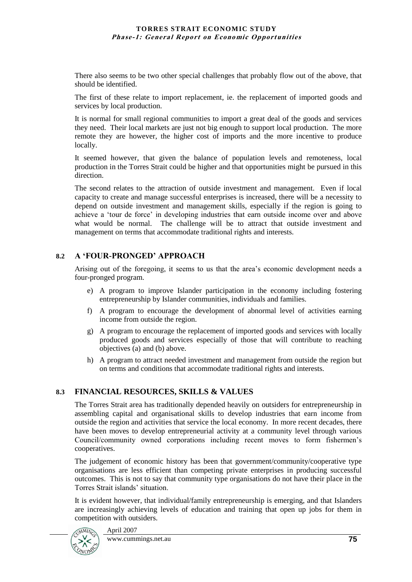There also seems to be two other special challenges that probably flow out of the above, that should be identified.

The first of these relate to import replacement, ie. the replacement of imported goods and services by local production.

It is normal for small regional communities to import a great deal of the goods and services they need. Their local markets are just not big enough to support local production. The more remote they are however, the higher cost of imports and the more incentive to produce locally.

It seemed however, that given the balance of population levels and remoteness, local production in the Torres Strait could be higher and that opportunities might be pursued in this direction.

The second relates to the attraction of outside investment and management. Even if local capacity to create and manage successful enterprises is increased, there will be a necessity to depend on outside investment and management skills, especially if the region is going to achieve a "tour de force" in developing industries that earn outside income over and above what would be normal. The challenge will be to attract that outside investment and management on terms that accommodate traditional rights and interests.

## **8.2 A 'FOUR-PRONGED' APPROACH**

Arising out of the foregoing, it seems to us that the area"s economic development needs a four-pronged program.

- e) A program to improve Islander participation in the economy including fostering entrepreneurship by Islander communities, individuals and families.
- f) A program to encourage the development of abnormal level of activities earning income from outside the region.
- g) A program to encourage the replacement of imported goods and services with locally produced goods and services especially of those that will contribute to reaching objectives (a) and (b) above.
- h) A program to attract needed investment and management from outside the region but on terms and conditions that accommodate traditional rights and interests.

## **8.3 FINANCIAL RESOURCES, SKILLS & VALUES**

The Torres Strait area has traditionally depended heavily on outsiders for entrepreneurship in assembling capital and organisational skills to develop industries that earn income from outside the region and activities that service the local economy. In more recent decades, there have been moves to develop entrepreneurial activity at a community level through various Council/community owned corporations including recent moves to form fishermen"s cooperatives.

The judgement of economic history has been that government/community/cooperative type organisations are less efficient than competing private enterprises in producing successful outcomes. This is not to say that community type organisations do not have their place in the Torres Strait islands" situation.

It is evident however, that individual/family entrepreneurship is emerging, and that Islanders are increasingly achieving levels of education and training that open up jobs for them in competition with outsiders.

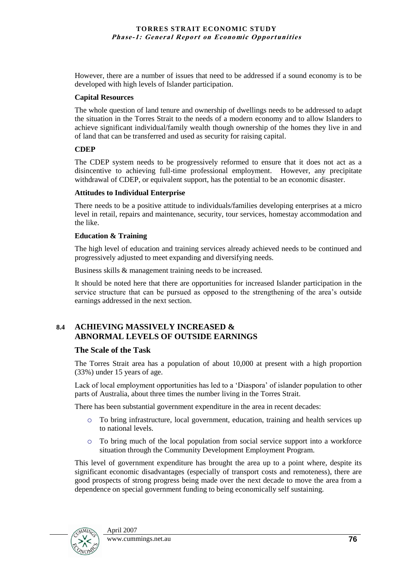However, there are a number of issues that need to be addressed if a sound economy is to be developed with high levels of Islander participation.

## **Capital Resources**

The whole question of land tenure and ownership of dwellings needs to be addressed to adapt the situation in the Torres Strait to the needs of a modern economy and to allow Islanders to achieve significant individual/family wealth though ownership of the homes they live in and of land that can be transferred and used as security for raising capital.

## **CDEP**

The CDEP system needs to be progressively reformed to ensure that it does not act as a disincentive to achieving full-time professional employment. However, any precipitate withdrawal of CDEP, or equivalent support, has the potential to be an economic disaster.

## **Attitudes to Individual Enterprise**

There needs to be a positive attitude to individuals/families developing enterprises at a micro level in retail, repairs and maintenance, security, tour services, homestay accommodation and the like.

## **Education & Training**

The high level of education and training services already achieved needs to be continued and progressively adjusted to meet expanding and diversifying needs.

Business skills & management training needs to be increased.

It should be noted here that there are opportunities for increased Islander participation in the service structure that can be pursued as opposed to the strengthening of the area"s outside earnings addressed in the next section.

## **8.4 ACHIEVING MASSIVELY INCREASED & ABNORMAL LEVELS OF OUTSIDE EARNINGS**

## **The Scale of the Task**

The Torres Strait area has a population of about 10,000 at present with a high proportion (33%) under 15 years of age.

Lack of local employment opportunities has led to a "Diaspora" of islander population to other parts of Australia, about three times the number living in the Torres Strait.

There has been substantial government expenditure in the area in recent decades:

- o To bring infrastructure, local government, education, training and health services up to national levels.
- o To bring much of the local population from social service support into a workforce situation through the Community Development Employment Program.

This level of government expenditure has brought the area up to a point where, despite its significant economic disadvantages (especially of transport costs and remoteness), there are good prospects of strong progress being made over the next decade to move the area from a dependence on special government funding to being economically self sustaining.

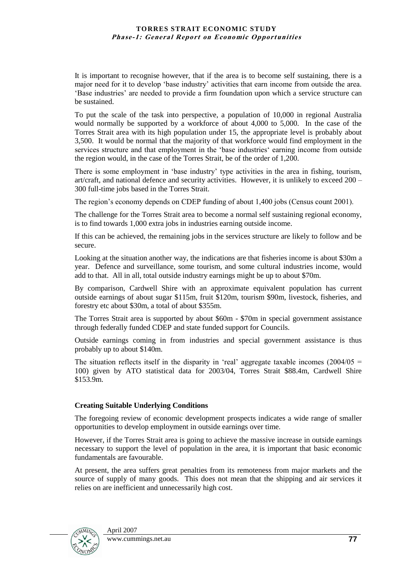It is important to recognise however, that if the area is to become self sustaining, there is a major need for it to develop "base industry" activities that earn income from outside the area. "Base industries" are needed to provide a firm foundation upon which a service structure can be sustained.

To put the scale of the task into perspective, a population of 10,000 in regional Australia would normally be supported by a workforce of about 4,000 to 5,000. In the case of the Torres Strait area with its high population under 15, the appropriate level is probably about 3,500. It would be normal that the majority of that workforce would find employment in the services structure and that employment in the 'base industries' earning income from outside the region would, in the case of the Torres Strait, be of the order of 1,200.

There is some employment in "base industry" type activities in the area in fishing, tourism, art/craft, and national defence and security activities. However, it is unlikely to exceed 200 – 300 full-time jobs based in the Torres Strait.

The region"s economy depends on CDEP funding of about 1,400 jobs (Census count 2001).

The challenge for the Torres Strait area to become a normal self sustaining regional economy, is to find towards 1,000 extra jobs in industries earning outside income.

If this can be achieved, the remaining jobs in the services structure are likely to follow and be secure.

Looking at the situation another way, the indications are that fisheries income is about \$30m a year. Defence and surveillance, some tourism, and some cultural industries income, would add to that. All in all, total outside industry earnings might be up to about \$70m.

By comparison, Cardwell Shire with an approximate equivalent population has current outside earnings of about sugar \$115m, fruit \$120m, tourism \$90m, livestock, fisheries, and forestry etc about \$30m, a total of about \$355m.

The Torres Strait area is supported by about \$60m - \$70m in special government assistance through federally funded CDEP and state funded support for Councils.

Outside earnings coming in from industries and special government assistance is thus probably up to about \$140m.

The situation reflects itself in the disparity in 'real' aggregate taxable incomes  $(2004/05 =$ 100) given by ATO statistical data for 2003/04, Torres Strait \$88.4m, Cardwell Shire \$153.9m.

### **Creating Suitable Underlying Conditions**

The foregoing review of economic development prospects indicates a wide range of smaller opportunities to develop employment in outside earnings over time.

However, if the Torres Strait area is going to achieve the massive increase in outside earnings necessary to support the level of population in the area, it is important that basic economic fundamentals are favourable.

At present, the area suffers great penalties from its remoteness from major markets and the source of supply of many goods. This does not mean that the shipping and air services it relies on are inefficient and unnecessarily high cost.

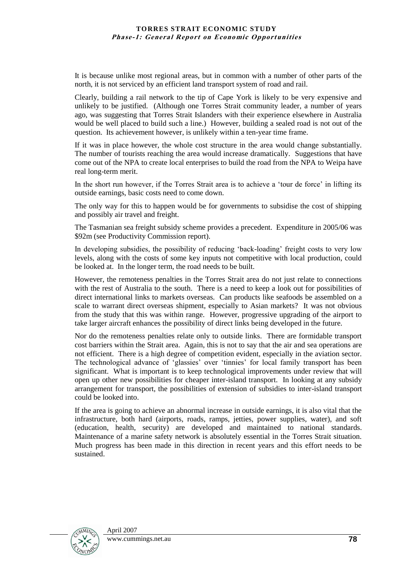It is because unlike most regional areas, but in common with a number of other parts of the north, it is not serviced by an efficient land transport system of road and rail.

Clearly, building a rail network to the tip of Cape York is likely to be very expensive and unlikely to be justified. (Although one Torres Strait community leader, a number of years ago, was suggesting that Torres Strait Islanders with their experience elsewhere in Australia would be well placed to build such a line.) However, building a sealed road is not out of the question. Its achievement however, is unlikely within a ten-year time frame.

If it was in place however, the whole cost structure in the area would change substantially. The number of tourists reaching the area would increase dramatically. Suggestions that have come out of the NPA to create local enterprises to build the road from the NPA to Weipa have real long-term merit.

In the short run however, if the Torres Strait area is to achieve a "tour de force" in lifting its outside earnings, basic costs need to come down.

The only way for this to happen would be for governments to subsidise the cost of shipping and possibly air travel and freight.

The Tasmanian sea freight subsidy scheme provides a precedent. Expenditure in 2005/06 was \$92m (see Productivity Commission report).

In developing subsidies, the possibility of reducing "back-loading" freight costs to very low levels, along with the costs of some key inputs not competitive with local production, could be looked at. In the longer term, the road needs to be built.

However, the remoteness penalties in the Torres Strait area do not just relate to connections with the rest of Australia to the south. There is a need to keep a look out for possibilities of direct international links to markets overseas. Can products like seafoods be assembled on a scale to warrant direct overseas shipment, especially to Asian markets? It was not obvious from the study that this was within range. However, progressive upgrading of the airport to take larger aircraft enhances the possibility of direct links being developed in the future.

Nor do the remoteness penalties relate only to outside links. There are formidable transport cost barriers within the Strait area. Again, this is not to say that the air and sea operations are not efficient. There is a high degree of competition evident, especially in the aviation sector. The technological advance of "glassies" over "tinnies" for local family transport has been significant. What is important is to keep technological improvements under review that will open up other new possibilities for cheaper inter-island transport. In looking at any subsidy arrangement for transport, the possibilities of extension of subsidies to inter-island transport could be looked into.

If the area is going to achieve an abnormal increase in outside earnings, it is also vital that the infrastructure, both hard (airports, roads, ramps, jetties, power supplies, water), and soft (education, health, security) are developed and maintained to national standards. Maintenance of a marine safety network is absolutely essential in the Torres Strait situation. Much progress has been made in this direction in recent years and this effort needs to be sustained.

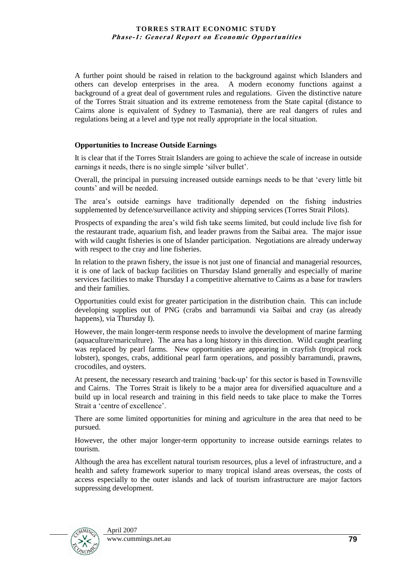A further point should be raised in relation to the background against which Islanders and others can develop enterprises in the area. A modern economy functions against a background of a great deal of government rules and regulations. Given the distinctive nature of the Torres Strait situation and its extreme remoteness from the State capital (distance to Cairns alone is equivalent of Sydney to Tasmania), there are real dangers of rules and regulations being at a level and type not really appropriate in the local situation.

### **Opportunities to Increase Outside Earnings**

It is clear that if the Torres Strait Islanders are going to achieve the scale of increase in outside earnings it needs, there is no single simple "silver bullet".

Overall, the principal in pursuing increased outside earnings needs to be that "every little bit counts" and will be needed.

The area"s outside earnings have traditionally depended on the fishing industries supplemented by defence/surveillance activity and shipping services (Torres Strait Pilots).

Prospects of expanding the area"s wild fish take seems limited, but could include live fish for the restaurant trade, aquarium fish, and leader prawns from the Saibai area. The major issue with wild caught fisheries is one of Islander participation. Negotiations are already underway with respect to the cray and line fisheries.

In relation to the prawn fishery, the issue is not just one of financial and managerial resources, it is one of lack of backup facilities on Thursday Island generally and especially of marine services facilities to make Thursday I a competitive alternative to Cairns as a base for trawlers and their families.

Opportunities could exist for greater participation in the distribution chain. This can include developing supplies out of PNG (crabs and barramundi via Saibai and cray (as already happens), via Thursday I).

However, the main longer-term response needs to involve the development of marine farming (aquaculture/mariculture). The area has a long history in this direction. Wild caught pearling was replaced by pearl farms. New opportunities are appearing in crayfish (tropical rock lobster), sponges, crabs, additional pearl farm operations, and possibly barramundi, prawns, crocodiles, and oysters.

At present, the necessary research and training "back-up" for this sector is based in Townsville and Cairns. The Torres Strait is likely to be a major area for diversified aquaculture and a build up in local research and training in this field needs to take place to make the Torres Strait a 'centre of excellence'.

There are some limited opportunities for mining and agriculture in the area that need to be pursued.

However, the other major longer-term opportunity to increase outside earnings relates to tourism.

Although the area has excellent natural tourism resources, plus a level of infrastructure, and a health and safety framework superior to many tropical island areas overseas, the costs of access especially to the outer islands and lack of tourism infrastructure are major factors suppressing development.

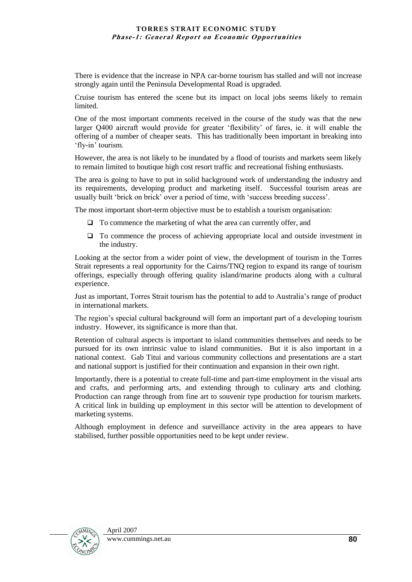There is evidence that the increase in NPA car-borne tourism has stalled and will not increase strongly again until the Peninsula Developmental Road is upgraded.

Cruise tourism has entered the scene but its impact on local jobs seems likely to remain limited.

One of the most important comments received in the course of the study was that the new larger Q400 aircraft would provide for greater "flexibility" of fares, ie. it will enable the offering of a number of cheaper seats. This has traditionally been important in breaking into 'fly-in' tourism.

However, the area is not likely to be inundated by a flood of tourists and markets seem likely to remain limited to boutique high cost resort traffic and recreational fishing enthusiasts.

The area is going to have to put in solid background work of understanding the industry and its requirements, developing product and marketing itself. Successful tourism areas are usually built "brick on brick" over a period of time, with "success breeding success".

The most important short-term objective must be to establish a tourism organisation:

- $\Box$  To commence the marketing of what the area can currently offer, and
- To commence the process of achieving appropriate local and outside investment in the industry.

Looking at the sector from a wider point of view, the development of tourism in the Torres Strait represents a real opportunity for the Cairns/TNQ region to expand its range of tourism offerings, especially through offering quality island/marine products along with a cultural experience.

Just as important, Torres Strait tourism has the potential to add to Australia"s range of product in international markets.

The region"s special cultural background will form an important part of a developing tourism industry. However, its significance is more than that.

Retention of cultural aspects is important to island communities themselves and needs to be pursued for its own intrinsic value to island communities. But it is also important in a national context. Gab Titui and various community collections and presentations are a start and national support is justified for their continuation and expansion in their own right.

Importantly, there is a potential to create full-time and part-time employment in the visual arts and crafts, and performing arts, and extending through to culinary arts and clothing. Production can range through from fine art to souvenir type production for tourism markets. A critical link in building up employment in this sector will be attention to development of marketing systems.

Although employment in defence and surveillance activity in the area appears to have stabilised, further possible opportunities need to be kept under review.

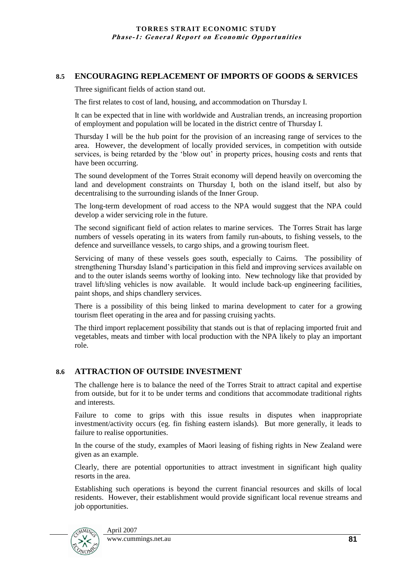### **8.5 ENCOURAGING REPLACEMENT OF IMPORTS OF GOODS & SERVICES**

Three significant fields of action stand out.

The first relates to cost of land, housing, and accommodation on Thursday I.

It can be expected that in line with worldwide and Australian trends, an increasing proportion of employment and population will be located in the district centre of Thursday I.

Thursday I will be the hub point for the provision of an increasing range of services to the area. However, the development of locally provided services, in competition with outside services, is being retarded by the "blow out" in property prices, housing costs and rents that have been occurring.

The sound development of the Torres Strait economy will depend heavily on overcoming the land and development constraints on Thursday I, both on the island itself, but also by decentralising to the surrounding islands of the Inner Group.

The long-term development of road access to the NPA would suggest that the NPA could develop a wider servicing role in the future.

The second significant field of action relates to marine services. The Torres Strait has large numbers of vessels operating in its waters from family run-abouts, to fishing vessels, to the defence and surveillance vessels, to cargo ships, and a growing tourism fleet.

Servicing of many of these vessels goes south, especially to Cairns. The possibility of strengthening Thursday Island"s participation in this field and improving services available on and to the outer islands seems worthy of looking into. New technology like that provided by travel lift/sling vehicles is now available. It would include back-up engineering facilities, paint shops, and ships chandlery services.

There is a possibility of this being linked to marina development to cater for a growing tourism fleet operating in the area and for passing cruising yachts.

The third import replacement possibility that stands out is that of replacing imported fruit and vegetables, meats and timber with local production with the NPA likely to play an important role.

## **8.6 ATTRACTION OF OUTSIDE INVESTMENT**

The challenge here is to balance the need of the Torres Strait to attract capital and expertise from outside, but for it to be under terms and conditions that accommodate traditional rights and interests.

Failure to come to grips with this issue results in disputes when inappropriate investment/activity occurs (eg. fin fishing eastern islands). But more generally, it leads to failure to realise opportunities.

In the course of the study, examples of Maori leasing of fishing rights in New Zealand were given as an example.

Clearly, there are potential opportunities to attract investment in significant high quality resorts in the area.

Establishing such operations is beyond the current financial resources and skills of local residents. However, their establishment would provide significant local revenue streams and job opportunities.

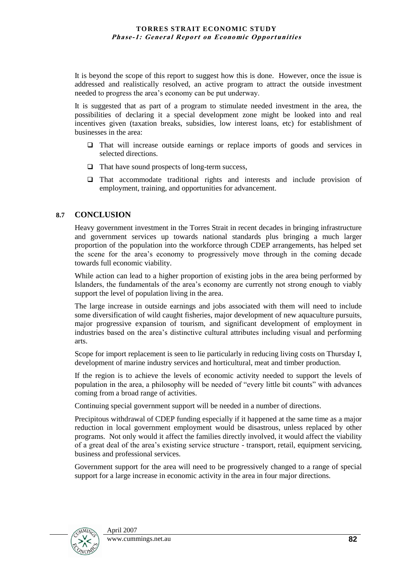It is beyond the scope of this report to suggest how this is done. However, once the issue is addressed and realistically resolved, an active program to attract the outside investment needed to progress the area"s economy can be put underway.

It is suggested that as part of a program to stimulate needed investment in the area, the possibilities of declaring it a special development zone might be looked into and real incentives given (taxation breaks, subsidies, low interest loans, etc) for establishment of businesses in the area:

- That will increase outside earnings or replace imports of goods and services in selected directions.
- $\Box$  That have sound prospects of long-term success,
- $\Box$  That accommodate traditional rights and interests and include provision of employment, training, and opportunities for advancement.

### **8.7 CONCLUSION**

Heavy government investment in the Torres Strait in recent decades in bringing infrastructure and government services up towards national standards plus bringing a much larger proportion of the population into the workforce through CDEP arrangements, has helped set the scene for the area"s economy to progressively move through in the coming decade towards full economic viability.

While action can lead to a higher proportion of existing jobs in the area being performed by Islanders, the fundamentals of the area"s economy are currently not strong enough to viably support the level of population living in the area.

The large increase in outside earnings and jobs associated with them will need to include some diversification of wild caught fisheries, major development of new aquaculture pursuits, major progressive expansion of tourism, and significant development of employment in industries based on the area"s distinctive cultural attributes including visual and performing arts.

Scope for import replacement is seen to lie particularly in reducing living costs on Thursday I, development of marine industry services and horticultural, meat and timber production.

If the region is to achieve the levels of economic activity needed to support the levels of population in the area, a philosophy will be needed of "every little bit counts" with advances coming from a broad range of activities.

Continuing special government support will be needed in a number of directions.

Precipitous withdrawal of CDEP funding especially if it happened at the same time as a major reduction in local government employment would be disastrous, unless replaced by other programs. Not only would it affect the families directly involved, it would affect the viability of a great deal of the area"s existing service structure - transport, retail, equipment servicing, business and professional services.

Government support for the area will need to be progressively changed to a range of special support for a large increase in economic activity in the area in four major directions.